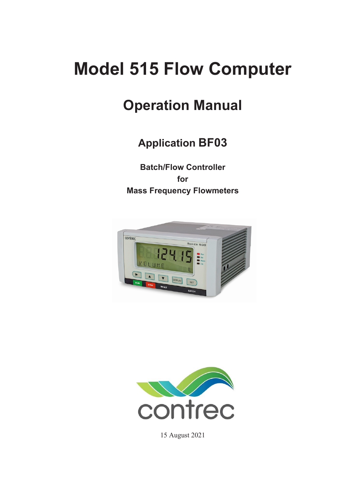# **Model 515 Flow Computer**

# **Operation Manual**

# **Application BF03**

**Batch/Flow Controller for Mass Frequency Flowmeters**





15 August 2021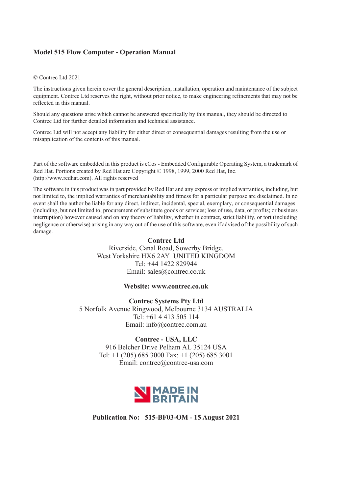#### **Model 515 Flow Computer - Operation Manual**

#### © Contrec Ltd 2021

The instructions given herein cover the general description, installation, operation and maintenance of the subject equipment. Contrec Ltd reserves the right, without prior notice, to make engineering refinements that may not be reflected in this manual.

Should any questions arise which cannot be answered specifically by this manual, they should be directed to Contrec Ltd for further detailed information and technical assistance.

Contrec Ltd will not accept any liability for either direct or consequential damages resulting from the use or misapplication of the contents of this manual.

Part of the software embedded in this product is eCos - Embedded Configurable Operating System, a trademark of Red Hat. Portions created by Red Hat are Copyright © 1998, 1999, 2000 Red Hat, Inc. (http://www.redhat.com). All rights reserved

The software in this product was in part provided by Red Hat and any express or implied warranties, including, but not limited to, the implied warranties of merchantability and fitness for a particular purpose are disclaimed. In no event shall the author be liable for any direct, indirect, incidental, special, exemplary, or consequential damages (including, but not limited to, procurement of substitute goods or services; loss of use, data, or profits; or business interruption) however caused and on any theory of liability, whether in contract, strict liability, or tort (including negligence or otherwise) arising in any way out of the use of this software, even if advised of the possibility of such damage.

#### **Contrec Ltd**

Riverside, Canal Road, Sowerby Bridge, West Yorkshire HX6 2AY UNITED KINGDOM Tel: +44 1422 829944 Email: sales@contrec.co.uk

#### **Website: www.contrec.co.uk**

**Contrec Systems Pty Ltd** 5 Norfolk Avenue Ringwood, Melbourne 3134 AUSTRALIA Tel: +61 4 413 505 114 Email: info@contrec.com.au

### **Contrec - USA, LLC**

916 Belcher Drive Pelham AL 35124 USA Tel: +1 (205) 685 3000 Fax: +1 (205) 685 3001 Email: contrec@contrec-usa.com



**Publication No: 515-BF03-OM - 15 August 2021**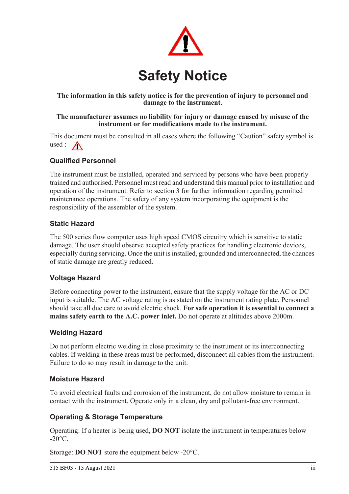

#### **The information in this safety notice is for the prevention of injury to personnel and damage to the instrument.**

#### **The manufacturer assumes no liability for injury or damage caused by misuse of the instrument or for modifications made to the instrument.**

This document must be consulted in all cases where the following "Caution" safety symbol is used :  $\bigwedge$ 

#### **Qualified Personnel**

The instrument must be installed, operated and serviced by persons who have been properly trained and authorised. Personnel must read and understand this manual prior to installation and operation of the instrument. Refer to section 3 for further information regarding permitted maintenance operations. The safety of any system incorporating the equipment is the responsibility of the assembler of the system.

#### **Static Hazard**

The 500 series flow computer uses high speed CMOS circuitry which is sensitive to static damage. The user should observe accepted safety practices for handling electronic devices, especially during servicing. Once the unit is installed, grounded and interconnected, the chances of static damage are greatly reduced.

#### **Voltage Hazard**

Before connecting power to the instrument, ensure that the supply voltage for the AC or DC input is suitable. The AC voltage rating is as stated on the instrument rating plate. Personnel should take all due care to avoid electric shock. **For safe operation it is essential to connect a mains safety earth to the A.C. power inlet.** Do not operate at altitudes above 2000m.

#### **Welding Hazard**

Do not perform electric welding in close proximity to the instrument or its interconnecting cables. If welding in these areas must be performed, disconnect all cables from the instrument. Failure to do so may result in damage to the unit.

#### **Moisture Hazard**

To avoid electrical faults and corrosion of the instrument, do not allow moisture to remain in contact with the instrument. Operate only in a clean, dry and pollutant-free environment.

#### **Operating & Storage Temperature**

Operating: If a heater is being used, **DO NOT** isolate the instrument in temperatures below  $-20^{\circ}$ C.

Storage: **DO NOT** store the equipment below -20°C.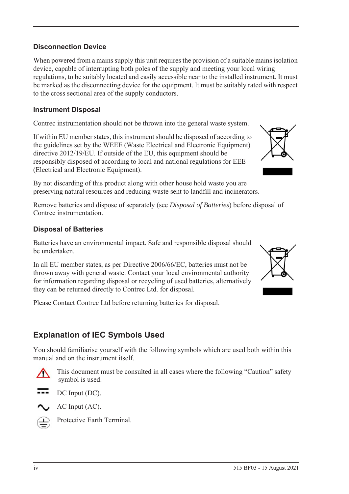#### **Disconnection Device**

When powered from a mains supply this unit requires the provision of a suitable mains isolation device, capable of interrupting both poles of the supply and meeting your local wiring regulations, to be suitably located and easily accessible near to the installed instrument. It must be marked as the disconnecting device for the equipment. It must be suitably rated with respect to the cross sectional area of the supply conductors.

#### **Instrument Disposal**

Contrec instrumentation should not be thrown into the general waste system.

If within EU member states, this instrument should be disposed of according to the guidelines set by the WEEE (Waste Electrical and Electronic Equipment) directive 2012/19/EU. If outside of the EU, this equipment should be responsibly disposed of according to local and national regulations for EEE (Electrical and Electronic Equipment).

By not discarding of this product along with other house hold waste you are preserving natural resources and reducing waste sent to landfill and incinerators.

Remove batteries and dispose of separately (see *Disposal of Batteries*) before disposal of Contrec instrumentation.

#### **Disposal of Batteries**

Batteries have an environmental impact. Safe and responsible disposal should be undertaken.

In all EU member states, as per Directive 2006/66/EC, batteries must not be thrown away with general waste. Contact your local environmental authority for information regarding disposal or recycling of used batteries, alternatively they can be returned directly to Contrec Ltd. for disposal.

Please Contact Contrec Ltd before returning batteries for disposal.

## **Explanation of IEC Symbols Used**

You should familiarise yourself with the following symbols which are used both within this manual and on the instrument itself.

 This document must be consulted in all cases where the following "Caution" safety symbol is used.

| -- | DC Input (DC). |  |
|----|----------------|--|
|----|----------------|--|





Protective Earth Terminal.





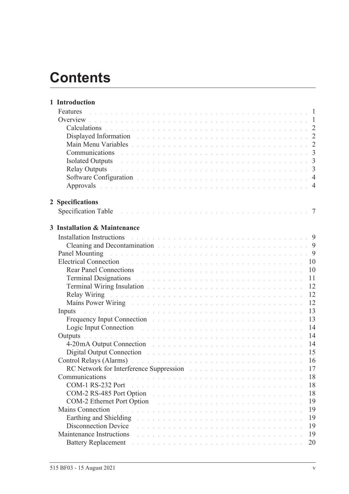# **Contents**

| 1 Introduction                                                                                                                                                                                                                      |    |
|-------------------------------------------------------------------------------------------------------------------------------------------------------------------------------------------------------------------------------------|----|
| Features<br>. The contract of the contract of the contract of the contract of the contract of $\mathcal{A}$                                                                                                                         |    |
|                                                                                                                                                                                                                                     |    |
|                                                                                                                                                                                                                                     |    |
| Displayed Information and the contract of the contract of the contract of the contract of the 2                                                                                                                                     |    |
|                                                                                                                                                                                                                                     |    |
| Communications research and contract the contract of the contract of the contract of the 3                                                                                                                                          |    |
| Isolated Outputs and a contract the contract of the contract of the contract of the contract of the 3                                                                                                                               |    |
| Relay Outputs in the contract of the contract of the contract of the contract of the contract of the 3                                                                                                                              |    |
|                                                                                                                                                                                                                                     |    |
| Approvals received a conservation of the conservation of the conservation of the 4                                                                                                                                                  |    |
| 2 Specifications                                                                                                                                                                                                                    |    |
|                                                                                                                                                                                                                                     |    |
| 3 Installation & Maintenance                                                                                                                                                                                                        |    |
| Installation Instructions and a contract the contract of the contract of the contract of the set of the set of the set of the set of the set of the set of the set of the set of the set of the set of the set of the set of t      |    |
| Cleaning and Decontamination and the contract of the contract of the contract of the property of the contract of the contract of the contract of the contract of the contract of the contract of the contract of the contract       |    |
| Panel Mounting received a contract of the contract of the contract of the contract of the P                                                                                                                                         |    |
| Electrical Connection and a subsequently and a subsequently and a subsequently and the subsequently and the subsequently and the subsequently and the subsequently and the subsequently and the subsequently and the subsequen      |    |
| Rear Panel Connections and the connection of the connection of the connection of the connection of the connection of the connection of the connection of the connection of the connection of the connection of the connection       | 10 |
| <b>Terminal Designations</b> and the contract of the contract of the contract of the contract of the contract of the contract of the contract of the contract of the contract of the contract of the contract of the contract of th | 11 |
| Terminal Wiring Insulation and a contract the contract of the contract of the contract of the contract of the contract of the contract of the contract of the contract of the contract of the contract of the contract of the       | 12 |
|                                                                                                                                                                                                                                     | 12 |
| Mains Power Wiring <b>Experience Communication</b> Communication and Communication Communication Communication Communication Communication Communication Communication Communication Communication Communication Communication Comm | 12 |
| Inputs<br>in de la caractería de la caractería de la caractería de la caractería de la caractería de la caractería de la                                                                                                            | 13 |
| Frequency Input Connection and a construction of the contract of the contract of the contract of the contract of the contract of the contract of the contract of the contract of the contract of the contract of the contract       | 13 |
| Logic Input Connection and a construction of the contract of the contract of the contract of the contract of the contract of the contract of the contract of the contract of the contract of the contract of the contract of t      | 14 |
|                                                                                                                                                                                                                                     | 14 |
| 4-20 mA Output Connection and a construction of the contract of the contract of the contract of the contract of the contract of the contract of the contract of the contract of the contract of the contract of the contract o      | 14 |
| Digital Output Connection and a construction of the contract of the contract of the contract of the contract of                                                                                                                     | 15 |
| Control Relays (Alarms) and a control of the control of the control of the control of the control of the control of the control of the control of the control of the control of the control of the control of the control of t      | 16 |
| RC Network for Interference Suppression and a contract to the contract of the set of the set of the set of the                                                                                                                      | 17 |
| Communications<br>.<br>In the company of the company of the company of the company of the company of the company of the company of th                                                                                               | 18 |
| COM-1 RS-232 Port<br>.<br>In the second complete state of the second complete state of the second complete state of the second complete                                                                                             | 18 |
| COM-2 RS-485 Port Option                                                                                                                                                                                                            | 18 |
| COM-2 Ethernet Port Option<br>.<br>In the first product of the first product of the first product of the first product of the first product of th                                                                                   | 19 |
| Mains Connection<br>de la caractería de la caractería de la caractería de la caractería de la caractería de la caractería                                                                                                           | 19 |
| Earthing and Shielding<br>a sa bandar a sa bandar a sa bandar a sa bandar a sa bandar a sa bandar a sa bandar a sa bandar a sa bandar a                                                                                             | 19 |
| <b>Disconnection Device</b><br>.<br>In the second complete state of the second complete state of the second complete state of the second complete                                                                                   | 19 |
| Maintenance Instructions<br>.<br>In the second complete state of the second complete state of the second complete state of the second complete                                                                                      | 19 |
| <b>Battery Replacement</b><br>والمتعاون والمتعاون والمتعاون والمتعاون والمتعاون والمتعاون والمتعاون والمتعاون والمتعاون والمتعاون والمتعاون                                                                                         | 20 |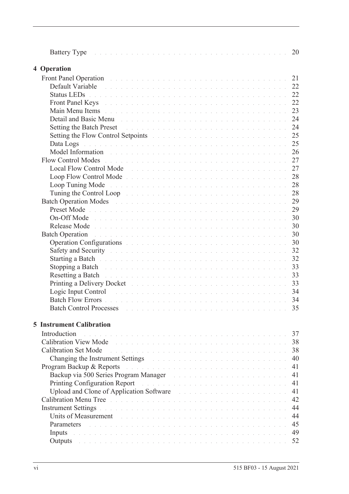| Battery Type and a substitution of the state of the state of the state of the state of the state of the state of the state of the state of the state of the state of the state of the state of the state of the state of the s                       |  |  |  |  |  |  |  |  | 20 |
|------------------------------------------------------------------------------------------------------------------------------------------------------------------------------------------------------------------------------------------------------|--|--|--|--|--|--|--|--|----|
| <b>4 Operation</b>                                                                                                                                                                                                                                   |  |  |  |  |  |  |  |  |    |
| Front Panel Operation and a contract the contract of the contract of the contract of the contract of the contract of the contract of the contract of the contract of the contract of the contract of the contract of the contr                       |  |  |  |  |  |  |  |  | 21 |
| Default Variable and a community of the community of the community of the community of the community of the community of the community of the community of the community of the community of the community of the community of                       |  |  |  |  |  |  |  |  | 22 |
| <b>Status LEDs</b><br>and a complete the complete state of the complete state of the complete state of the complete state of the complete state of the complete state of the complete state of the complete state of the complete state of the compl |  |  |  |  |  |  |  |  | 22 |
|                                                                                                                                                                                                                                                      |  |  |  |  |  |  |  |  | 22 |
| Main Menu Items research and contract the contract of the contract of the contract of the contract of the contract of the contract of the contract of the contract of the contract of the contract of the contract of the cont                       |  |  |  |  |  |  |  |  | 23 |
| Detail and Basic Menu and a substitution of the contract of the contract of the contract of the contract of the                                                                                                                                      |  |  |  |  |  |  |  |  | 24 |
| <b>Setting the Batch Preset Action Construction Construction Construction Construction Construction Construction</b>                                                                                                                                 |  |  |  |  |  |  |  |  | 24 |
| <b>Setting the Flow Control Setpoints</b> and the contract of the contract of the set of the contract of the set of the contract of the contract of the contract of the contract of the contract of the contract of the contract of                  |  |  |  |  |  |  |  |  | 25 |
| .<br>In the company of the company of the company of the company of the company of the company of the company of th<br>Data Logs                                                                                                                     |  |  |  |  |  |  |  |  | 25 |
| Model Information and the contract of the contract of the contract of the contract of the contract of the contract of the contract of the contract of the contract of the contract of the contract of the contract of the cont                       |  |  |  |  |  |  |  |  | 26 |
|                                                                                                                                                                                                                                                      |  |  |  |  |  |  |  |  | 27 |
| Local Flow Control Mode entering the service of the service of the service of the service of the service of the                                                                                                                                      |  |  |  |  |  |  |  |  | 27 |
|                                                                                                                                                                                                                                                      |  |  |  |  |  |  |  |  | 28 |
| Loop Tuning Mode des and a series and a series and a series and a series of                                                                                                                                                                          |  |  |  |  |  |  |  |  | 28 |
|                                                                                                                                                                                                                                                      |  |  |  |  |  |  |  |  | 28 |
| Tuning the Control Loop <b>Experience Control</b> Loop <b>Control</b> Loop <b>Control</b> Loop <b>Control Loop</b>                                                                                                                                   |  |  |  |  |  |  |  |  | 29 |
|                                                                                                                                                                                                                                                      |  |  |  |  |  |  |  |  | 29 |
| Preset Mode de la comparativa de la comparativa de la comparativa de la comparativa de la comparativa de la co                                                                                                                                       |  |  |  |  |  |  |  |  |    |
| On-Off Mode the community of the community of the community of the community of the community of the community of the community of the community of the community of the community of the community of the community of the co                       |  |  |  |  |  |  |  |  | 30 |
| Release Mode the community of the community of the community of the community of the community of the community of the community of the community of the community of the community of the community of the community of the c                       |  |  |  |  |  |  |  |  | 30 |
| Batch Operation and a construction of the construction of the construction of the construction of the construction of the construction of the construction of the construction of the construction of the construction of the                        |  |  |  |  |  |  |  |  | 30 |
| Operation Configurations and a contract of the contract of the contract of the contract of the contract of the                                                                                                                                       |  |  |  |  |  |  |  |  | 30 |
| Safety and Security and the contract of the contract of the contract of the contract of the contract of the contract of the contract of the contract of the contract of the contract of the contract of the contract of the co                       |  |  |  |  |  |  |  |  | 32 |
| Starting a Batch and a contract the contract of the contract of the contract of the contract of the contract of                                                                                                                                      |  |  |  |  |  |  |  |  | 32 |
| Stopping a Batch and a subsequence of the second contract the second contract of the second contract of the second second contract of the second second contract of the second second second second second second second secon                       |  |  |  |  |  |  |  |  | 33 |
| Resetting a Batch and a subsequence of the second contract the setting of the second second second second second                                                                                                                                     |  |  |  |  |  |  |  |  | 33 |
| Printing a Delivery Docket and a subsequently and the set of the set of the set of the set of the set of the set of the set of the set of the set of the set of the set of the set of the set of the set of the set of the set                       |  |  |  |  |  |  |  |  | 33 |
| Logic Input Control and a contract the contract of the contract of the contract of the contract of the contract of the contract of the contract of the contract of the contract of the contract of the contract of the contrac                       |  |  |  |  |  |  |  |  | 34 |
|                                                                                                                                                                                                                                                      |  |  |  |  |  |  |  |  | 34 |
| Batch Control Processes and a control of the control of the control of the control of the control of the control of the control of the control of the control of the control of the control of the control of the control of t                       |  |  |  |  |  |  |  |  | 35 |
| <b>5 Instrument Calibration</b>                                                                                                                                                                                                                      |  |  |  |  |  |  |  |  |    |
| Introduction                                                                                                                                                                                                                                         |  |  |  |  |  |  |  |  | 37 |
| de la caractería de la caractería de la caractería de la caractería de la caractería de la caractería<br><b>Calibration View Mode</b>                                                                                                                |  |  |  |  |  |  |  |  | 38 |
| .<br>In the second complete the second complete state of the second complete state of the second complete state of                                                                                                                                   |  |  |  |  |  |  |  |  |    |
| <b>Calibration Set Mode</b><br>a constitution de la constitución de la constitución de la constitución de la constitución de la constitución                                                                                                         |  |  |  |  |  |  |  |  | 38 |
| Changing the Instrument Settings and a contract of the contract of the contract of the contract of the contract of the contract of the contract of the contract of the contract of the contract of the contract of the contrac                       |  |  |  |  |  |  |  |  | 40 |
| Program Backup & Reports and the contract of the contract of the contract of the contract of the contract of the contract of the contract of the contract of the contract of the contract of the contract of the contract of t                       |  |  |  |  |  |  |  |  | 41 |
|                                                                                                                                                                                                                                                      |  |  |  |  |  |  |  |  | 41 |
| Printing Configuration Report Edmond & Contractor Contractor Contractor Contractor                                                                                                                                                                   |  |  |  |  |  |  |  |  | 41 |
| Upload and Clone of Application Software and a substitution of Application Software                                                                                                                                                                  |  |  |  |  |  |  |  |  | 41 |
| Calibration Menu Tree Albert and Albert and Albert and Albert and Albert and Albert and Albert and Albert and                                                                                                                                        |  |  |  |  |  |  |  |  | 42 |
|                                                                                                                                                                                                                                                      |  |  |  |  |  |  |  |  | 44 |
| Units of Measurement<br>and a straightful and a straight and a straight and a straight and a straight and                                                                                                                                            |  |  |  |  |  |  |  |  | 44 |
| Parameters<br>in die stelling van die stelling van die stelling van die stelling van die stelling van die stelling van die s                                                                                                                         |  |  |  |  |  |  |  |  | 45 |
| Inputs<br><u>The second dependence of the second dependence of the second dependence of the second dependence of the second</u>                                                                                                                      |  |  |  |  |  |  |  |  | 49 |
| Outputs<br>and the company of the company of the company of the company of the company of the company of the company of the                                                                                                                          |  |  |  |  |  |  |  |  | 52 |
|                                                                                                                                                                                                                                                      |  |  |  |  |  |  |  |  |    |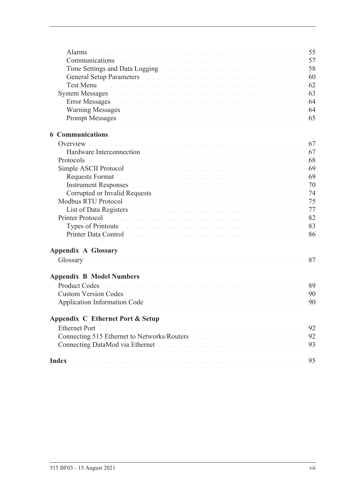| Alarms<br>in de la caractería de la caractería de la caractería de la caractería de la caractería de la caractería de la                                                                                                             | 55 |
|--------------------------------------------------------------------------------------------------------------------------------------------------------------------------------------------------------------------------------------|----|
| <b>Communications</b> and a contract the contract of the contract of the contract of the contract of the contract of the contract of the contract of the contract of the contract of the contract of the contract of the contract o  | 57 |
| Time Settings and Data Logging The Contract of the Contract of the Settings and Data Logging                                                                                                                                         | 58 |
| General Setup Parameters and the contract of the contract of the contract of the contract of the contract of the contract of the contract of the contract of the contract of the contract of the contract of the contract of t       | 60 |
| Test Menu and a construction of the construction of the construction of the construction                                                                                                                                             | 62 |
| System Messages entertainment and the state of the state of the state of the state of the state of the state of the state of the state of the state of the state of the state of the state of the state of the state of the st       | 63 |
| Error Messages and a contract the contract of the contract of the contract of the contract of the contract of                                                                                                                        | 64 |
| Warning Messages and a contract the contract of the contract of the contract of the contract of the contract of the contract of the contract of the contract of the contract of the contract of the contract of the contract o       | 64 |
| Prompt Messages entertainment and the contract of the contract of the contract of the contract of the contract of the contract of the contract of the contract of the contract of the contract of the contract of the contract       | 65 |
| <b>6</b> Communications                                                                                                                                                                                                              |    |
|                                                                                                                                                                                                                                      | 67 |
| Hardware Interconnection and a construction of the construction of the construction of the construction of the                                                                                                                       | 67 |
| Protocols and an annual contract of the contract of the contract of the contract of the contract of the contract of the contract of the contract of the contract of the contract of the contract of the contract of the contra       | 68 |
| Simple ASCII Protocol and the contract of the contract of the contract of the contract of the contract of the contract of the contract of the contract of the contract of the contract of the contract of the contract of the        | 69 |
| Requests Format <i>and the contract of the contract of the contract of the contract of the contract of the contract of the contract of the contract of the contract of the contract of the contract of the contract of the contr</i> | 69 |
| Instrument Responses and a contract the contract of the contract of the contract of the contract of the contract of the contract of the contract of the contract of the contract of the contract of the contract of the contra       | 70 |
| Corrupted or Invalid Requests and a construction of the construction of the construction                                                                                                                                             | 74 |
| Modbus RTU Protocol<br>.<br>The contract of the contract of the contract of the contract of the contract of the contract of the contract of                                                                                          | 75 |
| List of Data Registers and a consequence of the consequence of the consequence of the consequence of the consequence of the consequence of the consequence of the consequence of the consequence of the consequence of the con       | 77 |
| Printer Protocol and a construction of the construction of the construction of the construction of                                                                                                                                   | 82 |
| Types of Printouts and the contract of the contract of the contract of the contract of the contract of the contract of the contract of the contract of the contract of the contract of the contract of the contract of the con       | 83 |
| Printer Data Control and a control of the control of the control of the control of the control of the control of the control of the control of the control of the control of the control of the control of the control of the        | 86 |
| <b>Appendix A Glossary</b>                                                                                                                                                                                                           |    |
| Glossary and the contract of the contract of the contract of the contract of the contract of the contract of the contract of the contract of the contract of the contract of the contract of the contract of the contract of t       |    |
|                                                                                                                                                                                                                                      |    |
| <b>Appendix B Model Numbers</b>                                                                                                                                                                                                      |    |
| <b>Product Codes</b><br>.<br>The contract of the contract of the contract of the contract of the contract of the contract of the contract of                                                                                         | 89 |
| Custom Version Codes and a construction of the construction of the construction of the construction of the construction of the construction of the construction of the construction of the construction of the construction of       | 90 |
| Application Information Code and a construction of the construction of the construction of the construction of                                                                                                                       | 90 |
| Appendix C Ethernet Port & Setup                                                                                                                                                                                                     |    |
| <b>Ethernet Port</b><br>.<br>In the second complete the second complete second complete the second complete second complete second complete                                                                                          | 92 |
| Connecting 515 Ethernet to Networks/Routers and a connecting 515 Ethernet to Networks/Routers and a connection                                                                                                                       | 92 |
| Connecting DataMod via Ethernet and a constant and a constant and a constant of                                                                                                                                                      | 93 |
|                                                                                                                                                                                                                                      |    |
| <b>Index</b><br>and the company of the company of the company of the company of the company of the company of the company of the                                                                                                     | 95 |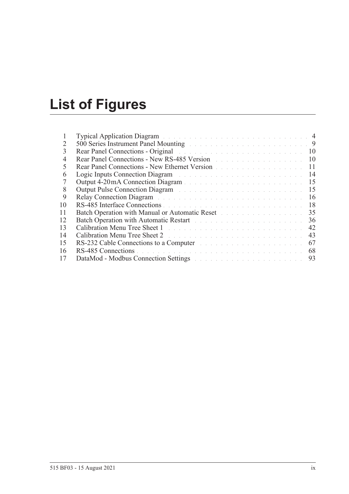# **List of Figures**

|                                                                                                                                                                                                                                | 10                                                                                                                                                                                                                                                                                                                                                                                                                                                                                                                                                                                                                                                                                                                                                                                                                                                                                                                                                                                                                                                                                                                                                                                                                                                                               |
|--------------------------------------------------------------------------------------------------------------------------------------------------------------------------------------------------------------------------------|----------------------------------------------------------------------------------------------------------------------------------------------------------------------------------------------------------------------------------------------------------------------------------------------------------------------------------------------------------------------------------------------------------------------------------------------------------------------------------------------------------------------------------------------------------------------------------------------------------------------------------------------------------------------------------------------------------------------------------------------------------------------------------------------------------------------------------------------------------------------------------------------------------------------------------------------------------------------------------------------------------------------------------------------------------------------------------------------------------------------------------------------------------------------------------------------------------------------------------------------------------------------------------|
|                                                                                                                                                                                                                                |                                                                                                                                                                                                                                                                                                                                                                                                                                                                                                                                                                                                                                                                                                                                                                                                                                                                                                                                                                                                                                                                                                                                                                                                                                                                                  |
|                                                                                                                                                                                                                                |                                                                                                                                                                                                                                                                                                                                                                                                                                                                                                                                                                                                                                                                                                                                                                                                                                                                                                                                                                                                                                                                                                                                                                                                                                                                                  |
|                                                                                                                                                                                                                                |                                                                                                                                                                                                                                                                                                                                                                                                                                                                                                                                                                                                                                                                                                                                                                                                                                                                                                                                                                                                                                                                                                                                                                                                                                                                                  |
|                                                                                                                                                                                                                                | 15                                                                                                                                                                                                                                                                                                                                                                                                                                                                                                                                                                                                                                                                                                                                                                                                                                                                                                                                                                                                                                                                                                                                                                                                                                                                               |
|                                                                                                                                                                                                                                | 16                                                                                                                                                                                                                                                                                                                                                                                                                                                                                                                                                                                                                                                                                                                                                                                                                                                                                                                                                                                                                                                                                                                                                                                                                                                                               |
|                                                                                                                                                                                                                                |                                                                                                                                                                                                                                                                                                                                                                                                                                                                                                                                                                                                                                                                                                                                                                                                                                                                                                                                                                                                                                                                                                                                                                                                                                                                                  |
|                                                                                                                                                                                                                                |                                                                                                                                                                                                                                                                                                                                                                                                                                                                                                                                                                                                                                                                                                                                                                                                                                                                                                                                                                                                                                                                                                                                                                                                                                                                                  |
|                                                                                                                                                                                                                                | 36                                                                                                                                                                                                                                                                                                                                                                                                                                                                                                                                                                                                                                                                                                                                                                                                                                                                                                                                                                                                                                                                                                                                                                                                                                                                               |
| Calibration Menu Tree Sheet 1 and the contract of the contract of the contract of the contract of the contract of the contract of the contract of the contract of the contract of the contract of the contract of the contract | -42                                                                                                                                                                                                                                                                                                                                                                                                                                                                                                                                                                                                                                                                                                                                                                                                                                                                                                                                                                                                                                                                                                                                                                                                                                                                              |
| Calibration Menu Tree Sheet 2 and the community of the community of the Calibration of the Calibration of the C                                                                                                                | 43                                                                                                                                                                                                                                                                                                                                                                                                                                                                                                                                                                                                                                                                                                                                                                                                                                                                                                                                                                                                                                                                                                                                                                                                                                                                               |
|                                                                                                                                                                                                                                |                                                                                                                                                                                                                                                                                                                                                                                                                                                                                                                                                                                                                                                                                                                                                                                                                                                                                                                                                                                                                                                                                                                                                                                                                                                                                  |
|                                                                                                                                                                                                                                | 68                                                                                                                                                                                                                                                                                                                                                                                                                                                                                                                                                                                                                                                                                                                                                                                                                                                                                                                                                                                                                                                                                                                                                                                                                                                                               |
| DataMod - Modbus Connection Settings and a substitution of the state of the 193                                                                                                                                                |                                                                                                                                                                                                                                                                                                                                                                                                                                                                                                                                                                                                                                                                                                                                                                                                                                                                                                                                                                                                                                                                                                                                                                                                                                                                                  |
|                                                                                                                                                                                                                                | Typical Application Diagram and a contract of the contract of the contract of the 4<br>500 Series Instrument Panel Mounting and a contract of the series of the series of the 9<br>Rear Panel Connections - Original<br>Rear Panel Connections - New RS-485 Version<br>Rear Panel Connections - New Ethernet Version and a manufacturer of the 11<br>Logic Inputs Connection Diagram and a substitution of the state of the state of the 14<br>Output 4-20mA Connection Diagram<br>Output Pulse Connection Diagram and a connection of the Connection of the Connection of the Connection of the Connection of the Connection of the Connection of the Connection of the Connection of the Connection of the Conn<br>Relay Connection Diagram and a connection of the connection of the connection of the connection of the connection of the connection of the connection of the connection of the connection of the connection of the connection<br>RS-485 Interface Connections<br>Batch Operation with Manual or Automatic Reset [1] [1] Allen Lines and Support 35<br>Batch Operation with Automatic Restart Marshall and Automatic Restart<br>RS-232 Cable Connections to a Computer entertainment of the state of the state of the SN-232 Cable Connections to a Computer |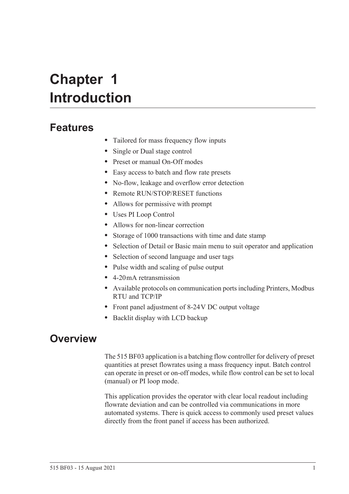# <span id="page-10-0"></span>**Chapter 1 Introduction**

## <span id="page-10-1"></span>**Features**

- **•** Tailored for mass frequency flow inputs
- **•** Single or Dual stage control
- **•** Preset or manual On-Off modes
- **•** Easy access to batch and flow rate presets
- No-flow, leakage and overflow error detection
- **•** Remote RUN/STOP/RESET functions
- **•** Allows for permissive with prompt
- **•** Uses PI Loop Control
- **•** Allows for non-linear correction
- **•** Storage of 1000 transactions with time and date stamp
- **•** Selection of Detail or Basic main menu to suit operator and application
- **•** Selection of second language and user tags
- **•** Pulse width and scaling of pulse output
- **•** 4-20 mA retransmission
- **•** Available protocols on communication ports including Printers, Modbus RTU and TCP/IP
- **•** Front panel adjustment of 8-24 V DC output voltage
- **•** Backlit display with LCD backup

## <span id="page-10-2"></span>**Overview**

The 515 BF03 application is a batching flow controller for delivery of preset quantities at preset flowrates using a mass frequency input. Batch control can operate in preset or on-off modes, while flow control can be set to local (manual) or PI loop mode.

This application provides the operator with clear local readout including flowrate deviation and can be controlled via communications in more automated systems. There is quick access to commonly used preset values directly from the front panel if access has been authorized.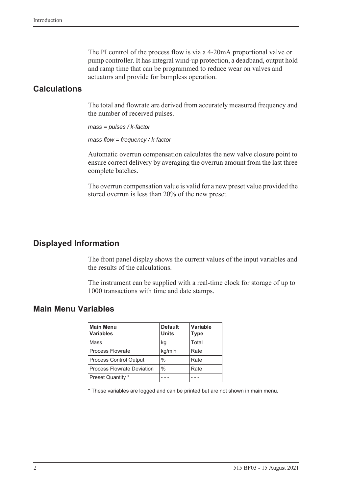The PI control of the process flow is via a 4-20mA proportional valve or pump controller. It has integral wind-up protection, a deadband, output hold and ramp time that can be programmed to reduce wear on valves and actuators and provide for bumpless operation.

#### <span id="page-11-0"></span>**Calculations**

The total and flowrate are derived from accurately measured frequency and the number of received pulses.

*mass = pulses / k-factor*

*mass flow = frequency / k-factor*

Automatic overrun compensation calculates the new valve closure point to ensure correct delivery by averaging the overrun amount from the last three complete batches.

The overrun compensation value is valid for a new preset value provided the stored overrun is less than 20% of the new preset.

#### <span id="page-11-1"></span>**Displayed Information**

The front panel display shows the current values of the input variables and the results of the calculations.

The instrument can be supplied with a real-time clock for storage of up to 1000 transactions with time and date stamps.

#### <span id="page-11-2"></span>**Main Menu Variables**

| Main Menu<br>Variables            | <b>Default</b><br><b>Units</b> | <b>Variable</b><br><b>Type</b> |
|-----------------------------------|--------------------------------|--------------------------------|
| Mass                              | kg                             | Total                          |
| <b>Process Flowrate</b>           | kg/min                         | Rate                           |
| <b>Process Control Output</b>     | $\%$                           | Rate                           |
| <b>Process Flowrate Deviation</b> | $\frac{0}{0}$                  | Rate                           |
| <b>Preset Quantity *</b>          |                                |                                |

\* These variables are logged and can be printed but are not shown in main menu.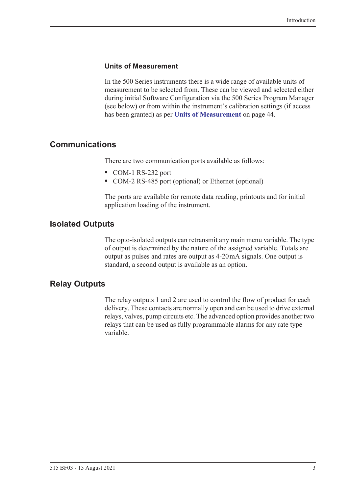#### **Units of Measurement**

In the 500 Series instruments there is a wide range of available units of measurement to be selected from. These can be viewed and selected either during initial Software Configuration via the 500 Series Program Manager (see below) or from within the instrument's calibration settings (if access has been granted) as per **[Units of Measurement](#page-53-2)** on page 44.

#### <span id="page-12-0"></span>**Communications**

There are two communication ports available as follows:

- **•** COM-1 RS-232 port
- **•** COM-2 RS-485 port (optional) or Ethernet (optional)

The ports are available for remote data reading, printouts and for initial application loading of the instrument.

#### <span id="page-12-1"></span>**Isolated Outputs**

The opto-isolated outputs can retransmit any main menu variable. The type of output is determined by the nature of the assigned variable. Totals are output as pulses and rates are output as 4-20 mA signals. One output is standard, a second output is available as an option.

### <span id="page-12-2"></span>**Relay Outputs**

The relay outputs 1 and 2 are used to control the flow of product for each delivery. These contacts are normally open and can be used to drive external relays, valves, pump circuits etc. The advanced option provides another two relays that can be used as fully programmable alarms for any rate type variable.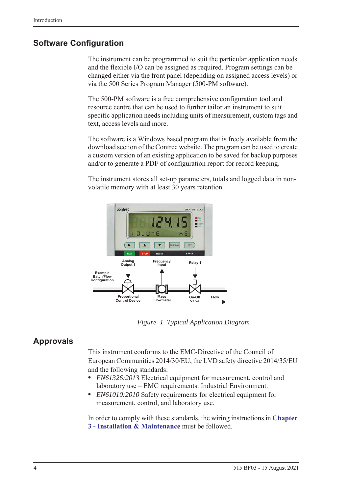### <span id="page-13-0"></span>**Software Configuration**

The instrument can be programmed to suit the particular application needs and the flexible I/O can be assigned as required. Program settings can be changed either via the front panel (depending on assigned access levels) or via the 500 Series Program Manager (500-PM software).

The 500-PM software is a free comprehensive configuration tool and resource centre that can be used to further tailor an instrument to suit specific application needs including units of measurement, custom tags and text, access levels and more.

The software is a Windows based program that is freely available from the download section of the Contrec website. The program can be used to create a custom version of an existing application to be saved for backup purposes and/or to generate a PDF of configuration report for record keeping.

The instrument stores all set-up parameters, totals and logged data in nonvolatile memory with at least 30 years retention.



*Figure 1 Typical Application Diagram*

### <span id="page-13-1"></span>**Approvals**

<span id="page-13-2"></span>This instrument conforms to the EMC-Directive of the Council of European Communities 2014/30/EU, the LVD safety directive 2014/35/EU and the following standards:

- **•** *EN61326:2013* Electrical equipment for measurement, control and laboratory use – EMC requirements: Industrial Environment.
- **•** *EN61010:2010* Safety requirements for electrical equipment for measurement, control, and laboratory use.

In order to comply with these standards, the wiring instructions in **[Chapter](#page-18-5)  [3 - Installation & Maintenance](#page-18-5)** must be followed.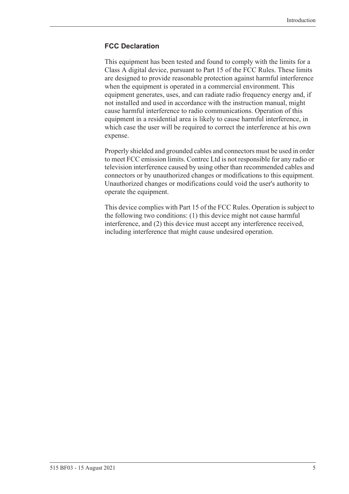#### **FCC Declaration**

This equipment has been tested and found to comply with the limits for a Class A digital device, pursuant to Part 15 of the FCC Rules. These limits are designed to provide reasonable protection against harmful interference when the equipment is operated in a commercial environment. This equipment generates, uses, and can radiate radio frequency energy and, if not installed and used in accordance with the instruction manual, might cause harmful interference to radio communications. Operation of this equipment in a residential area is likely to cause harmful interference, in which case the user will be required to correct the interference at his own expense.

Properly shielded and grounded cables and connectors must be used in order to meet FCC emission limits. Contrec Ltd is not responsible for any radio or television interference caused by using other than recommended cables and connectors or by unauthorized changes or modifications to this equipment. Unauthorized changes or modifications could void the user's authority to operate the equipment.

This device complies with Part 15 of the FCC Rules. Operation is subject to the following two conditions: (1) this device might not cause harmful interference, and (2) this device must accept any interference received, including interference that might cause undesired operation.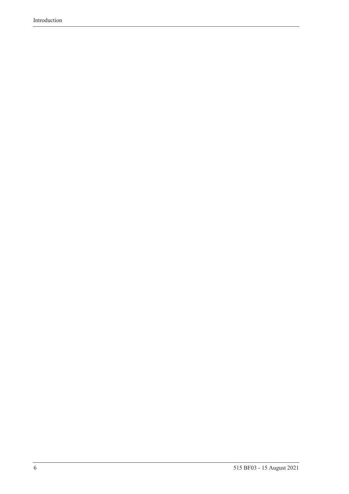Introduction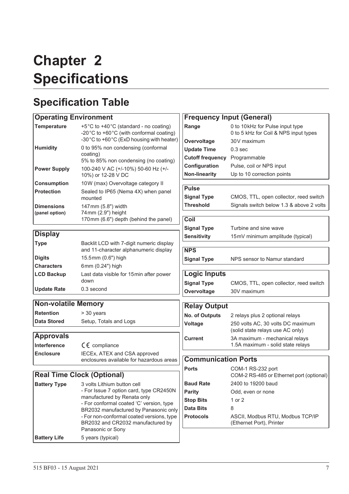# <span id="page-16-0"></span>**Chapter 2 Specifications**

# <span id="page-16-1"></span>**Specification Table**

#### **Operating Environment Temperature**  $+5^{\circ}$ C to  $+40^{\circ}$ C (standard - no coating) -20 °C to +60 °C (with conformal coating) -30 °C to +60 °C (ExD housing with heater) **Humidity** 0 to 95% non condensing (conformal coating) 5% to 85% non condensing (no coating) **Power Supply** 100-240 V AC (+/-10%) 50-60 Hz (+/- 10%) or 12-28 V DC **Consumption** 10W (max) Overvoltage category II **Protection** Sealed to IP65 (Nema 4X) when panel mounted **Dimensions (panel option)** 147 mm (5.8") width 74 mm (2.9") height 170 mm (6.6") depth (behind the panel) **Display Type** Backlit LCD with 7-digit numeric display and 11-character alphanumeric display **Digits** 15.5 mm (0.6") high **Characters** 6mm (0.24") high **LCD Backup** Last data visible for 15 min after power down **Update Rate** 0.3 second **Non-volatile Memory Retention** > 30 years **Data Stored** Setup, Totals and Logs **Approvals Interference** C E compliance **Enclosure** IECEx, ATEX and CSA approved enclosures available for hazardous areas **Real Time Clock (Optional) Battery Type** 3 volts Lithium button cell - For Issue 7 option card, type CR2450N manufactured by Renata only - For conformal coated 'C' version, type BR2032 manufactured by Panasonic only - For non-conformal coated versions, type BR2032 and CR2032 manufactured by Panasonic or Sony **Battery Life** 5 years (typical) **Frequency Input (General) Range** 0 to 10 kHz for Pulse input type 0 to 5 kHz for Coil & NPS input types **Overvoltage** 30V maximum **Update Time** 0.3 sec **Cutoff frequency** Programmable **Configuration** Pulse, coil or NPS input **Non-linearity** Up to 10 correction points **Pulse Signal Type** CMOS, TTL, open collector, reed switch **Threshold** Signals switch below 1.3 & above 2 volts **Coil Signal Type** Turbine and sine wave **Sensitivity** 15mV minimum amplitude (typical) **NPS Signal Type** NPS sensor to Namur standard **Logic Inputs Signal Type** CMOS, TTL, open collector, reed switch **Overvoltage** 30V maximum **Relay Output No. of Outputs** 2 relays plus 2 optional relays **Voltage** 250 volts AC, 30 volts DC maximum (solid state relays use AC only) **Current** 3A maximum - mechanical relays 1.5A maximum - solid state relays **Communication Ports** Ports **COM-1 RS-232 port** COM-2 RS-485 or Ethernet port (optional) **Baud Rate** 2400 to 19200 baud **Parity** Odd, even or none **Stop Bits** 1 or 2 **Data Bits** 8 **Protocols** ASCII, Modbus RTU, Modbus TCP/IP (Ethernet Port), Printer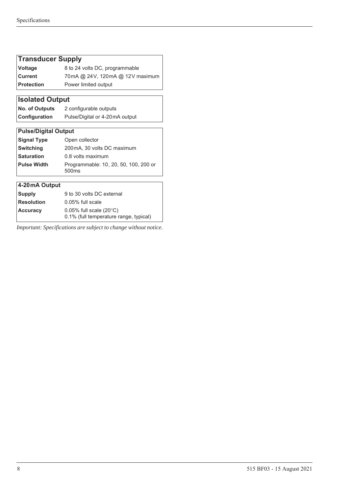| <b>Transducer Supply</b>    |                                                                                |  |  |  |  |
|-----------------------------|--------------------------------------------------------------------------------|--|--|--|--|
| Voltage                     | 8 to 24 volts DC, programmable                                                 |  |  |  |  |
| <b>Current</b>              | 70mA @ 24V, 120mA @ 12V maximum                                                |  |  |  |  |
| <b>Protection</b>           | Power limited output                                                           |  |  |  |  |
|                             |                                                                                |  |  |  |  |
| <b>Isolated Output</b>      |                                                                                |  |  |  |  |
| <b>No. of Outputs</b>       | 2 configurable outputs                                                         |  |  |  |  |
| Configuration               | Pulse/Digital or 4-20 mA output                                                |  |  |  |  |
|                             |                                                                                |  |  |  |  |
| <b>Pulse/Digital Output</b> |                                                                                |  |  |  |  |
| <b>Signal Type</b>          | Open collector                                                                 |  |  |  |  |
| Switching                   | 200 mA. 30 volts DC maximum                                                    |  |  |  |  |
| <b>Saturation</b>           | 0.8 volts maximum                                                              |  |  |  |  |
| <b>Pulse Width</b>          | Programmable: 10, 20, 50, 100, 200 or<br>500ms                                 |  |  |  |  |
| 4-20mA Output               |                                                                                |  |  |  |  |
| Supply                      | 9 to 30 volts DC external                                                      |  |  |  |  |
| <b>Resolution</b>           | $0.05\%$ full scale                                                            |  |  |  |  |
| <b>Accuracy</b>             | $0.05\%$ full scale (20 $\degree$ C)<br>0.1% (full temperature range, typical) |  |  |  |  |

*Important: Specifications are subject to change without notice.*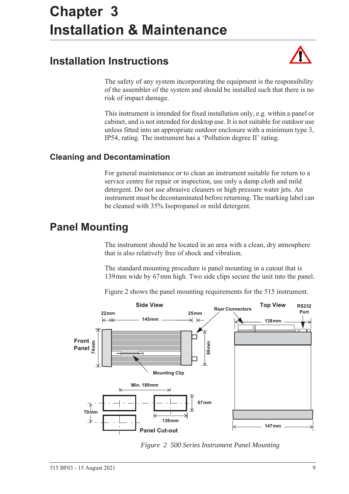# <span id="page-18-5"></span><span id="page-18-0"></span>**Chapter 3 Installation & Maintenance**

# <span id="page-18-1"></span>**Installation Instructions**



The safety of any system incorporating the equipment is the responsibility of the assembler of the system and should be installed such that there is no risk of impact damage.

This instrument is intended for fixed installation only, e.g. within a panel or cabinet, and is not intended for desktop use. It is not suitable for outdoor use unless fitted into an appropriate outdoor enclosure with a minimum type 3, IP54, rating. The instrument has a 'Pollution degree II' rating.

## <span id="page-18-2"></span>**Cleaning and Decontamination**

For general maintenance or to clean an instrument suitable for return to a service centre for repair or inspection, use only a damp cloth and mild detergent. Do not use abrasive cleaners or high pressure water jets. An instrument must be decontaminated before returning. The marking label can be cleaned with 35% Isopropanol or mild detergent.

# <span id="page-18-3"></span>**Panel Mounting**

The instrument should be located in an area with a clean, dry atmosphere that is also relatively free of shock and vibration.

The standard mounting procedure is panel mounting in a cutout that is 139 mm wide by 67 mm high. Two side clips secure the unit into the panel.



[Figure 2](#page-18-4) shows the panel mounting requirements for the 515 instrument.

<span id="page-18-4"></span>*Figure 2 500 Series Instrument Panel Mounting*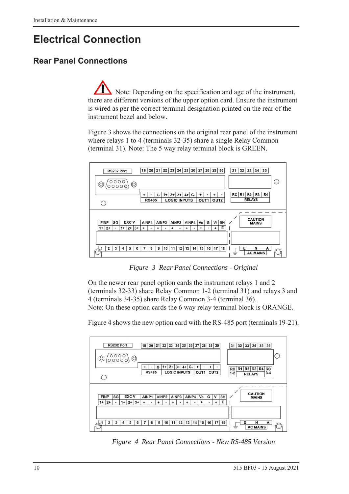# <span id="page-19-0"></span>**Electrical Connection**

## <span id="page-19-1"></span>**Rear Panel Connections**

Note: Depending on the specification and age of the instrument, there are different versions of the upper option card. Ensure the instrument is wired as per the correct terminal designation printed on the rear of the instrument bezel and below.

[Figure 3](#page-19-2) shows the connections on the original rear panel of the instrument where relays 1 to 4 (terminals 32-35) share a single Relay Common (terminal 31). Note: The 5 way relay terminal block is GREEN.



*Figure 3 Rear Panel Connections - Original*

<span id="page-19-2"></span>On the newer rear panel option cards the instrument relays 1 and 2 (terminals 32-33) share Relay Common 1-2 (terminal 31) and relays 3 and 4 (terminals 34-35) share Relay Common 3-4 (terminal 36). Note: On these option cards the 6 way relay terminal block is ORANGE.

[Figure 4](#page-19-3) shows the new option card with the RS-485 port (terminals 19-21).



<span id="page-19-3"></span>*Figure 4 Rear Panel Connections - New RS-485 Version*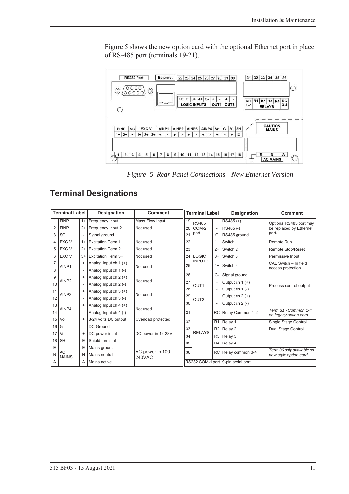[Figure 5](#page-20-1) shows the new option card with the optional Ethernet port in place of RS-485 port (terminals 19-21).



<span id="page-20-1"></span>*Figure 5 Rear Panel Connections - New Ethernet Version*

## <span id="page-20-0"></span>**Terminal Designations**

|    | <b>Terminal Label</b>  |                          | Designation               | <b>Comment</b>                    | <b>Terminal Label</b>              |                  |                | <b>Designation</b> | <b>Comment</b>                                |  |
|----|------------------------|--------------------------|---------------------------|-----------------------------------|------------------------------------|------------------|----------------|--------------------|-----------------------------------------------|--|
|    | <b>FINP</b>            | $1+$                     | Frequency Input 1+        | Mass Flow Input                   | 19                                 | <b>RS485</b>     | $\ddot{}$      | $RS485 (+)$        | Optional RS485 port may                       |  |
| 2  | <b>FINP</b>            | $2+$                     | Frequency Input 2+        | Not used                          | 20                                 | COM-2            |                | RS485 (-)          | be replaced by Ethernet                       |  |
| 3  | $\overline{\text{SG}}$ | $\overline{\phantom{a}}$ | Signal ground             |                                   | 21                                 | port             | G              | RS485 ground       | port.                                         |  |
| 4  | EXC V                  | $1+$                     | Excitation Term 1+        | Not used                          | 22                                 |                  | $1+$           | Switch 1           | Remote Run                                    |  |
| 5  | EXC V                  | $2+$                     | <b>Excitation Term 2+</b> | Not used                          | 23                                 |                  | $2+$           | Switch 2           | Remote Stop/Reset                             |  |
| 6  | <b>EXC V</b>           | $3+$                     | Excitation Term 3+        | Not used                          | 24                                 | <b>LOGIC</b>     | $3+$           | Switch 3           | Permissive Input                              |  |
| 7  | AINP1                  | $\ddot{}$                | Analog Input ch $1 (+)$   | Not used                          | 25                                 | <b>INPUTS</b>    | $4+$           | Switch 4           | CAL Switch - In field                         |  |
| 8  |                        |                          | Analog Input ch 1 (-)     |                                   |                                    |                  |                |                    | access protection                             |  |
| 9  | AINP <sub>2</sub>      | $\ddot{}$                | Analog Input ch $2 (+)$   | Not used                          | 26                                 |                  | $C-$           | Signal ground      |                                               |  |
| 10 |                        |                          | Analog Input ch 2 (-)     |                                   | 27                                 | OUT1             | $\ddot{}$      | Output ch $1 (+)$  | Process control output                        |  |
| 11 |                        | $\ddot{}$                | Analog Input ch $3 (+)$   |                                   | 28                                 |                  |                | Output ch 1 (-)    |                                               |  |
| 12 | AINP3                  | $\overline{\phantom{a}}$ | Analog Input ch 3 (-)     | Not used                          | 29                                 | OUT <sub>2</sub> | $\ddot{}$      | Output $ch 2 (+)$  |                                               |  |
| 13 |                        | $\ddot{}$                | Analog Input ch 4 (+)     |                                   | 30                                 |                  |                | Output $ch 2$ (-)  |                                               |  |
| 14 | AINP4                  | $\overline{\phantom{a}}$ | Analog Input ch 4 (-)     | Not used                          | 31                                 |                  | <b>RC</b>      | Relay Common 1-2   | Term 31 - Common 1-4<br>on legacy option card |  |
| 15 | Vo                     | $\ddot{}$                | 8-24 volts DC output      | Overload protected                | 32                                 |                  | R1             | Relay 1            | Single Stage Control                          |  |
| 16 | G                      | $\overline{\phantom{a}}$ | DC Ground                 |                                   | 33                                 |                  | R <sub>2</sub> | Relay 2            | Dual Stage Control                            |  |
| 17 | Vi                     | $\ddot{}$                | DC power input            | DC power in 12-28V                | $\overline{34}$                    | <b>RELAYS</b>    | R <sub>3</sub> | Relay 3            |                                               |  |
| 18 | <b>SH</b>              | Ε                        | Shield terminal           |                                   | 35                                 |                  | R4             | Relay 4            |                                               |  |
| E  |                        | E                        | Mains ground              |                                   |                                    |                  |                |                    | Term 36 only available on                     |  |
| N  | AC<br><b>MAINS</b>     | N                        | Mains neutral             | AC power in 100-<br><b>240VAC</b> | 36                                 |                  | <b>RC</b>      | Relay common 3-4   | new style option card                         |  |
| A  |                        | Α                        | Mains active              |                                   | RS232 COM-1 port 9-pin serial port |                  |                |                    |                                               |  |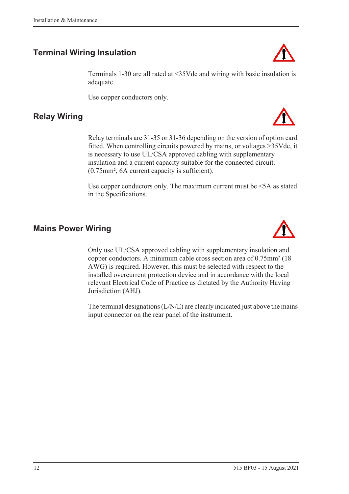Installation & Maintenance

## <span id="page-21-0"></span>**Terminal Wiring Insulation**

Terminals 1-30 are all rated at <35Vdc and wiring with basic insulation is adequate.

Use copper conductors only.

## <span id="page-21-1"></span>**Relay Wiring**

Relay terminals are 31-35 or 31-36 depending on the version of option card fitted. When controlling circuits powered by mains, or voltages >35Vdc, it is necessary to use UL/CSA approved cabling with supplementary insulation and a current capacity suitable for the connected circuit. (0.75mm², 6A current capacity is sufficient).

Use copper conductors only. The maximum current must be  $\leq 5A$  as stated in the Specifications.

## <span id="page-21-2"></span>**Mains Power Wiring**

Only use UL/CSA approved cabling with supplementary insulation and copper conductors. A minimum cable cross section area of 0.75mm² (18 AWG) is required. However, this must be selected with respect to the installed overcurrent protection device and in accordance with the local relevant Electrical Code of Practice as dictated by the Authority Having Jurisdiction (AHJ).

The terminal designations (L/N/E) are clearly indicated just above the mains input connector on the rear panel of the instrument.



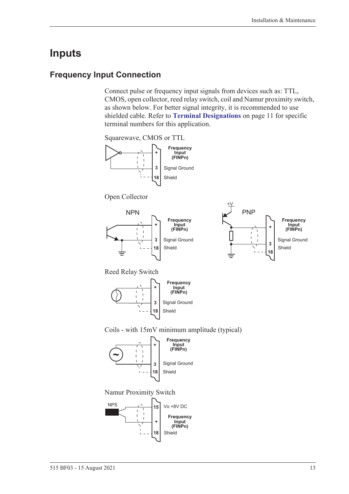## <span id="page-22-0"></span>**Inputs**

### <span id="page-22-1"></span>**Frequency Input Connection**

Connect pulse or frequency input signals from devices such as: TTL, CMOS, open collector, reed relay switch, coil and Namur proximity switch, as shown below. For better signal integrity, it is recommended to use shielded cable. Refer to **[Terminal Designations](#page-20-0)** on page 11 for specific terminal numbers for this application.

Squarewave, CMOS or TTL



Open Collector





Reed Relay Switch



Coils - with 15mV minimum amplitude (typical)



Namur Proximity Switch

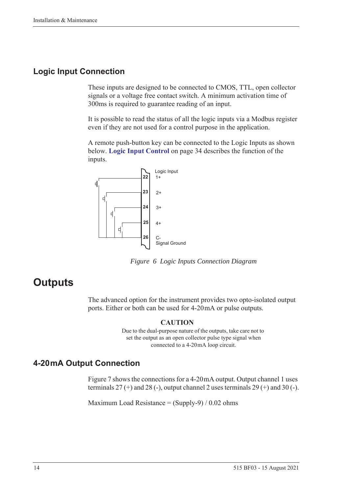## <span id="page-23-0"></span>**Logic Input Connection**

These inputs are designed to be connected to CMOS, TTL, open collector signals or a voltage free contact switch. A minimum activation time of 300ms is required to guarantee reading of an input.

It is possible to read the status of all the logic inputs via a Modbus register even if they are not used for a control purpose in the application.

A remote push-button key can be connected to the Logic Inputs as shown below. **[Logic Input Control](#page-43-2)** on page 34 describes the function of the inputs.



*Figure 6 Logic Inputs Connection Diagram*

## <span id="page-23-1"></span>**Outputs**

<span id="page-23-3"></span>The advanced option for the instrument provides two opto-isolated output ports. Either or both can be used for 4-20 mA or pulse outputs.

#### **CAUTION**

Due to the dual-purpose nature of the outputs, take care not to set the output as an open collector pulse type signal when connected to a 4-20mA loop circuit.

### <span id="page-23-2"></span>**4-20 mA Output Connection**

[Figure 7](#page-24-1) shows the connections for a 4-20 mA output. Output channel 1 uses terminals  $27$  (+) and  $28$  (-), output channel 2 uses terminals  $29$  (+) and  $30$  (-).

Maximum Load Resistance =  $(Supply-9) / 0.02$  ohms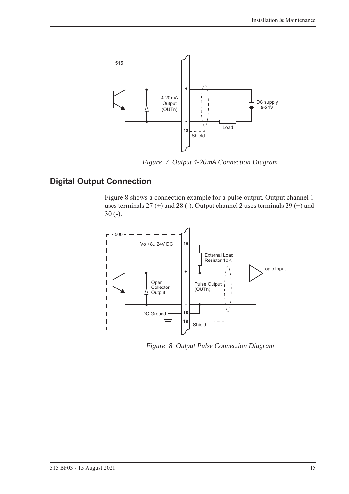

*Figure 7 Output 4-20 mA Connection Diagram*

## <span id="page-24-0"></span>**Digital Output Connection**

<span id="page-24-1"></span>[Figure 8](#page-24-2) shows a connection example for a pulse output. Output channel 1 uses terminals 27 (+) and 28 (-). Output channel 2 uses terminals 29 (+) and 30 (-).



<span id="page-24-2"></span>*Figure 8 Output Pulse Connection Diagram*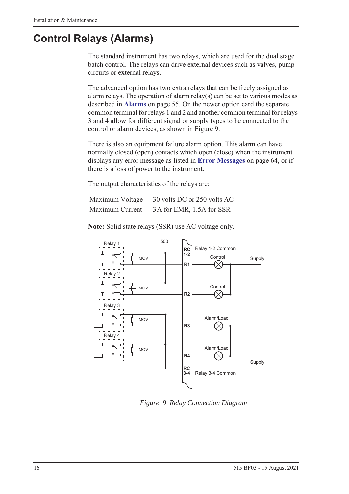# <span id="page-25-0"></span>**Control Relays (Alarms)**

The standard instrument has two relays, which are used for the dual stage batch control. The relays can drive external devices such as valves, pump circuits or external relays.

The advanced option has two extra relays that can be freely assigned as alarm relays. The operation of alarm relay(s) can be set to various modes as described in **Alarms** [on page 55](#page-64-1). On the newer option card the separate common terminal for relays 1 and 2 and another common terminal for relays 3 and 4 allow for different signal or supply types to be connected to the control or alarm devices, as shown in [Figure 9.](#page-25-1)

There is also an equipment failure alarm option. This alarm can have normally closed (open) contacts which open (close) when the instrument displays any error message as listed in **[Error Messages](#page-73-2)** on page 64, or if there is a loss of power to the instrument.

The output characteristics of the relays are:

| Maximum Voltage | 30 volts DC or 250 volts AC |
|-----------------|-----------------------------|
| Maximum Current | 3A for EMR, 1.5A for SSR    |

**Note:** Solid state relays (SSR) use AC voltage only.



<span id="page-25-1"></span>*Figure 9 Relay Connection Diagram*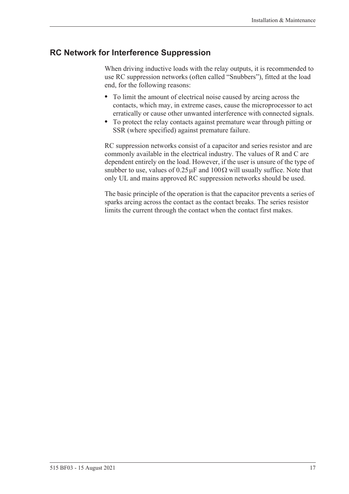#### <span id="page-26-0"></span>**RC Network for Interference Suppression**

When driving inductive loads with the relay outputs, it is recommended to use RC suppression networks (often called "Snubbers"), fitted at the load end, for the following reasons:

- **•** To limit the amount of electrical noise caused by arcing across the contacts, which may, in extreme cases, cause the microprocessor to act erratically or cause other unwanted interference with connected signals.
- **•** To protect the relay contacts against premature wear through pitting or SSR (where specified) against premature failure.

RC suppression networks consist of a capacitor and series resistor and are commonly available in the electrical industry. The values of R and C are dependent entirely on the load. However, if the user is unsure of the type of snubber to use, values of  $0.25 \mu$ F and  $100 \Omega$  will usually suffice. Note that only UL and mains approved RC suppression networks should be used.

The basic principle of the operation is that the capacitor prevents a series of sparks arcing across the contact as the contact breaks. The series resistor limits the current through the contact when the contact first makes.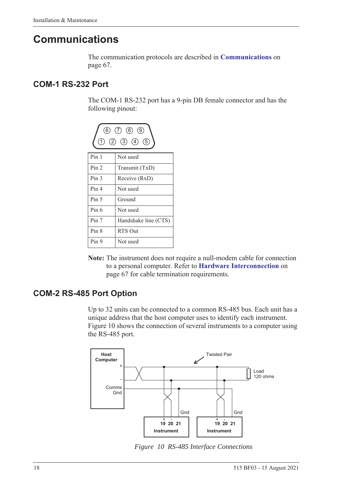## <span id="page-27-0"></span>**Communications**

The communication protocols are described in **[Communications](#page-76-4)** on [page 67.](#page-76-4)

#### <span id="page-27-1"></span>**COM-1 RS-232 Port**

The COM-1 RS-232 port has a 9-pin DB female connector and has the following pinout:



**Note:** The instrument does not require a null-modem cable for connection to a personal computer. Refer to **[Hardware Interconnection](#page-76-5)** on [page 67](#page-76-5) for cable termination requirements.

### <span id="page-27-2"></span>**COM-2 RS-485 Port Option**

Up to 32 units can be connected to a common RS-485 bus. Each unit has a unique address that the host computer uses to identify each instrument. [Figure 10](#page-27-3) shows the connection of several instruments to a computer using the RS-485 port.



<span id="page-27-3"></span>*Figure 10 RS-485 Interface Connections*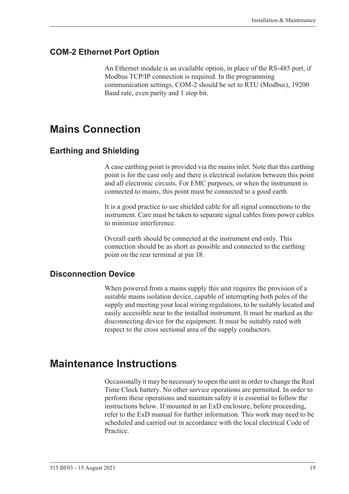### <span id="page-28-0"></span>**COM-2 Ethernet Port Option**

An Ethernet module is an available option, in place of the RS-485 port, if Modbus TCP/IP connection is required. In the programming communication settings, COM-2 should be set to RTU (Modbus), 19200 Baud rate, even parity and 1 stop bit.

## <span id="page-28-1"></span>**Mains Connection**

#### <span id="page-28-2"></span>**Earthing and Shielding**

A case earthing point is provided via the mains inlet. Note that this earthing point is for the case only and there is electrical isolation between this point and all electronic circuits. For EMC purposes, or when the instrument is connected to mains, this point must be connected to a good earth.

It is a good practice to use shielded cable for all signal connections to the instrument. Care must be taken to separate signal cables from power cables to minimize interference.

Overall earth should be connected at the instrument end only. This connection should be as short as possible and connected to the earthing point on the rear terminal at pin 18.

#### <span id="page-28-3"></span>**Disconnection Device**

When powered from a mains supply this unit requires the provision of a suitable mains isolation device, capable of interrupting both poles of the supply and meeting your local wiring regulations, to be suitably located and easily accessible near to the installed instrument. It must be marked as the disconnecting device for the equipment. It must be suitably rated with respect to the cross sectional area of the supply conductors.

## <span id="page-28-4"></span>**Maintenance Instructions**

Occasionally it may be necessary to open the unit in order to change the Real Time Clock battery. No other service operations are permitted. In order to perform these operations and maintain safety it is essential to follow the instructions below. If mounted in an ExD enclosure, before proceeding, refer to the ExD manual for further information. This work may need to be scheduled and carried out in accordance with the local electrical Code of Practice.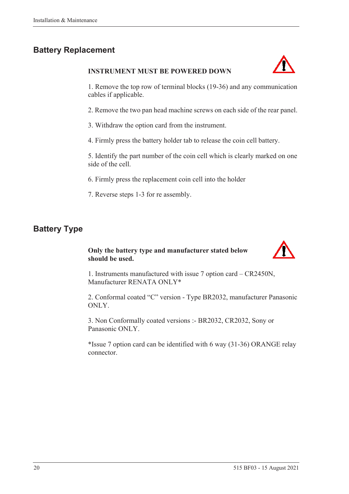## <span id="page-29-0"></span>**Battery Replacement**

#### **INSTRUMENT MUST BE POWERED DOWN**

1. Remove the top row of terminal blocks (19-36) and any communication cables if applicable.

2. Remove the two pan head machine screws on each side of the rear panel.

3. Withdraw the option card from the instrument.

4. Firmly press the battery holder tab to release the coin cell battery.

5. Identify the part number of the coin cell which is clearly marked on one side of the cell.

- 6. Firmly press the replacement coin cell into the holder
- 7. Reverse steps 1-3 for re assembly.

## <span id="page-29-1"></span>**Battery Type**

**Only the battery type and manufacturer stated below should be used.** 



1. Instruments manufactured with issue 7 option card – CR2450N, Manufacturer RENATA ONLY\*

2. Conformal coated "C" version - Type BR2032, manufacturer Panasonic ONLY.

3. Non Conformally coated versions :- BR2032, CR2032, Sony or Panasonic ONLY.

\*Issue 7 option card can be identified with 6 way (31-36) ORANGE relay connector.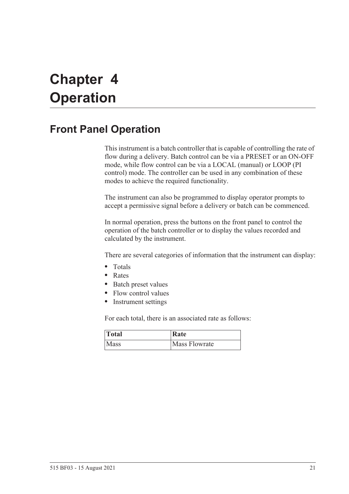# <span id="page-30-0"></span>**Chapter 4 Operation**

# <span id="page-30-1"></span>**Front Panel Operation**

This instrument is a batch controller that is capable of controlling the rate of flow during a delivery. Batch control can be via a PRESET or an ON-OFF mode, while flow control can be via a LOCAL (manual) or LOOP (PI control) mode. The controller can be used in any combination of these modes to achieve the required functionality.

The instrument can also be programmed to display operator prompts to accept a permissive signal before a delivery or batch can be commenced.

In normal operation, press the buttons on the front panel to control the operation of the batch controller or to display the values recorded and calculated by the instrument.

There are several categories of information that the instrument can display:

- **•** Totals
- **•** Rates
- **•** Batch preset values
- **•** Flow control values
- **•** Instrument settings

For each total, there is an associated rate as follows:

| Total | Rate                 |
|-------|----------------------|
| Mass  | <b>Mass Flowrate</b> |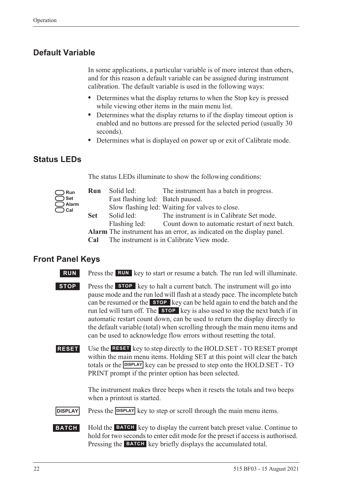## <span id="page-31-0"></span>**Default Variable**

In some applications, a particular variable is of more interest than others, and for this reason a default variable can be assigned during instrument calibration. The default variable is used in the following ways:

- **•** Determines what the display returns to when the Stop key is pressed while viewing other items in the main menu list.
- **•** Determines what the display returns to if the display timeout option is enabled and no buttons are pressed for the selected period (usually 30 seconds).
- **•** Determines what is displayed on power up or exit of Calibrate mode.

## <span id="page-31-1"></span>**Status LEDs**

The status LEDs illuminate to show the following conditions:

| Run          |
|--------------|
| Set          |
| <b>Alarm</b> |
| Cal          |

|            | <b>Run</b> Solid led:            | The instrument has a batch in progress.                               |
|------------|----------------------------------|-----------------------------------------------------------------------|
|            | Fast flashing led: Batch paused. |                                                                       |
|            |                                  | Slow flashing led: Waiting for valves to close.                       |
| <b>Set</b> | Solid led:                       | The instrument is in Calibrate Set mode.                              |
|            |                                  | Flashing led: Count down to automatic restart of next batch.          |
|            |                                  | Alarm The instrument has an error, as indicated on the display panel. |
|            |                                  | <b>Cal</b> The instrument is in Calibrate View mode.                  |
|            |                                  |                                                                       |

## <span id="page-31-2"></span>**Front Panel Keys**

**RUN** Press the **RUN** key to start or resume a batch. The run led will illuminate.

- **STOP** Press the **STOP** key to halt a current batch. The instrument will go into pause mode and the run led will flash at a steady pace. The incomplete batch can be resumed or the **STOP** key can be held again to end the batch and the run led will turn off. The **STOP** key is also used to stop the next batch if in automatic restart count down, can be used to return the display directly to the default variable (total) when scrolling through the main menu items and can be used to acknowledge flow errors without resetting the total.
- **RESET** Use the **RESET** key to step directly to the HOLD.SET TO RESET prompt within the main menu items. Holding SET at this point will clear the batch totals or the **DISPLAY** key can be pressed to step onto the HOLD.SET - TO PRINT prompt if the printer option has been selected.

The instrument makes three beeps when it resets the totals and two beeps when a printout is started.

- **DISPLAY** Press the **DISPLAY** key to step or scroll through the main menu items.
- **BATCH** Hold the **BATCH** key to display the current batch preset value. Continue to hold for two seconds to enter edit mode for the preset if access is authorised. Pressing the **BATCH** key briefly displays the accumulated total.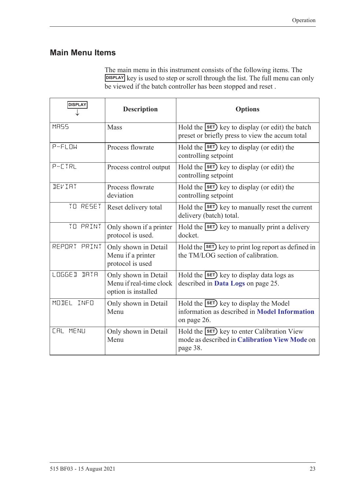## <span id="page-32-0"></span>**Main Menu Items**

The main menu in this instrument consists of the following items. The key is used to step or scroll through the list. The full menu can only be viewed if the batch controller has been stopped and reset . **DISPLAY**

| <b>DISPLAY</b>  | <b>Description</b>                                                     | <b>Options</b>                                                                                                     |
|-----------------|------------------------------------------------------------------------|--------------------------------------------------------------------------------------------------------------------|
| <b>MR55</b>     | Mass                                                                   | Hold the SET) key to display (or edit) the batch<br>preset or briefly press to view the accum total                |
| P-FLOW          | Process flowrate                                                       | Hold the SET key to display (or edit) the<br>controlling setpoint                                                  |
| P-ETRL          | Process control output                                                 | Hold the <b>SET</b> ) key to display (or edit) the<br>controlling setpoint                                         |
| <b>JEVIAT</b>   | Process flowrate<br>deviation                                          | Hold the SET) key to display (or edit) the<br>controlling setpoint                                                 |
| TO RESET        | Reset delivery total                                                   | Hold the <b>SET</b> ) key to manually reset the current<br>delivery (batch) total.                                 |
| TO PRINT        | Only shown if a printer<br>protocol is used.                           | Hold the <b>SET</b> ) key to manually print a delivery<br>docket.                                                  |
| REPORT PRINT    | Only shown in Detail<br>Menu if a printer<br>protocol is used          | Hold the SET key to print log report as defined in<br>the TM/LOG section of calibration.                           |
| LOGGED DATA     | Only shown in Detail<br>Menu if real-time clock<br>option is installed | Hold the SET key to display data logs as<br>described in Data Logs on page 25.                                     |
| MODEL INFO      | Only shown in Detail<br>Menu                                           | Hold the SET key to display the Model<br>information as described in Model Information<br>on page 26.              |
| <b>CAL MENU</b> | Only shown in Detail<br>Menu                                           | Hold the $ \text{SET} $ key to enter Calibration View<br>mode as described in Calibration View Mode on<br>page 38. |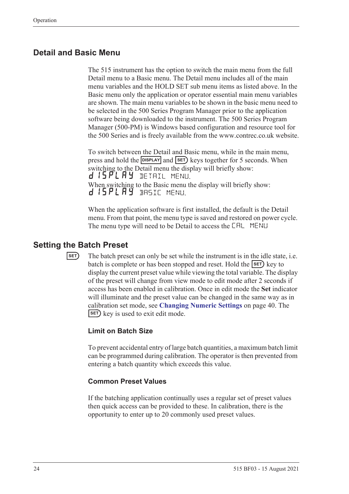## <span id="page-33-0"></span>**Detail and Basic Menu**

The 515 instrument has the option to switch the main menu from the full Detail menu to a Basic menu. The Detail menu includes all of the main menu variables and the HOLD SET sub menu items as listed above. In the Basic menu only the application or operator essential main menu variables are shown. The main menu variables to be shown in the basic menu need to be selected in the 500 Series Program Manager prior to the application software being downloaded to the instrument. The 500 Series Program Manager (500-PM) is Windows based configuration and resource tool for the 500 Series and is freely available from the www.contrec.co.uk website.

To switch between the Detail and Basic menu, while in the main menu, press and hold the **DISPLAY** and **SET**) keys together for 5 seconds. When switching to the Detail menu the display will briefly show: d 15 PL A Y DETAIL MENU. When switching to the Basic menu the display will briefly show: d ISPLAY BASIC MENU

When the application software is first installed, the default is the Detail menu. From that point, the menu type is saved and restored on power cycle. The menu type will need to be Detail to access the CAL MENU

## <span id="page-33-1"></span>**Setting the Batch Preset**

**SET**

The batch preset can only be set while the instrument is in the idle state, i.e. batch is complete or has been stopped and reset. Hold the **SET** key to display the current preset value while viewing the total variable. The display of the preset will change from view mode to edit mode after 2 seconds if access has been enabled in calibration. Once in edit mode the **Set** indicator will illuminate and the preset value can be changed in the same way as in calibration set mode, see **[Changing Numeric Settings](#page-49-1)** on page 40. The key is used to exit edit mode. **SET**

#### **Limit on Batch Size**

To prevent accidental entry of large batch quantities, a maximum batch limit can be programmed during calibration. The operator is then prevented from entering a batch quantity which exceeds this value.

#### **Common Preset Values**

If the batching application continually uses a regular set of preset values then quick access can be provided to these. In calibration, there is the opportunity to enter up to 20 commonly used preset values.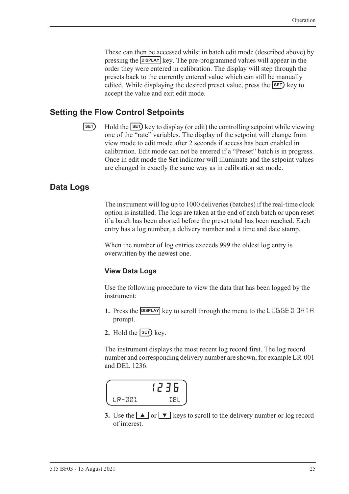These can then be accessed whilst in batch edit mode (described above) by pressing the **DISPLAY** key. The pre-programmed values will appear in the order they were entered in calibration. The display will step through the presets back to the currently entered value which can still be manually edited. While displaying the desired preset value, press the **SET** key to accept the value and exit edit mode.

#### <span id="page-34-0"></span>**Setting the Flow Control Setpoints**

**EXECUTE:** Hold the **SET** key to display (or edit) the controlling setpoint while viewing one of the "rate" variables. The display of the setpoint will change from view mode to edit mode after 2 seconds if access has been enabled in calibration. Edit mode can not be entered if a "Preset" batch is in progress. Once in edit mode the **Set** indicator will illuminate and the setpoint values are changed in exactly the same way as in calibration set mode.

#### <span id="page-34-1"></span>**Data Logs**

The instrument will log up to 1000 deliveries (batches) if the real-time clock option is installed. The logs are taken at the end of each batch or upon reset if a batch has been aborted before the preset total has been reached. Each entry has a log number, a delivery number and a time and date stamp.

When the number of log entries exceeds 999 the oldest log entry is overwritten by the newest one.

#### **View Data Logs**

Use the following procedure to view the data that has been logged by the instrument:

- **1.** Press the **DISPLAY** key to scroll through the menu to the LOGGE D DATA prompt.
- **2.** Hold the  $\overline{\text{SET}}$  key.

The instrument displays the most recent log record first. The log record number and corresponding delivery number are shown, for example LR-001 and DEL 1236.



**3.** Use the  $\Box$  or  $\Box$  keys to scroll to the delivery number or log record of interest.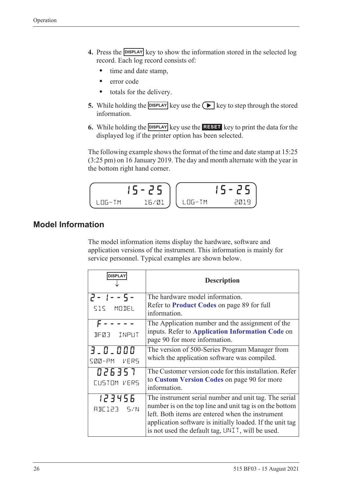- 4. Press the **DISPLAY** key to show the information stored in the selected log record. Each log record consists of:
	- time and date stamp,
	- **•** error code
	- **•** totals for the delivery.
- **5.** While holding the  $\boxed{\text{DISPLAN}}$  key use the  $\boxed{\blacktriangleright}$  key to step through the stored information.
- **6.** While holding the **DISPLAY** key use the **RESET** key to print the data for the displayed log if the printer option has been selected.

The following example shows the format of the time and date stamp at 15:25 (3:25 pm) on 16 January 2019. The day and month alternate with the year in the bottom right hand corner.

$$
\begin{array}{|c|c|c|c|}\n\hline\n & 15-25 \\
 & 15-25 \\
\hline\n & 16-21 \\
\hline\n\end{array}\n\quad\n\begin{array}{|c|c|}\n\hline\n & 15-25 \\
 & 15-25 \\
\hline\n & 2019\n\end{array}
$$

#### <span id="page-35-0"></span>**Model Information**

The model information items display the hardware, software and application versions of the instrument. This information is mainly for service personnel. Typical examples are shown below.

| <b>DISPLAY</b>             | <b>Description</b>                                                                                                                                                                                                                                                                    |
|----------------------------|---------------------------------------------------------------------------------------------------------------------------------------------------------------------------------------------------------------------------------------------------------------------------------------|
| $7 - 1 - 5 -$<br>515 MODEL | The hardware model information.<br>Refer to <b>Product Codes</b> on page 89 for full<br>information.                                                                                                                                                                                  |
| BF03 INPUT                 | The Application number and the assignment of the<br>inputs. Refer to Application Information Code on<br>page 90 for more information.                                                                                                                                                 |
| 3.0.000<br>SØØ-PM VERS     | The version of 500-Series Program Manager from<br>which the application software was compiled.                                                                                                                                                                                        |
| 026357<br>CUSTOM VERS      | The Customer version code for this installation. Refer<br>to Custom Version Codes on page 90 for more<br>information.                                                                                                                                                                 |
| 123456<br>RBE123 5/N       | The instrument serial number and unit tag. The serial<br>number is on the top line and unit tag is on the bottom<br>left. Both items are entered when the instrument<br>application software is initially loaded. If the unit tag<br>is not used the default tag, UNIT, will be used. |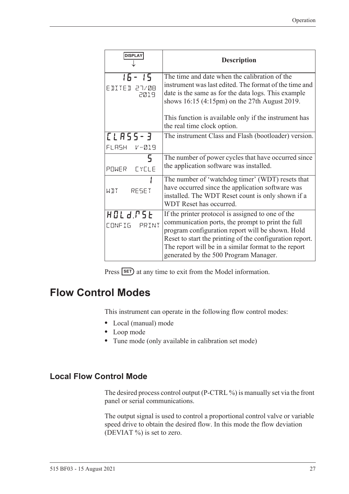| <b>DISPLAY</b>                    | <b>Description</b>                                                                                                                                                                                                                                                                                                      |
|-----------------------------------|-------------------------------------------------------------------------------------------------------------------------------------------------------------------------------------------------------------------------------------------------------------------------------------------------------------------------|
| $15 - 15$<br>EDITED 27/08<br>2019 | The time and date when the calibration of the<br>instrument was last edited. The format of the time and<br>date is the same as for the data logs. This example<br>shows $16:15$ (4:15pm) on the 27th August 2019.<br>This function is available only if the instrument has<br>the real time clock option.               |
| [LA55-3<br>FLASH I<br>$V - Q$ 19  | The instrument Class and Flash (bootloader) version.                                                                                                                                                                                                                                                                    |
| 5<br>POWER EYELE                  | The number of power cycles that have occurred since<br>the application software was installed.                                                                                                                                                                                                                          |
| WITT<br>RESET                     | The number of 'watchdog timer' (WDT) resets that<br>have occurred since the application software was<br>installed. The WDT Reset count is only shown if a<br>WDT Reset has occurred.                                                                                                                                    |
| HOLd.PSE<br>CONFIG<br>PRINT       | If the printer protocol is assigned to one of the<br>communication ports, the prompt to print the full<br>program configuration report will be shown. Hold<br>Reset to start the printing of the configuration report.<br>The report will be in a similar format to the report<br>generated by the 500 Program Manager. |

Press **SET**) at any time to exit from the Model information.

# **Flow Control Modes**

This instrument can operate in the following flow control modes:

- **•** Local (manual) mode
- **•** Loop mode
- **•** Tune mode (only available in calibration set mode)

#### **Local Flow Control Mode**

The desired process control output (P-CTRL %) is manually set via the front panel or serial communications.

The output signal is used to control a proportional control valve or variable speed drive to obtain the desired flow. In this mode the flow deviation (DEVIAT  $\%$ ) is set to zero.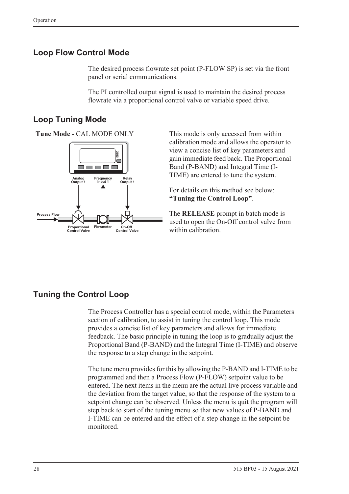#### **Loop Flow Control Mode**

The desired process flowrate set point (P-FLOW SP) is set via the front panel or serial communications.

The PI controlled output signal is used to maintain the desired process flowrate via a proportional control valve or variable speed drive.

#### **Loop Tuning Mode**



**Tune Mode** - CAL MODE ONLY This mode is only accessed from within calibration mode and allows the operator to view a concise list of key parameters and gain immediate feed back. The Proportional Band (P-BAND) and Integral Time (I-TIME) are entered to tune the system.

> For details on this method see below: **"Tuning the Control Loop"**.

The **RELEASE** prompt in batch mode is used to open the On-Off control valve from **Chi-Off**<br>
Introl Valve Within calibration.

#### <span id="page-37-0"></span>**Tuning the Control Loop**

The Process Controller has a special control mode, within the Parameters section of calibration, to assist in tuning the control loop. This mode provides a concise list of key parameters and allows for immediate feedback. The basic principle in tuning the loop is to gradually adjust the Proportional Band (P-BAND) and the Integral Time (I-TIME) and observe the response to a step change in the setpoint.

The tune menu provides for this by allowing the P-BAND and I-TIME to be programmed and then a Process Flow (P-FLOW) setpoint value to be entered. The next items in the menu are the actual live process variable and the deviation from the target value, so that the response of the system to a setpoint change can be observed. Unless the menu is quit the program will step back to start of the tuning menu so that new values of P-BAND and I-TIME can be entered and the effect of a step change in the setpoint be monitored.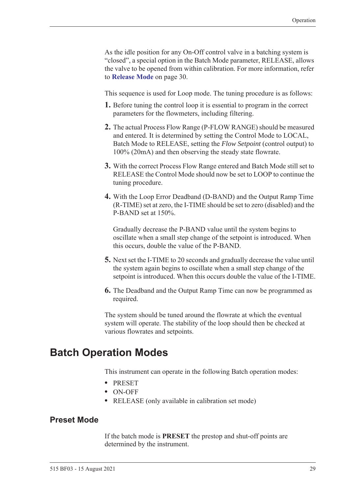As the idle position for any On-Off control valve in a batching system is "closed", a special option in the Batch Mode parameter, RELEASE, allows the valve to be opened from within calibration. For more information, refer to **[Release Mode](#page-39-0)** on page 30.

This sequence is used for Loop mode. The tuning procedure is as follows:

- **1.** Before tuning the control loop it is essential to program in the correct parameters for the flowmeters, including filtering.
- **2.** The actual Process Flow Range (P-FLOW RANGE) should be measured and entered. It is determined by setting the Control Mode to LOCAL, Batch Mode to RELEASE, setting the *Flow Setpoint* (control output) to 100% (20mA) and then observing the steady state flowrate.
- **3.** With the correct Process Flow Range entered and Batch Mode still set to RELEASE the Control Mode should now be set to LOOP to continue the tuning procedure.
- **4.** With the Loop Error Deadband (D-BAND) and the Output Ramp Time (R-TIME) set at zero, the I-TIME should be set to zero (disabled) and the P-BAND set at 150%.

Gradually decrease the P-BAND value until the system begins to oscillate when a small step change of the setpoint is introduced. When this occurs, double the value of the P-BAND.

- **5.** Next set the I-TIME to 20 seconds and gradually decrease the value until the system again begins to oscillate when a small step change of the setpoint is introduced. When this occurs double the value of the I-TIME.
- **6.** The Deadband and the Output Ramp Time can now be programmed as required.

The system should be tuned around the flowrate at which the eventual system will operate. The stability of the loop should then be checked at various flowrates and setpoints.

# **Batch Operation Modes**

This instrument can operate in the following Batch operation modes:

- **•** PRESET
- **•** ON-OFF
- **•** RELEASE (only available in calibration set mode)

#### **Preset Mode**

If the batch mode is **PRESET** the prestop and shut-off points are determined by the instrument.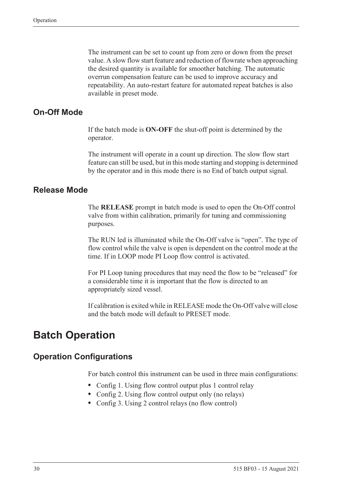The instrument can be set to count up from zero or down from the preset value. A slow flow start feature and reduction of flowrate when approaching the desired quantity is available for smoother batching. The automatic overrun compensation feature can be used to improve accuracy and repeatability. An auto-restart feature for automated repeat batches is also available in preset mode.

#### **On-Off Mode**

If the batch mode is **ON-OFF** the shut-off point is determined by the operator.

The instrument will operate in a count up direction. The slow flow start feature can still be used, but in this mode starting and stopping is determined by the operator and in this mode there is no End of batch output signal.

#### <span id="page-39-0"></span>**Release Mode**

The **RELEASE** prompt in batch mode is used to open the On-Off control valve from within calibration, primarily for tuning and commissioning purposes.

The RUN led is illuminated while the On-Off valve is "open". The type of flow control while the valve is open is dependent on the control mode at the time. If in LOOP mode PI Loop flow control is activated.

For PI Loop tuning procedures that may need the flow to be "released" for a considerable time it is important that the flow is directed to an appropriately sized vessel.

If calibration is exited while in RELEASE mode the On-Off valve will close and the batch mode will default to PRESET mode.

# **Batch Operation**

#### **Operation Configurations**

For batch control this instrument can be used in three main configurations:

- **•** Config 1. Using flow control output plus 1 control relay
- **•** Config 2. Using flow control output only (no relays)
- Config 3. Using 2 control relays (no flow control)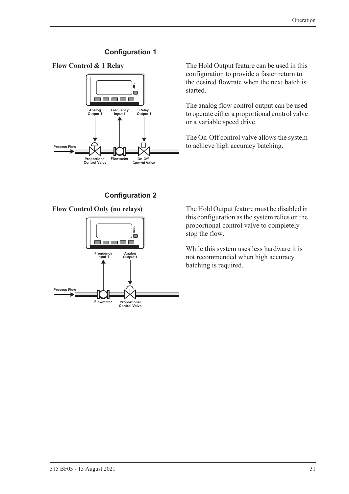#### **Configuration 1**



**Flow Control & 1 Relay** The Hold Output feature can be used in this configuration to provide a faster return to the desired flowrate when the next batch is started.

> The analog flow control output can be used to operate either a proportional control valve or a variable speed drive.

> The On-Off control valve allows the system to achieve high accuracy batching.

**Configuration 2**



**Flow Control Only (no relays)** The Hold Output feature must be disabled in this configuration as the system relies on the proportional control valve to completely stop the flow.

> While this system uses less hardware it is not recommended when high accuracy batching is required.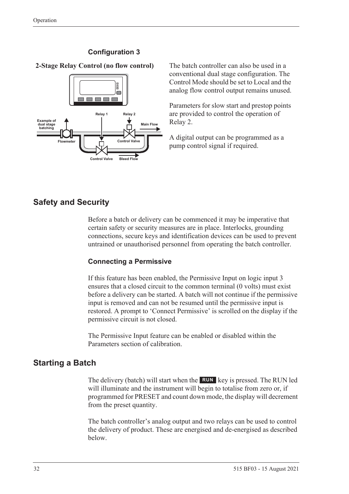

**Configuration 3**

**2-Stage Relay Control (no flow control)** The batch controller can also be used in a conventional dual stage configuration. The Control Mode should be set to Local and the analog flow control output remains unused.

> Parameters for slow start and prestop points are provided to control the operation of Relay 2.

A digital output can be programmed as a pump control signal if required.

### **Safety and Security**

Before a batch or delivery can be commenced it may be imperative that certain safety or security measures are in place. Interlocks, grounding connections, secure keys and identification devices can be used to prevent untrained or unauthorised personnel from operating the batch controller.

#### **Connecting a Permissive**

If this feature has been enabled, the Permissive Input on logic input 3 ensures that a closed circuit to the common terminal (0 volts) must exist before a delivery can be started. A batch will not continue if the permissive input is removed and can not be resumed until the permissive input is restored. A prompt to 'Connect Permissive' is scrolled on the display if the permissive circuit is not closed.

The Permissive Input feature can be enabled or disabled within the Parameters section of calibration.

#### **Starting a Batch**

The delivery (batch) will start when the **RUN** key is pressed. The RUN led will illuminate and the instrument will begin to totalise from zero or, if programmed for PRESET and count down mode, the display will decrement from the preset quantity.

The batch controller's analog output and two relays can be used to control the delivery of product. These are energised and de-energised as described below.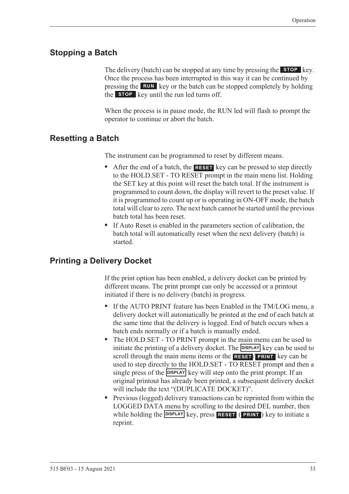#### **Stopping a Batch**

The delivery (batch) can be stopped at any time by pressing the **STOP** key. Once the process has been interrupted in this way it can be continued by pressing the RUN key or the batch can be stopped completely by holding the **STOP** key until the run led turns off.

When the process is in pause mode, the RUN led will flash to prompt the operator to continue or abort the batch.

#### **Resetting a Batch**

The instrument can be programmed to reset by different means.

- After the end of a batch, the **RESET** key can be pressed to step directly to the HOLD.SET - TO RESET prompt in the main menu list. Holding the SET key at this point will reset the batch total. If the instrument is programmed to count down, the display will revert to the preset value. If it is programmed to count up or is operating in ON-OFF mode, the batch total will clear to zero. The next batch cannot be started until the previous batch total has been reset.
- **•** If Auto Reset is enabled in the parameters section of calibration, the batch total will automatically reset when the next delivery (batch) is started.

#### **Printing a Delivery Docket**

If the print option has been enabled, a delivery docket can be printed by different means. The print prompt can only be accessed or a printout initiated if there is no delivery (batch) in progress.

- **•** If the AUTO PRINT feature has been Enabled in the TM/LOG menu, a delivery docket will automatically be printed at the end of each batch at the same time that the delivery is logged. End of batch occurs when a batch ends normally or if a batch is manually ended.
- **•** The HOLD.SET TO PRINT prompt in the main menu can be used to initiate the printing of a delivery docket. The **DISPLAY** key can be used to scroll through the main menu items or the **RESET PRINT** key can be used to step directly to the HOLD.SET - TO RESET prompt and then a single press of the **DISPLAY** key will step onto the print prompt. If an original printout has already been printed, a subsequent delivery docket will include the text "(DUPLICATE DOCKET)".
- **•** Previous (logged) delivery transactions can be reprinted from within the LOGGED DATA menu by scrolling to the desired DEL number, then while holding the **DISPLAY** key, press **RESET** ( **PRINT** ) key to initiate a reprint.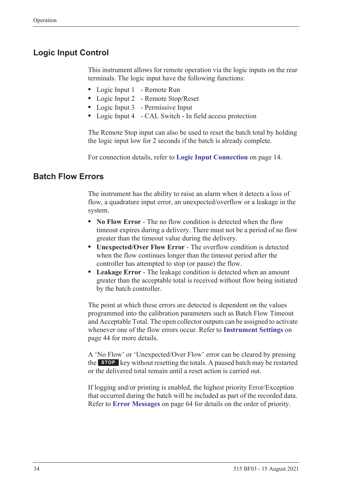#### <span id="page-43-0"></span>**Logic Input Control**

This instrument allows for remote operation via the logic inputs on the rear terminals. The logic input have the following functions:

- **•** Logic Input 1 Remote Run
- **•** Logic Input 2 Remote Stop/Reset
- **•** Logic Input 3 Permissive Input
- **•** Logic Input 4 CAL Switch In field access protection

The Remote Stop input can also be used to reset the batch total by holding the logic input low for 2 seconds if the batch is already complete.

For connection details, refer to **[Logic Input Connection](#page-23-0)** on page 14.

#### **Batch Flow Errors**

The instrument has the ability to raise an alarm when it detects a loss of flow, a quadrature input error, an unexpected/overflow or a leakage in the system.

- **• No Flow Error** The no flow condition is detected when the flow timeout expires during a delivery. There must not be a period of no flow greater than the timeout value during the delivery.
- **• Unexpected/Over Flow Error** The overflow condition is detected when the flow continues longer than the timeout period after the controller has attempted to stop (or pause) the flow.
- **• Leakage Error** The leakage condition is detected when an amount greater than the acceptable total is received without flow being initiated by the batch controller.

The point at which these errors are detected is dependent on the values programmed into the calibration parameters such as Batch Flow Timeout and Acceptable Total. The open collector outputs can be assigned to activate whenever one of the flow errors occur. Refer to **[Instrument Settings](#page-53-0)** on [page 44](#page-53-0) for more details.

A 'No Flow' or 'Unexpected/Over Flow' error can be cleared by pressing the **STOP** key without resetting the totals. A paused batch may be restarted or the delivered total remain until a reset action is carried out.

If logging and/or printing is enabled, the highest priority Error/Exception that occurred during the batch will be included as part of the recorded data. Refer to **[Error Messages](#page-73-0)** on page 64 for details on the order of priority.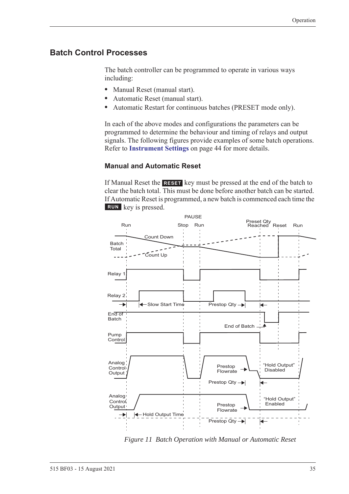#### **Batch Control Processes**

The batch controller can be programmed to operate in various ways including:

- **•** Manual Reset (manual start).
- **•** Automatic Reset (manual start).
- **•** Automatic Restart for continuous batches (PRESET mode only).

In each of the above modes and configurations the parameters can be programmed to determine the behaviour and timing of relays and output signals. The following figures provide examples of some batch operations. Refer to **[Instrument Settings](#page-53-0)** on page 44 for more details.

#### **Manual and Automatic Reset**

If Manual Reset the **RESET** key must be pressed at the end of the batch to clear the batch total. This must be done before another batch can be started. If Automatic Reset is programmed, a new batch is commenced each time the **RUN** key is pressed.



*Figure 11 Batch Operation with Manual or Automatic Reset*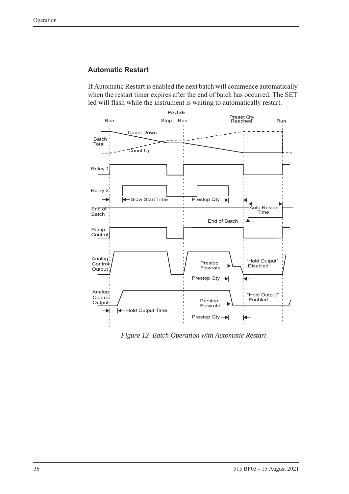#### **Automatic Restart**

If Automatic Restart is enabled the next batch will commence automatically when the restart timer expires after the end of batch has occurred. The SET led will flash while the instrument is waiting to automatically restart.



*Figure 12 Batch Operation with Automatic Restart*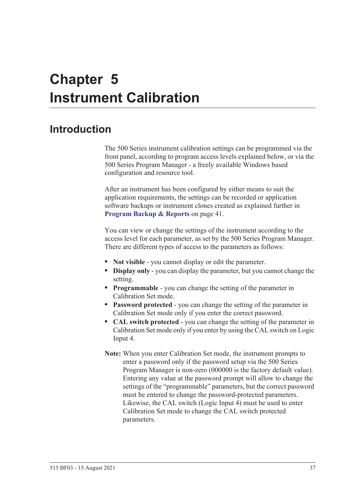# **Chapter 5 Instrument Calibration**

# **Introduction**

The 500 Series instrument calibration settings can be programmed via the front panel, according to program access levels explained below, or via the 500 Series Program Manager - a freely available Windows based configuration and resource tool.

After an instrument has been configured by either means to suit the application requirements, the settings can be recorded or application software backups or instrument clones created as explained further in **[Program Backup & Reports](#page-50-0)** on page 41.

You can view or change the settings of the instrument according to the access level for each parameter, as set by the 500 Series Program Manager. There are different types of access to the parameters as follows:

- **• Not visible** you cannot display or edit the parameter.
- **• Display only** you can display the parameter, but you cannot change the setting.
- **• Programmable** you can change the setting of the parameter in Calibration Set mode.
- **• Password protected** you can change the setting of the parameter in Calibration Set mode only if you enter the correct password.
- **• CAL switch protected**  you can change the setting of the parameter in Calibration Set mode only if you enter by using the CAL switch on Logic Input 4.
- **Note:** When you enter Calibration Set mode, the instrument prompts to enter a password only if the password setup via the 500 Series Program Manager is non-zero (000000 is the factory default value). Entering any value at the password prompt will allow to change the settings of the "programmable" parameters, but the correct password must be entered to change the password-protected parameters. Likewise, the CAL switch (Logic Input 4) must be used to enter Calibration Set mode to change the CAL switch protected parameters.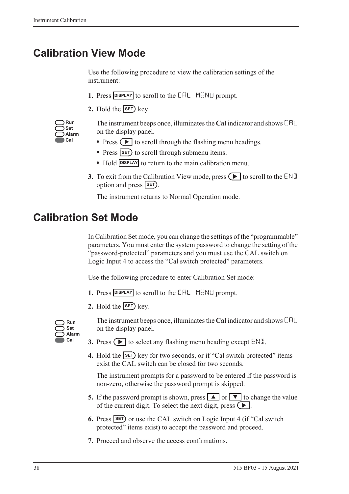# **Calibration View Mode**

Use the following procedure to view the calibration settings of the instrument:

- 1. Press **DISPLAY** to scroll to the **CAL** MENLI prompt.
- **2.** Hold the  $\overline{\text{SET}}$  key.



The instrument beeps once, illuminates the **Cal** indicator and shows CAL on the display panel.

- Press  $\left( \blacktriangleright \right)$  to scroll through the flashing menu headings.
- Press **SET**) to scroll through submenu items.
- Hold **DISPLAY** to return to the main calibration menu.
- **3.** To exit from the Calibration View mode, press  $\Box$  to scroll to the END option and press **SET**).

The instrument returns to Normal Operation mode.

# **Calibration Set Mode**

In Calibration Set mode, you can change the settings of the "programmable" parameters. You must enter the system password to change the setting of the "password-protected" parameters and you must use the CAL switch on Logic Input 4 to access the "Cal switch protected" parameters.

Use the following procedure to enter Calibration Set mode:

- **1.** Press **DISPLAY** to scroll to the **CAL** MENLI prompt.
- **2.** Hold the  $\overline{\text{SET}}$  key.



The instrument beeps once, illuminates the **Cal** indicator and shows CAL on the display panel.

- **3.** Press  $\left( \blacktriangleright \right)$  to select any flashing menu heading except END.
- **4.** Hold the **SET** key for two seconds, or if "Cal switch protected" items exist the CAL switch can be closed for two seconds.

The instrument prompts for a password to be entered if the password is non-zero, otherwise the password prompt is skipped.

- **5.** If the password prompt is shown, press  $\boxed{\blacktriangle}$  or  $\boxed{\blacktriangledown}$  to change the value of the current digit. To select the next digit, press  $\Box$ .
- **6.** Press **SET** or use the CAL switch on Logic Input 4 (if "Cal switch protected" items exist) to accept the password and proceed.
- **7.** Proceed and observe the access confirmations.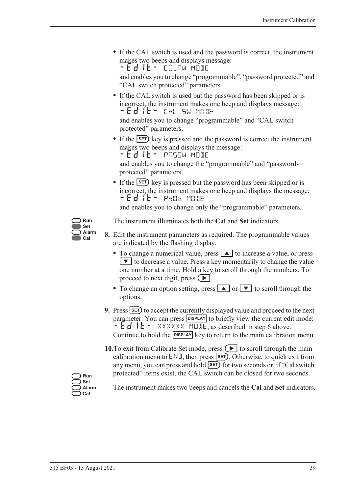**•** If the CAL switch is used and the password is correct, the instrument makes two beeps and displays message:  $-Ed$  it -  $TS$  pw mode

and enables you to change "programmable", "password protected" and "CAL switch protected" parameters.

• If the CAL switch is used but the password has been skipped or is incorrect, the instrument makes one beep and displays message: -EDIT- CAL\_SW MODE

and enables you to change "programmable" and "CAL switch protected" parameters.

- If the **SET**) key is pressed and the password is correct the instrument makes two beeps and displays the message:
	- -EDIT- PASSW MODE and enables you to change the "programmable" and "passwordprotected" parameters.
- If the **SET**) key is pressed but the password has been skipped or is incorrect, the instrument makes one beep and displays the message: -EDIT- PROG MODE

and enables you to change only the "programmable" parameters.



The instrument illuminates both the **Cal** and **Set** indicators.

- **8.** Edit the instrument parameters as required. The programmable values are indicated by the flashing display.
	- To change a numerical value, press **A** to increase a value, or press  $\triangledown$  to decrease a value. Press a key momentarily to change the value one number at a time. Hold a key to scroll through the numbers. To proceed to next digit, press  $(\blacktriangleright)$ .
	- To change an option setting, press  $\Box$  or  $\nabla$  to scroll through the options.
- **9.** Press **SET** to accept the currently displayed value and proceed to the next parameter. You can press **DISPLAY** to briefly view the current edit mode:  $-Ed$   $E - \frac{2}{x}$  XXXXXX MODE, as described in step 6 above. Continue to hold the **DISPLAY** key to return to the main calibration menu.
- **10.**To exit from Calibrate Set mode, press  $\Box$  to scroll through the main calibration menu to  $ENI$ , then press  $SET$ . Otherwise, to quick exit from any menu, you can press and hold **SET** for two seconds or, if "Cal switch protected" items exist, the CAL switch can be closed for two seconds.

**Run Set Alarm Cal**

The instrument makes two beeps and cancels the **Cal** and **Set** indicators.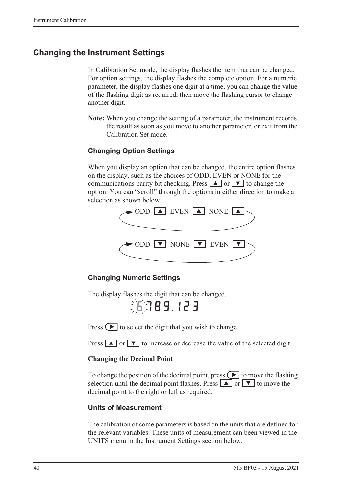#### **Changing the Instrument Settings**

In Calibration Set mode, the display flashes the item that can be changed. For option settings, the display flashes the complete option. For a numeric parameter, the display flashes one digit at a time, you can change the value of the flashing digit as required, then move the flashing cursor to change another digit.

**Note:** When you change the setting of a parameter, the instrument records the result as soon as you move to another parameter, or exit from the Calibration Set mode.

#### **Changing Option Settings**

When you display an option that can be changed, the entire option flashes on the display, such as the choices of ODD, EVEN or NONE for the communications parity bit checking. Press  $\boxed{\blacktriangle}$  or  $\boxed{\blacktriangledown}$  to change the option. You can "scroll" through the options in either direction to make a selection as shown below.



#### **Changing Numeric Settings**

The display flashes the digit that can be changed.

第第89.123

Press  $\left( \blacktriangleright \right)$  to select the digit that you wish to change.

Press  $\boxed{\blacktriangle}$  or  $\boxed{\blacktriangledown}$  to increase or decrease the value of the selected digit.

#### **Changing the Decimal Point**

To change the position of the decimal point, press  $\Box$  to move the flashing selection until the decimal point flashes. Press  $\boxed{\blacktriangle}$  or  $\boxed{\blacktriangledown}$  to move the decimal point to the right or left as required.

#### **Units of Measurement**

The calibration of some parameters is based on the units that are defined for the relevant variables. These units of measurement can been viewed in the UNITS menu in the Instrument Settings section below.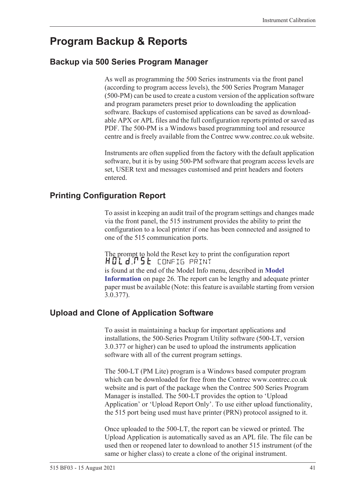# <span id="page-50-0"></span>**Program Backup & Reports**

#### **Backup via 500 Series Program Manager**

As well as programming the 500 Series instruments via the front panel (according to program access levels), the 500 Series Program Manager (500-PM) can be used to create a custom version of the application software and program parameters preset prior to downloading the application software. Backups of customised applications can be saved as downloadable APX or APL files and the full configuration reports printed or saved as PDF. The 500-PM is a Windows based programming tool and resource centre and is freely available from the Contrec www.contrec.co.uk website.

Instruments are often supplied from the factory with the default application software, but it is by using 500-PM software that program access levels are set, USER text and messages customised and print headers and footers entered.

#### **Printing Configuration Report**

To assist in keeping an audit trail of the program settings and changes made via the front panel, the 515 instrument provides the ability to print the configuration to a local printer if one has been connected and assigned to one of the 515 communication ports.

The prompt to hold the Reset key to print the configuration report HOLd.PSE CONFIG PRINT is found at the end of the Model Info menu, described in **[Model](#page-35-0)  [Information](#page-35-0)** on page 26. The report can be lengthy and adequate printer paper must be available (Note: this feature is available starting from version 3.0.377).

#### **Upload and Clone of Application Software**

To assist in maintaining a backup for important applications and installations, the 500-Series Program Utility software (500-LT, version 3.0.377 or higher) can be used to upload the instruments application software with all of the current program settings.

The 500-LT (PM Lite) program is a Windows based computer program which can be downloaded for free from the Contrec www.contrec.co.uk website and is part of the package when the Contrec 500 Series Program Manager is installed. The 500-LT provides the option to 'Upload Application' or 'Upload Report Only'. To use either upload functionality, the 515 port being used must have printer (PRN) protocol assigned to it.

Once uploaded to the 500-LT, the report can be viewed or printed. The Upload Application is automatically saved as an APL file. The file can be used then or reopened later to download to another 515 instrument (of the same or higher class) to create a clone of the original instrument.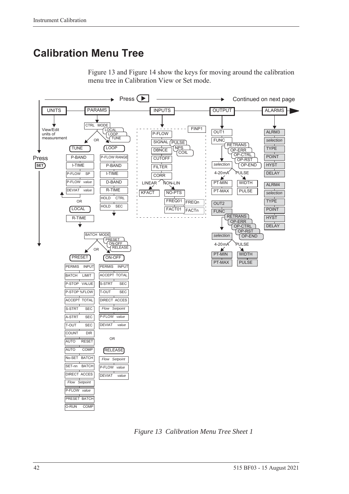# **Calibration Menu Tree**





<span id="page-51-0"></span>*Figure 13 Calibration Menu Tree Sheet 1*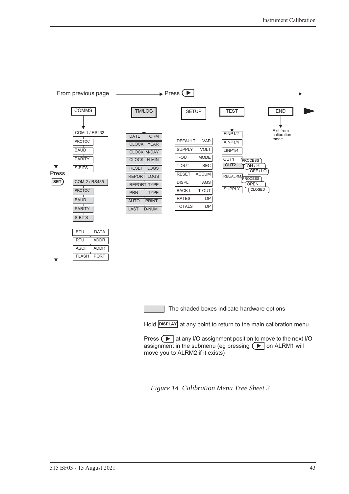

The shaded boxes indicate hardware options

Hold **DISPLAY** at any point to return to the main calibration menu.

Press  $\Box$  at any I/O assignment position to move to the next I/O assignment in the submenu (eg pressing  $\left( \blacktriangleright \right)$  on ALRM1 will move you to ALRM2 if it exists)

<span id="page-52-0"></span>*Figure 14 Calibration Menu Tree Sheet 2*

FLASH PORT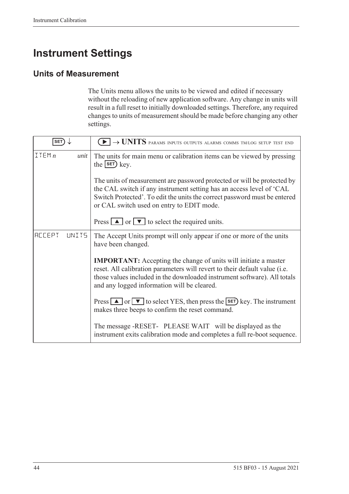# <span id="page-53-0"></span>**Instrument Settings**

#### **Units of Measurement**

The Units menu allows the units to be viewed and edited if necessary without the reloading of new application software. Any change in units will result in a full reset to initially downloaded settings. Therefore, any required changes to units of measurement should be made before changing any other settings.

| <b>SET</b>                | $\blacktriangleright$ $\rightarrow$ UNITS params inputs outputs alarms comms tm/log setup test end                                                                                                                                                                              |
|---------------------------|---------------------------------------------------------------------------------------------------------------------------------------------------------------------------------------------------------------------------------------------------------------------------------|
| ITER <sub>n</sub><br>unit | The units for main menu or calibration items can be viewed by pressing<br>the $\left  \text{set} \right $ key.                                                                                                                                                                  |
|                           | The units of measurement are password protected or will be protected by<br>the CAL switch if any instrument setting has an access level of 'CAL<br>Switch Protected'. To edit the units the correct password must be entered<br>or CAL switch used on entry to EDIT mode.       |
|                           | Press $\boxed{\blacktriangle}$ or $\boxed{\blacktriangledown}$ to select the required units.                                                                                                                                                                                    |
| <b>ACCEPT</b><br>LINIT5   | The Accept Units prompt will only appear if one or more of the units<br>have been changed.                                                                                                                                                                                      |
|                           | <b>IMPORTANT:</b> Accepting the change of units will initiate a master<br>reset. All calibration parameters will revert to their default value (i.e.<br>those values included in the downloaded instrument software). All totals<br>and any logged information will be cleared. |
|                           | Press $\Box$ or $\nabla$ to select YES, then press the SET key. The instrument<br>makes three beeps to confirm the reset command.                                                                                                                                               |
|                           | The message -RESET- PLEASE WAIT will be displayed as the<br>instrument exits calibration mode and completes a full re-boot sequence.                                                                                                                                            |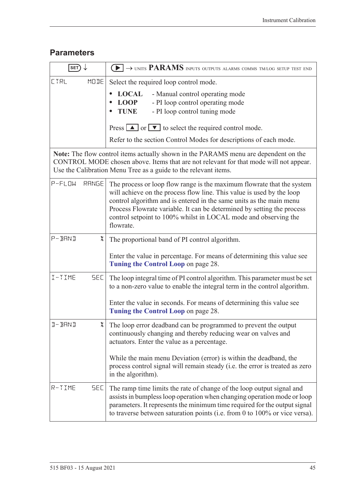#### **Parameters**

| SET)                                                    | $\blacktriangleright$ $\rightarrow$ units PARAMS inputs outputs alarms comms tm/log setup test end                                                                                                                                                                                                                                                                               |
|---------------------------------------------------------|----------------------------------------------------------------------------------------------------------------------------------------------------------------------------------------------------------------------------------------------------------------------------------------------------------------------------------------------------------------------------------|
| <b>ETRL</b><br><b>MODE</b>                              | Select the required loop control mode.<br><b>LOCAL</b><br>- Manual control operating mode<br>- PI loop control operating mode<br><b>LOOP</b><br><b>TUNE</b><br>- PI loop control tuning mode                                                                                                                                                                                     |
|                                                         | Press $\boxed{\blacktriangle}$ or $\boxed{\blacktriangledown}$ to select the required control mode.<br>Refer to the section Control Modes for descriptions of each mode.                                                                                                                                                                                                         |
|                                                         | Note: The flow control items actually shown in the PARAMS menu are dependent on the<br>CONTROL MODE chosen above. Items that are not relevant for that mode will not appear.<br>Use the Calibration Menu Tree as a guide to the relevant items.                                                                                                                                  |
| P-FLOW<br>RANGE                                         | The process or loop flow range is the maximum flowrate that the system<br>will achieve on the process flow line. This value is used by the loop<br>control algorithm and is entered in the same units as the main menu<br>Process Flowrate variable. It can be determined by setting the process<br>control setpoint to 100% whilst in LOCAL mode and observing the<br>flowrate. |
| P-BAND<br>∦                                             | The proportional band of PI control algorithm.<br>Enter the value in percentage. For means of determining this value see<br>Tuning the Control Loop on page 28.                                                                                                                                                                                                                  |
| I-TIME<br>SEC <sup>1</sup>                              | The loop integral time of PI control algorithm. This parameter must be set<br>to a non-zero value to enable the integral term in the control algorithm.<br>Enter the value in seconds. For means of determining this value see<br>Tuning the Control Loop on page 28.                                                                                                            |
| $\mathbb{J}-\mathbb{J}\mathsf{H}\mathsf{N}\,\mathbb{J}$ | The loop error deadband can be programmed to prevent the output<br>continuously changing and thereby reducing wear on valves and<br>actuators. Enter the value as a percentage.<br>While the main menu Deviation (error) is within the deadband, the<br>process control signal will remain steady (i.e. the error is treated as zero<br>in the algorithm).                       |
| R-TIME<br>SEC <sub>1</sub>                              | The ramp time limits the rate of change of the loop output signal and<br>assists in bumpless loop operation when changing operation mode or loop<br>parameters. It represents the minimum time required for the output signal<br>to traverse between saturation points (i.e. from 0 to 100% or vice versa).                                                                      |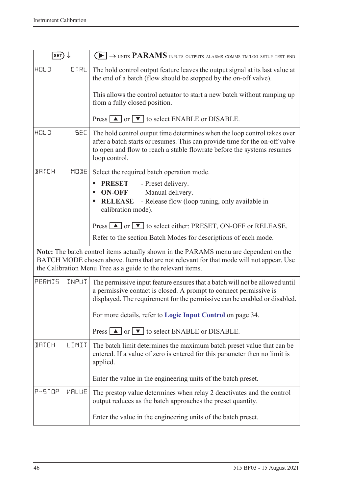| SET)                       | $\blacktriangleright$ $\rightarrow$ units PARAMS inputs outputs alarms comms tm/log setup test end                                                                                                                                                 |
|----------------------------|----------------------------------------------------------------------------------------------------------------------------------------------------------------------------------------------------------------------------------------------------|
| <b>HOLD</b><br><b>ETRL</b> | The hold control output feature leaves the output signal at its last value at<br>the end of a batch (flow should be stopped by the on-off valve).                                                                                                  |
|                            | This allows the control actuator to start a new batch without ramping up<br>from a fully closed position.                                                                                                                                          |
|                            | Press $\boxed{\blacktriangle}$ or $\boxed{\blacktriangledown}$ to select ENABLE or DISABLE.                                                                                                                                                        |
| <b>HOLD</b><br>SEC.        | The hold control output time determines when the loop control takes over<br>after a batch starts or resumes. This can provide time for the on-off valve<br>to open and flow to reach a stable flowrate before the systems resumes<br>loop control. |
| <b>BATCH</b><br>MODE       | Select the required batch operation mode.                                                                                                                                                                                                          |
|                            | <b>PRESET</b><br>- Preset delivery.                                                                                                                                                                                                                |
|                            | <b>ON-OFF</b><br>- Manual delivery.<br>- Release flow (loop tuning, only available in<br><b>RELEASE</b><br>calibration mode).                                                                                                                      |
|                            | Press $\Box$ or $\nabla$ to select either: PRESET, ON-OFF or RELEASE.                                                                                                                                                                              |
|                            | Refer to the section Batch Modes for descriptions of each mode.                                                                                                                                                                                    |
|                            | Note: The batch control items actually shown in the PARAMS menu are dependent on the<br>BATCH MODE chosen above. Items that are not relevant for that mode will not appear. Use<br>the Calibration Menu Tree as a guide to the relevant items.     |
| PERMIS<br>INPUT            | The permissive input feature ensures that a batch will not be allowed until<br>a permissive contact is closed. A prompt to connect permissive is<br>displayed. The requirement for the permissive can be enabled or disabled.                      |
|                            | For more details, refer to Logic Input Control on page 34.                                                                                                                                                                                         |
|                            | Press $\Box$ or $\nabla$ to select ENABLE or DISABLE.                                                                                                                                                                                              |
| <b>BRTCH</b><br>LIMIT      | The batch limit determines the maximum batch preset value that can be<br>entered. If a value of zero is entered for this parameter then no limit is<br>applied.                                                                                    |
|                            | Enter the value in the engineering units of the batch preset.                                                                                                                                                                                      |
| <b>P-510P</b><br>VALUE     | The prestop value determines when relay 2 deactivates and the control<br>output reduces as the batch approaches the preset quantity.                                                                                                               |
|                            | Enter the value in the engineering units of the batch preset.                                                                                                                                                                                      |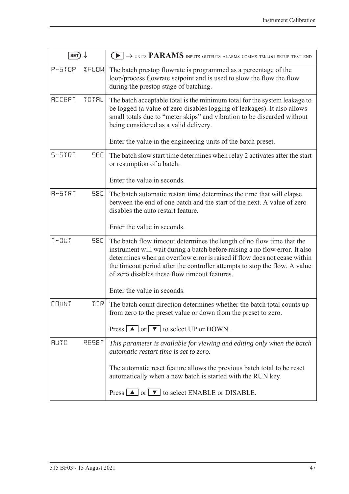| SET)          |              | $\blacktriangleright$ $\rightarrow$ units PARAMS inputs outputs alarms comms tm/log setup test end                                                                                                                                                                                                                                                               |
|---------------|--------------|------------------------------------------------------------------------------------------------------------------------------------------------------------------------------------------------------------------------------------------------------------------------------------------------------------------------------------------------------------------|
| <b>P-510P</b> | <b>XFLOW</b> | The batch prestop flowrate is programmed as a percentage of the<br>loop/process flowrate setpoint and is used to slow the flow the flow<br>during the prestop stage of batching.                                                                                                                                                                                 |
| <b>ACCEPT</b> | TOTAL        | The batch acceptable total is the minimum total for the system leakage to<br>be logged (a value of zero disables logging of leakages). It also allows<br>small totals due to "meter skips" and vibration to be discarded without<br>being considered as a valid delivery.                                                                                        |
|               |              | Enter the value in the engineering units of the batch preset.                                                                                                                                                                                                                                                                                                    |
| <b>5-5TRT</b> | <b>SEC</b>   | The batch slow start time determines when relay 2 activates after the start<br>or resumption of a batch.                                                                                                                                                                                                                                                         |
|               |              | Enter the value in seconds.                                                                                                                                                                                                                                                                                                                                      |
| A-STRT        | <b>SEC</b>   | The batch automatic restart time determines the time that will elapse<br>between the end of one batch and the start of the next. A value of zero<br>disables the auto restart feature.                                                                                                                                                                           |
|               |              | Enter the value in seconds.                                                                                                                                                                                                                                                                                                                                      |
| $T - 11T$     | SEC.         | The batch flow timeout determines the length of no flow time that the<br>instrument will wait during a batch before raising a no flow error. It also<br>determines when an overflow error is raised if flow does not cease within<br>the timeout period after the controller attempts to stop the flow. A value<br>of zero disables these flow timeout features. |
|               |              | Enter the value in seconds.                                                                                                                                                                                                                                                                                                                                      |
| <b>COUNT</b>  | JIR.         | The batch count direction determines whether the batch total counts up<br>from zero to the preset value or down from the preset to zero.                                                                                                                                                                                                                         |
|               |              | Press $\boxed{\blacktriangle}$ or $\boxed{\blacktriangledown}$ to select UP or DOWN.                                                                                                                                                                                                                                                                             |
| <b>AUTO</b>   | RESET        | This parameter is available for viewing and editing only when the batch<br>automatic restart time is set to zero.                                                                                                                                                                                                                                                |
|               |              | The automatic reset feature allows the previous batch total to be reset<br>automatically when a new batch is started with the RUN key.                                                                                                                                                                                                                           |
|               |              | Press $\Box$ or $\nabla$ to select ENABLE or DISABLE.                                                                                                                                                                                                                                                                                                            |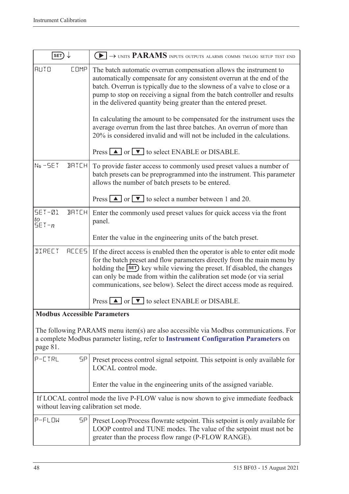| SET)                                             | $\blacktriangleright$ $\rightarrow$ units PARAMS inputs outputs alarms comms tm/log setup test end                                                                                                                                                                                                                                                                                         |  |
|--------------------------------------------------|--------------------------------------------------------------------------------------------------------------------------------------------------------------------------------------------------------------------------------------------------------------------------------------------------------------------------------------------------------------------------------------------|--|
| <b>RUTO</b><br><b>COMP</b>                       | The batch automatic overrun compensation allows the instrument to<br>automatically compensate for any consistent overrun at the end of the<br>batch. Overrun is typically due to the slowness of a valve to close or a<br>pump to stop on receiving a signal from the batch controller and results<br>in the delivered quantity being greater than the entered preset.                     |  |
|                                                  | In calculating the amount to be compensated for the instrument uses the<br>average overrun from the last three batches. An overrun of more than<br>20% is considered invalid and will not be included in the calculations.                                                                                                                                                                 |  |
|                                                  | Press $\Box$ or $\nabla$ to select ENABLE or DISABLE.                                                                                                                                                                                                                                                                                                                                      |  |
| $No - SET$<br><b>BRTCH</b>                       | To provide faster access to commonly used preset values a number of<br>batch presets can be preprogrammed into the instrument. This parameter<br>allows the number of batch presets to be entered.                                                                                                                                                                                         |  |
|                                                  | Press $\boxed{\blacktriangle}$ or $\boxed{\blacktriangledown}$ to select a number between 1 and 20.                                                                                                                                                                                                                                                                                        |  |
| <b>SET-01</b><br><b>BRTCH</b><br>to<br>$5ET - n$ | Enter the commonly used preset values for quick access via the front<br>panel.                                                                                                                                                                                                                                                                                                             |  |
|                                                  | Enter the value in the engineering units of the batch preset.                                                                                                                                                                                                                                                                                                                              |  |
| <b>IIRECT</b><br><b>ACCES</b>                    | If the direct access is enabled then the operator is able to enter edit mode<br>for the batch preset and flow parameters directly from the main menu by<br>holding the <b>SET</b> key while viewing the preset. If disabled, the changes<br>can only be made from within the calibration set mode (or via serial<br>communications, see below). Select the direct access mode as required. |  |
|                                                  | Press $\Box$ or $\nabla$ to select ENABLE or DISABLE.                                                                                                                                                                                                                                                                                                                                      |  |
| <b>Modbus Accessible Parameters</b>              |                                                                                                                                                                                                                                                                                                                                                                                            |  |
| page 81.                                         | The following PARAMS menu item(s) are also accessible via Modbus communications. For<br>a complete Modbus parameter listing, refer to Instrument Configuration Parameters on                                                                                                                                                                                                               |  |
| P-ETRL<br>5P                                     | Preset process control signal setpoint. This setpoint is only available for<br>LOCAL control mode.                                                                                                                                                                                                                                                                                         |  |
|                                                  | Enter the value in the engineering units of the assigned variable.                                                                                                                                                                                                                                                                                                                         |  |
| without leaving calibration set mode.            | If LOCAL control mode the live P-FLOW value is now shown to give immediate feedback                                                                                                                                                                                                                                                                                                        |  |
| $P-FLOW$<br>5P                                   | Preset Loop/Process flowrate setpoint. This setpoint is only available for<br>LOOP control and TUNE modes. The value of the setpoint must not be<br>greater than the process flow range (P-FLOW RANGE).                                                                                                                                                                                    |  |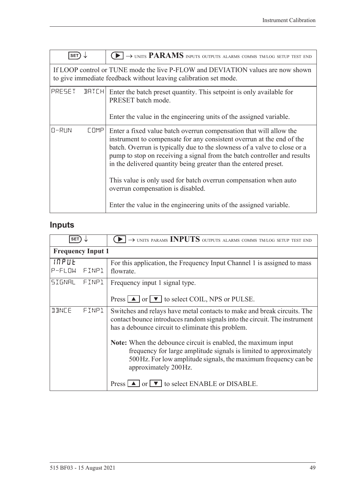| <b>SET</b>                                                                                                                                          | $(\blacktriangleright)$ $\rightarrow$ units PARAMS inputs outputs alarms comms tm/log setup test end                                                                                                                                                                                                                                                                                                                                                                                                                                                   |  |
|-----------------------------------------------------------------------------------------------------------------------------------------------------|--------------------------------------------------------------------------------------------------------------------------------------------------------------------------------------------------------------------------------------------------------------------------------------------------------------------------------------------------------------------------------------------------------------------------------------------------------------------------------------------------------------------------------------------------------|--|
| If LOOP control or TUNE mode the live P-FLOW and DEVIATION values are now shown<br>to give immediate feedback without leaving calibration set mode. |                                                                                                                                                                                                                                                                                                                                                                                                                                                                                                                                                        |  |
| PRESET<br><b>BRICH</b>                                                                                                                              | Enter the batch preset quantity. This setpoint is only available for<br>PRESET batch mode.<br>Enter the value in the engineering units of the assigned variable.                                                                                                                                                                                                                                                                                                                                                                                       |  |
| $D - R UN$<br>COMP                                                                                                                                  | Enter a fixed value batch overrun compensation that will allow the<br>instrument to compensate for any consistent overrun at the end of the<br>batch. Overrun is typically due to the slowness of a valve to close or a<br>pump to stop on receiving a signal from the batch controller and results<br>in the delivered quantity being greater than the entered preset.<br>This value is only used for batch overrun compensation when auto<br>overrun compensation is disabled.<br>Enter the value in the engineering units of the assigned variable. |  |

# **Inputs**

| <b>SET</b>          |                          | $\rightarrow$ UNITS PARAMS INPUTS OUTPUTS ALARMS COMMS TM/LOG SETUP TEST END                                                                                                                                                  |  |
|---------------------|--------------------------|-------------------------------------------------------------------------------------------------------------------------------------------------------------------------------------------------------------------------------|--|
|                     | <b>Frequency Input 1</b> |                                                                                                                                                                                                                               |  |
| INPUE<br>P-FLOW     | FINP1                    | For this application, the Frequency Input Channel 1 is assigned to mass<br>flowrate.                                                                                                                                          |  |
| SIGNAL FINPI        |                          | Frequency input 1 signal type.<br>Press $\Box$ or $\nabla$ to select COIL, NPS or PULSE.                                                                                                                                      |  |
| <b><i>IBNCE</i></b> | FINPl                    | Switches and relays have metal contacts to make and break circuits. The<br>contact bounce introduces random signals into the circuit. The instrument<br>has a debounce circuit to eliminate this problem.                     |  |
|                     |                          | Note: When the debounce circuit is enabled, the maximum input<br>frequency for large amplitude signals is limited to approximately<br>500 Hz. For low amplitude signals, the maximum frequency can be<br>approximately 200Hz. |  |
|                     |                          | Press $\Box$ or $\nabla$ to select ENABLE or DISABLE.                                                                                                                                                                         |  |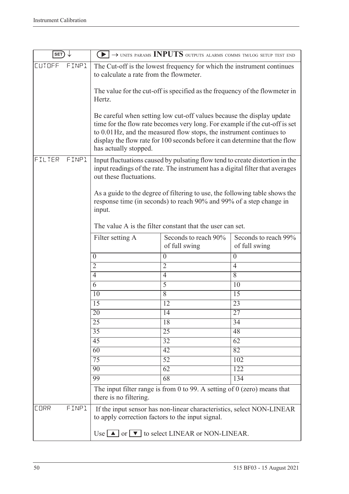| SET                    |                                                  | $\widetilde{\blacktriangleright\blacktriangleright\blacktriangleright}$ units params INPUTS outputs alarms comms tm/log setup test end                                                                                                                                                                      |                                       |
|------------------------|--------------------------------------------------|-------------------------------------------------------------------------------------------------------------------------------------------------------------------------------------------------------------------------------------------------------------------------------------------------------------|---------------------------------------|
| <b>CUTOFF</b><br>FINP1 | to calculate a rate from the flowmeter.          | The Cut-off is the lowest frequency for which the instrument continues                                                                                                                                                                                                                                      |                                       |
|                        | Hertz.                                           | The value for the cut-off is specified as the frequency of the flowmeter in                                                                                                                                                                                                                                 |                                       |
|                        | has actually stopped.                            | Be careful when setting low cut-off values because the display update<br>time for the flow rate becomes very long. For example if the cut-off is set<br>to 0.01 Hz, and the measured flow stops, the instrument continues to<br>display the flow rate for 100 seconds before it can determine that the flow |                                       |
| FILTER<br>FINP1        | out these fluctuations.                          | Input fluctuations caused by pulsating flow tend to create distortion in the<br>input readings of the rate. The instrument has a digital filter that averages<br>As a guide to the degree of filtering to use, the following table shows the                                                                |                                       |
|                        | input.                                           | response time (in seconds) to reach 90% and 99% of a step change in<br>The value A is the filter constant that the user can set.                                                                                                                                                                            |                                       |
|                        | Filter setting A                                 | Seconds to reach 90%<br>of full swing                                                                                                                                                                                                                                                                       | Seconds to reach 99%<br>of full swing |
|                        | $\theta$                                         | $\boldsymbol{0}$                                                                                                                                                                                                                                                                                            | $\boldsymbol{0}$                      |
|                        | $\overline{2}$                                   | $\overline{2}$                                                                                                                                                                                                                                                                                              | $\overline{4}$                        |
|                        | $\overline{4}$                                   | $\overline{4}$                                                                                                                                                                                                                                                                                              | 8                                     |
|                        | 6                                                | $\overline{5}$                                                                                                                                                                                                                                                                                              | 10                                    |
|                        | 10                                               | $\overline{8}$                                                                                                                                                                                                                                                                                              | $\overline{15}$                       |
|                        | 15                                               | 12                                                                                                                                                                                                                                                                                                          | 23                                    |
|                        | 20                                               | 14                                                                                                                                                                                                                                                                                                          | 27                                    |
|                        | $\overline{25}$                                  | 18                                                                                                                                                                                                                                                                                                          | $\overline{34}$                       |
|                        | $\overline{35}$                                  | $\overline{25}$                                                                                                                                                                                                                                                                                             | 48                                    |
|                        | $\overline{45}$                                  | $\overline{32}$                                                                                                                                                                                                                                                                                             | 62                                    |
|                        | $\overline{60}$                                  | $\overline{42}$                                                                                                                                                                                                                                                                                             | $\overline{82}$                       |
|                        | $\overline{75}$                                  | $\overline{52}$                                                                                                                                                                                                                                                                                             | 102                                   |
|                        | 90                                               | 62                                                                                                                                                                                                                                                                                                          | 122                                   |
|                        | 99                                               | $\overline{68}$                                                                                                                                                                                                                                                                                             | 134                                   |
|                        | there is no filtering.                           | The input filter range is from 0 to 99. A setting of $0$ (zero) means that                                                                                                                                                                                                                                  |                                       |
| FINP1<br><b>CORR</b>   | to apply correction factors to the input signal. | If the input sensor has non-linear characteristics, select NON-LINEAR                                                                                                                                                                                                                                       |                                       |
|                        |                                                  | Use $\Box$ or $\Box$ to select LINEAR or NON-LINEAR.                                                                                                                                                                                                                                                        |                                       |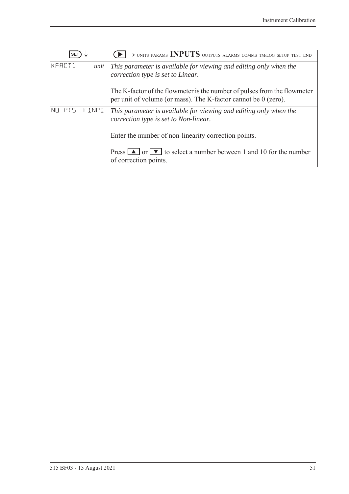| <b>SET</b> |       | $\rightarrow$ UNITS PARAMS INPUTS OUTPUTS ALARMS COMMS TM/LOG SETUP TEST END                                                               |  |
|------------|-------|--------------------------------------------------------------------------------------------------------------------------------------------|--|
| KFACT1     | unit  | This parameter is available for viewing and editing only when the<br>correction type is set to Linear.                                     |  |
|            |       | The K-factor of the flowmeter is the number of pulses from the flowmeter<br>per unit of volume (or mass). The K-factor cannot be 0 (zero). |  |
| NO-PIS     | FINP1 | This parameter is available for viewing and editing only when the<br>correction type is set to Non-linear.                                 |  |
|            |       | Enter the number of non-linearity correction points.                                                                                       |  |
|            |       | Press $\boxed{\blacktriangle}$ or $\boxed{\blacktriangledown}$ to select a number between 1 and 10 for the number<br>of correction points. |  |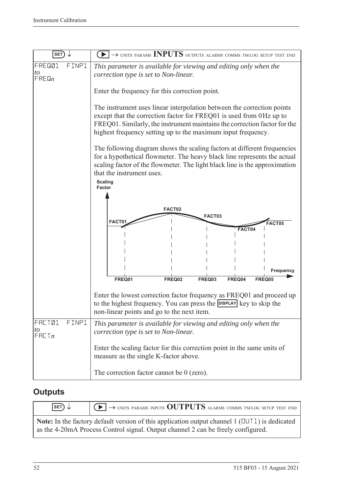| SET                                            | $\rightarrow$ UNITS PARAMS INPUTS OUTPUTS ALARMS COMMS TM/LOG SETUP TEST END                                                                                                                                                                                                               |
|------------------------------------------------|--------------------------------------------------------------------------------------------------------------------------------------------------------------------------------------------------------------------------------------------------------------------------------------------|
| FRED01<br>FINP1<br>to<br>$F$ RE $\mathbb{G}_n$ | This parameter is available for viewing and editing only when the<br>correction type is set to Non-linear.                                                                                                                                                                                 |
|                                                | Enter the frequency for this correction point.                                                                                                                                                                                                                                             |
|                                                | The instrument uses linear interpolation between the correction points<br>except that the correction factor for FREQ01 is used from 0Hz up to<br>FREQ01. Similarly, the instrument maintains the correction factor for the<br>highest frequency setting up to the maximum input frequency. |
|                                                | The following diagram shows the scaling factors at different frequencies<br>for a hypothetical flowmeter. The heavy black line represents the actual<br>scaling factor of the flowmeter. The light black line is the approximation<br>that the instrument uses.                            |
|                                                | <b>Scaling</b><br><b>Factor</b>                                                                                                                                                                                                                                                            |
|                                                |                                                                                                                                                                                                                                                                                            |
|                                                | FACT02<br>FACT03                                                                                                                                                                                                                                                                           |
|                                                | <b>FACT0</b><br>FACT05<br>FACT04                                                                                                                                                                                                                                                           |
|                                                | <b>Frequency</b>                                                                                                                                                                                                                                                                           |
|                                                | FREQ01<br>FREQ02<br>FREQ03<br>FREQ04<br>FREQ05                                                                                                                                                                                                                                             |
|                                                | Enter the lowest correction factor frequency as FREQ01 and proceed up<br>to the highest frequency. You can press the <b>DISPLAY</b> key to skip the<br>non-linear points and go to the next item.                                                                                          |
| FINP1<br>FACT01<br>to<br>F H E T n             | This parameter is available for viewing and editing only when the<br>correction type is set to Non-linear.                                                                                                                                                                                 |
|                                                | Enter the scaling factor for this correction point in the same units of<br>measure as the single K-factor above.                                                                                                                                                                           |
|                                                | The correction factor cannot be $0$ (zero).                                                                                                                                                                                                                                                |

# **Outputs**

| $\boxed{\text{SET}}$ | $ \Theta\rangle \rightarrow$ units params inputs $\text{OUTPUTS}$ alarms comms tm/log setup test end                                                                              |
|----------------------|-----------------------------------------------------------------------------------------------------------------------------------------------------------------------------------|
|                      | Note: In the factory default version of this application output channel 1 (CUT1) is dedicated<br>as the 4-20mA Process Control signal. Output channel 2 can be freely configured. |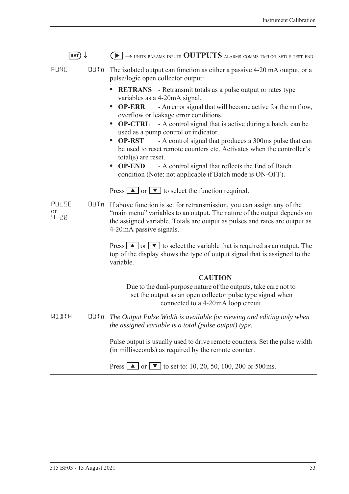| SET)                                            | $\textcolor{blue}{\blacktriangleright} \rightarrow$ units params inputs $\textcolor{blue}{OUTPUTS}$ alarms comms tm/log setup test end                                                                                                                                                                                                                                                                                                                                                                                                                                                                                                                                                                                                                                         |
|-------------------------------------------------|--------------------------------------------------------------------------------------------------------------------------------------------------------------------------------------------------------------------------------------------------------------------------------------------------------------------------------------------------------------------------------------------------------------------------------------------------------------------------------------------------------------------------------------------------------------------------------------------------------------------------------------------------------------------------------------------------------------------------------------------------------------------------------|
| FUNE<br>$\Box$ $\Box$ $\Box$ $n$                | The isolated output can function as either a passive 4-20 mA output, or a<br>pulse/logic open collector output:                                                                                                                                                                                                                                                                                                                                                                                                                                                                                                                                                                                                                                                                |
|                                                 | <b>RETRANS</b> - Retransmit totals as a pulse output or rates type<br>variables as a 4-20mA signal.<br><b>OP-ERR</b><br>- An error signal that will become active for the no flow,<br>$\bullet$<br>overflow or leakage error conditions.<br><b>OP-CTRL</b> - A control signal that is active during a batch, can be<br>$\bullet$<br>used as a pump control or indicator.<br><b>OP-RST</b><br>- A control signal that produces a 300ms pulse that can<br>$\bullet$<br>be used to reset remote counters etc. Activates when the controller's<br>$total(s)$ are reset.<br><b>OP-END</b><br>- A control signal that reflects the End of Batch<br>$\bullet$<br>condition (Note: not applicable if Batch mode is ON-OFF).<br>Press $\Box$ or $\Box$ to select the function required. |
| PULSE<br>$\Box$ $\Box$ $\Box$ $n$<br>or<br>4-20 | If above function is set for retransmission, you can assign any of the<br>"main menu" variables to an output. The nature of the output depends on<br>the assigned variable. Totals are output as pulses and rates are output as<br>4-20 mA passive signals.                                                                                                                                                                                                                                                                                                                                                                                                                                                                                                                    |
|                                                 | Press $\boxed{\blacktriangle}$ or $\boxed{\blacktriangledown}$ to select the variable that is required as an output. The<br>top of the display shows the type of output signal that is assigned to the<br>variable.                                                                                                                                                                                                                                                                                                                                                                                                                                                                                                                                                            |
|                                                 | <b>CAUTION</b><br>Due to the dual-purpose nature of the outputs, take care not to<br>set the output as an open collector pulse type signal when<br>connected to a 4-20mA loop circuit.                                                                                                                                                                                                                                                                                                                                                                                                                                                                                                                                                                                         |
| WIJTH<br>QUTn                                   | The Output Pulse Width is available for viewing and editing only when<br>the assigned variable is a total (pulse output) type.                                                                                                                                                                                                                                                                                                                                                                                                                                                                                                                                                                                                                                                 |
|                                                 | Pulse output is usually used to drive remote counters. Set the pulse width<br>(in milliseconds) as required by the remote counter.                                                                                                                                                                                                                                                                                                                                                                                                                                                                                                                                                                                                                                             |
|                                                 | Press $\triangle$ or $\triangledown$ to set to: 10, 20, 50, 100, 200 or 500 ms.                                                                                                                                                                                                                                                                                                                                                                                                                                                                                                                                                                                                                                                                                                |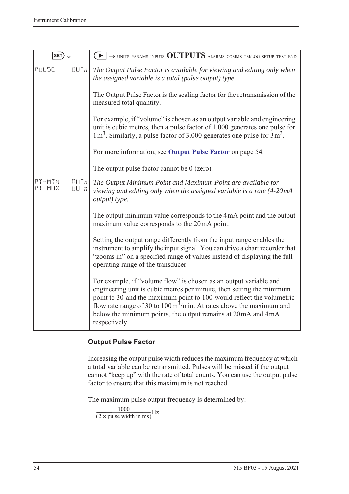| SET)             |                          | $\leftarrow$ $\rightarrow$ units params inputs OUTPUTS alarms comms tmlog setup test end                                                                                                                                                                                                                                                                                                        |
|------------------|--------------------------|-------------------------------------------------------------------------------------------------------------------------------------------------------------------------------------------------------------------------------------------------------------------------------------------------------------------------------------------------------------------------------------------------|
| PULSE            | QUTn                     | The Output Pulse Factor is available for viewing and editing only when<br>the assigned variable is a total (pulse output) type.                                                                                                                                                                                                                                                                 |
|                  |                          | The Output Pulse Factor is the scaling factor for the retransmission of the<br>measured total quantity.                                                                                                                                                                                                                                                                                         |
|                  |                          | For example, if "volume" is chosen as an output variable and engineering<br>unit is cubic metres, then a pulse factor of 1.000 generates one pulse for<br>$1 m3$ . Similarly, a pulse factor of 3.000 generates one pulse for $3 m3$ .                                                                                                                                                          |
|                  |                          | For more information, see Output Pulse Factor on page 54.                                                                                                                                                                                                                                                                                                                                       |
|                  |                          | The output pulse factor cannot be $0$ (zero).                                                                                                                                                                                                                                                                                                                                                   |
| PT-MIN<br>PT-MAX | $QU$ T $n$<br>$QU$ T $n$ | The Output Minimum Point and Maximum Point are available for<br>viewing and editing only when the assigned variable is a rate (4-20mA<br>output) type.                                                                                                                                                                                                                                          |
|                  |                          | The output minimum value corresponds to the 4mA point and the output<br>maximum value corresponds to the 20mA point.                                                                                                                                                                                                                                                                            |
|                  |                          | Setting the output range differently from the input range enables the<br>instrument to amplify the input signal. You can drive a chart recorder that<br>"zooms in" on a specified range of values instead of displaying the full<br>operating range of the transducer.                                                                                                                          |
|                  |                          | For example, if "volume flow" is chosen as an output variable and<br>engineering unit is cubic metres per minute, then setting the minimum<br>point to 30 and the maximum point to 100 would reflect the volumetric<br>flow rate range of 30 to $100 \text{m}^3/\text{min}$ . At rates above the maximum and<br>below the minimum points, the output remains at 20 mA and 4 mA<br>respectively. |

#### <span id="page-63-0"></span>**Output Pulse Factor**

Increasing the output pulse width reduces the maximum frequency at which a total variable can be retransmitted. Pulses will be missed if the output cannot "keep up" with the rate of total counts. You can use the output pulse factor to ensure that this maximum is not reached.

The maximum pulse output frequency is determined by:

```
1000
\frac{1000}{(2 \times \text{pulse width in ms})}Hz
```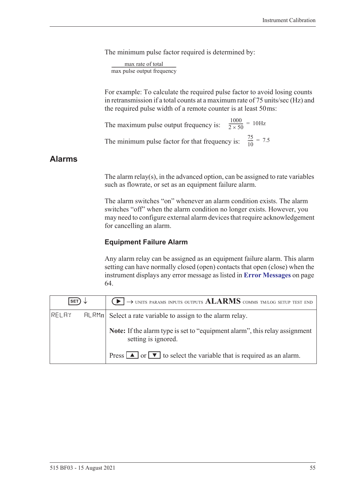The minimum pulse factor required is determined by:

max rate of total max pulse output frequency ------------------------------------------------------------------

For example: To calculate the required pulse factor to avoid losing counts in retransmission if a total counts at a maximum rate of 75 units/sec (Hz) and the required pulse width of a remote counter is at least 50 ms:

The maximum pulse output frequency is:  $\frac{1000}{2 \times 50}$  = 10Hz

The minimum pulse factor for that frequency is:  $\frac{75}{10}$  $\frac{73}{10}$  = 7.5

#### **Alarms**

The alarm relay(s), in the advanced option, can be assigned to rate variables such as flowrate, or set as an equipment failure alarm.

The alarm switches "on" whenever an alarm condition exists. The alarm switches "off" when the alarm condition no longer exists. However, you may need to configure external alarm devices that require acknowledgement for cancelling an alarm.

#### **Equipment Failure Alarm**

Any alarm relay can be assigned as an equipment failure alarm. This alarm setting can have normally closed (open) contacts that open (close) when the instrument displays any error message as listed in **[Error Messages](#page-73-1)** on page [64.](#page-73-1)

| SET   |  | $\blacktriangleright$ $\rightarrow$ units params inputs outputs $ALARMS$ comms tm/log setup test end                |
|-------|--|---------------------------------------------------------------------------------------------------------------------|
| RELAY |  | $\text{FLRM}_n$ Select a rate variable to assign to the alarm relay.                                                |
|       |  | Note: If the alarm type is set to "equipment alarm", this relay assignment<br>setting is ignored.                   |
|       |  | Press $\boxed{\blacktriangle}$ or $\boxed{\blacktriangledown}$ to select the variable that is required as an alarm. |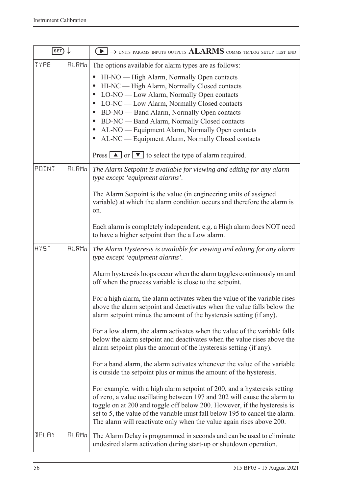| SET)                  | $\rightarrow$ units params inputs outputs $ALARMS$ comms tm/log setup test end<br>$\blacktriangleright$ 1                                                                                                                                                                                                                                                                                                                                     |
|-----------------------|-----------------------------------------------------------------------------------------------------------------------------------------------------------------------------------------------------------------------------------------------------------------------------------------------------------------------------------------------------------------------------------------------------------------------------------------------|
| TYPE<br>HLRMn         | The options available for alarm types are as follows:                                                                                                                                                                                                                                                                                                                                                                                         |
|                       | HI-NO — High Alarm, Normally Open contacts<br>$\bullet$<br>HI-NC — High Alarm, Normally Closed contacts<br>LO-NO — Low Alarm, Normally Open contacts<br>٠<br>LO-NC — Low Alarm, Normally Closed contacts<br>BD-NO — Band Alarm, Normally Open contacts<br>٠<br>BD-NC — Band Alarm, Normally Closed contacts<br>$\bullet$<br>AL-NO — Equipment Alarm, Normally Open contacts<br>$\bullet$<br>AL-NC — Equipment Alarm, Normally Closed contacts |
|                       | Press $\boxed{\blacktriangle}$ or $\boxed{\blacktriangledown}$ to select the type of alarm required.                                                                                                                                                                                                                                                                                                                                          |
| POINT<br>HLRMn        | The Alarm Setpoint is available for viewing and editing for any alarm<br>type except 'equipment alarms'.                                                                                                                                                                                                                                                                                                                                      |
|                       | The Alarm Setpoint is the value (in engineering units of assigned<br>variable) at which the alarm condition occurs and therefore the alarm is<br>on.                                                                                                                                                                                                                                                                                          |
|                       | Each alarm is completely independent, e.g. a High alarm does NOT need<br>to have a higher setpoint than the a Low alarm.                                                                                                                                                                                                                                                                                                                      |
| <b>HY5T</b><br>FLRMn  | The Alarm Hysteresis is available for viewing and editing for any alarm<br>type except 'equipment alarms'.                                                                                                                                                                                                                                                                                                                                    |
|                       | Alarm hysteresis loops occur when the alarm toggles continuously on and<br>off when the process variable is close to the setpoint.                                                                                                                                                                                                                                                                                                            |
|                       | For a high alarm, the alarm activates when the value of the variable rises<br>above the alarm setpoint and deactivates when the value falls below the<br>alarm setpoint minus the amount of the hysteresis setting (if any).                                                                                                                                                                                                                  |
|                       | For a low alarm, the alarm activates when the value of the variable falls<br>below the alarm setpoint and deactivates when the value rises above the<br>alarm setpoint plus the amount of the hysteresis setting (if any).                                                                                                                                                                                                                    |
|                       | For a band alarm, the alarm activates whenever the value of the variable<br>is outside the setpoint plus or minus the amount of the hysteresis.                                                                                                                                                                                                                                                                                               |
|                       | For example, with a high alarm setpoint of 200, and a hysteresis setting<br>of zero, a value oscillating between 197 and 202 will cause the alarm to<br>toggle on at 200 and toggle off below 200. However, if the hysteresis is<br>set to 5, the value of the variable must fall below 195 to cancel the alarm.<br>The alarm will reactivate only when the value again rises above 200.                                                      |
| <b>JELAY</b><br>HLRMn | The Alarm Delay is programmed in seconds and can be used to eliminate<br>undesired alarm activation during start-up or shutdown operation.                                                                                                                                                                                                                                                                                                    |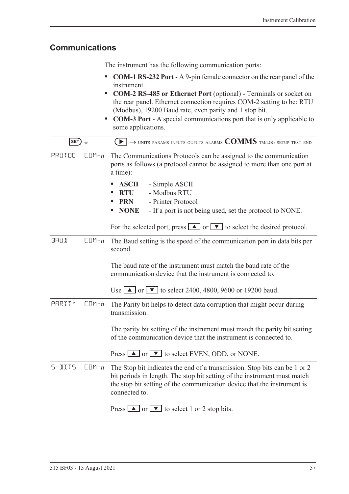#### **Communications**

The instrument has the following communication ports:

- **• COM-1 RS-232 Port** A 9-pin female connector on the rear panel of the instrument.
- **• COM-2 RS-485 or Ethernet Port** (optional) Terminals or socket on the rear panel. Ethernet connection requires COM-2 setting to be: RTU (Modbus), 19200 Baud rate, even parity and 1 stop bit.
- **• COM-3 Port** A special communications port that is only applicable to some applications.

| SET)                     | $\rightarrow$ units params inputs ouputs alarms $COMMS$ tm/log setup test end<br>$\rightarrow$ $\rightarrow$ $\rightarrow$                                                                                                                        |
|--------------------------|---------------------------------------------------------------------------------------------------------------------------------------------------------------------------------------------------------------------------------------------------|
| PROTOC<br>$CDM - n$      | The Communications Protocols can be assigned to the communication<br>ports as follows (a protocol cannot be assigned to more than one port at<br>a time):                                                                                         |
|                          | <b>ASCII</b><br>- Simple ASCII<br>- Modbus RTU<br><b>RTU</b>                                                                                                                                                                                      |
|                          | - Printer Protocol<br><b>PRN</b><br><b>NONE</b><br>- If a port is not being used, set the protocol to NONE.                                                                                                                                       |
|                          | For the selected port, press $\boxed{\blacktriangle}$ or $\boxed{\blacktriangledown}$ to select the desired protocol.                                                                                                                             |
| <b>BAUD</b><br>$CDM - n$ | The Baud setting is the speed of the communication port in data bits per<br>second.                                                                                                                                                               |
|                          | The baud rate of the instrument must match the baud rate of the<br>communication device that the instrument is connected to.                                                                                                                      |
|                          | Use $\boxed{\triangle}$ or $\boxed{\triangledown}$ to select 2400, 4800, 9600 or 19200 baud.                                                                                                                                                      |
| PARITY<br>$CDM - n$      | The Parity bit helps to detect data corruption that might occur during<br>transmission.                                                                                                                                                           |
|                          | The parity bit setting of the instrument must match the parity bit setting<br>of the communication device that the instrument is connected to.                                                                                                    |
|                          | Press $\blacksquare$ or $\blacksquare$ to select EVEN, ODD, or NONE.                                                                                                                                                                              |
| $5 - B1T5$<br>$CDM - n$  | The Stop bit indicates the end of a transmission. Stop bits can be 1 or 2<br>bit periods in length. The stop bit setting of the instrument must match<br>the stop bit setting of the communication device that the instrument is<br>connected to. |
|                          | Press $\boxed{\blacktriangle}$ or $\boxed{\blacktriangledown}$ to select 1 or 2 stop bits.                                                                                                                                                        |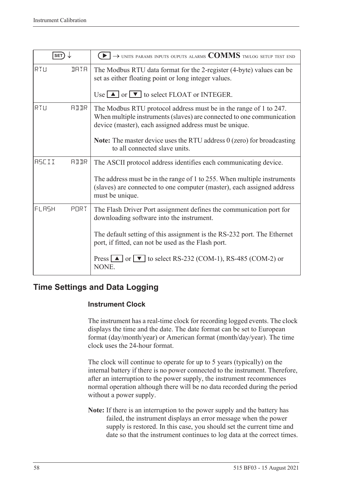| SET          |             | $\rightarrow$ units params inputs ouputs alarms $COMMS$ tm/log setup test end                                                                                                                        |
|--------------|-------------|------------------------------------------------------------------------------------------------------------------------------------------------------------------------------------------------------|
| RTU          | <b>IRTR</b> | The Modbus RTU data format for the 2-register (4-byte) values can be<br>set as either floating point or long integer values.                                                                         |
|              |             | Use $\Box$ or $\Box$ to select FLOAT or INTEGER.                                                                                                                                                     |
| RTU          | AIIR        | The Modbus RTU protocol address must be in the range of 1 to 247.<br>When multiple instruments (slaves) are connected to one communication<br>device (master), each assigned address must be unique. |
|              |             | <b>Note:</b> The master device uses the RTU address $0$ (zero) for broadcasting<br>to all connected slave units.                                                                                     |
| <b>RSCII</b> | <b>ATTR</b> | The ASCII protocol address identifies each communicating device.                                                                                                                                     |
|              |             | The address must be in the range of 1 to 255. When multiple instruments<br>(slaves) are connected to one computer (master), each assigned address<br>must be unique.                                 |
| FLASH        | PORT        | The Flash Driver Port assignment defines the communication port for<br>downloading software into the instrument.                                                                                     |
|              |             | The default setting of this assignment is the RS-232 port. The Ethernet<br>port, if fitted, can not be used as the Flash port.                                                                       |
|              |             | Press $\Box$ or $\nabla$ to select RS-232 (COM-1), RS-485 (COM-2) or<br>NONE.                                                                                                                        |

## **Time Settings and Data Logging**

#### **Instrument Clock**

The instrument has a real-time clock for recording logged events. The clock displays the time and the date. The date format can be set to European format (day/month/year) or American format (month/day/year). The time clock uses the 24-hour format.

The clock will continue to operate for up to 5 years (typically) on the internal battery if there is no power connected to the instrument. Therefore, after an interruption to the power supply, the instrument recommences normal operation although there will be no data recorded during the period without a power supply.

**Note:** If there is an interruption to the power supply and the battery has failed, the instrument displays an error message when the power supply is restored. In this case, you should set the current time and date so that the instrument continues to log data at the correct times.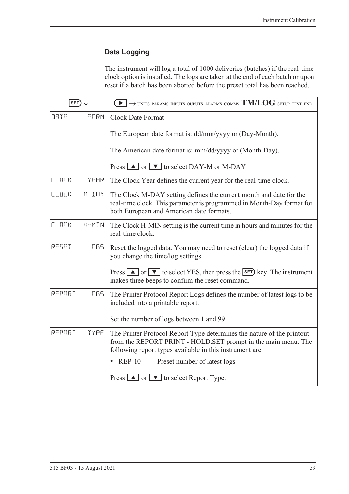#### **Data Logging**

The instrument will log a total of 1000 deliveries (batches) if the real-time clock option is installed. The logs are taken at the end of each batch or upon reset if a batch has been aborted before the preset total has been reached.

| SET)         |             | $\left\vert \bullet\right\vert \rightarrow$ units params inputs ouputs alarms comms $\Gamma \mathrm{M}/\mathrm{LOG}$ setup test end                                                                 |
|--------------|-------------|-----------------------------------------------------------------------------------------------------------------------------------------------------------------------------------------------------|
| <b>JRTE</b>  | FORM        | <b>Clock Date Format</b>                                                                                                                                                                            |
|              |             | The European date format is: dd/mm/yyyy or (Day-Month).                                                                                                                                             |
|              |             | The American date format is: mm/dd/yyyy or (Month-Day).                                                                                                                                             |
|              |             | Press $\boxed{\blacktriangle}$ or $\boxed{\blacktriangledown}$ to select DAY-M or M-DAY                                                                                                             |
| CLOCK        | YEAR        | The Clock Year defines the current year for the real-time clock.                                                                                                                                    |
| <b>CLOCK</b> | $M - JHY$   | The Clock M-DAY setting defines the current month and date for the<br>real-time clock. This parameter is programmed in Month-Day format for<br>both European and American date formats.             |
| <b>CLOCK</b> | $H-MIN$     | The Clock H-MIN setting is the current time in hours and minutes for the<br>real-time clock.                                                                                                        |
| RESET        | <b>LOGS</b> | Reset the logged data. You may need to reset (clear) the logged data if<br>you change the time/log settings.                                                                                        |
|              |             | Press $\Box$ or $\nabla$ to select YES, then press the SET key. The instrument<br>makes three beeps to confirm the reset command.                                                                   |
| REPORT       | LO65        | The Printer Protocol Report Logs defines the number of latest logs to be<br>included into a printable report.                                                                                       |
|              |             | Set the number of logs between 1 and 99.                                                                                                                                                            |
| REPORT       | TYPE        | The Printer Protocol Report Type determines the nature of the printout<br>from the REPORT PRINT - HOLD.SET prompt in the main menu. The<br>following report types available in this instrument are: |
|              |             | $REP-10$<br>Preset number of latest logs                                                                                                                                                            |
|              |             | Press $\boxed{\blacktriangle}$ or $\boxed{\blacktriangledown}$ to select Report Type.                                                                                                               |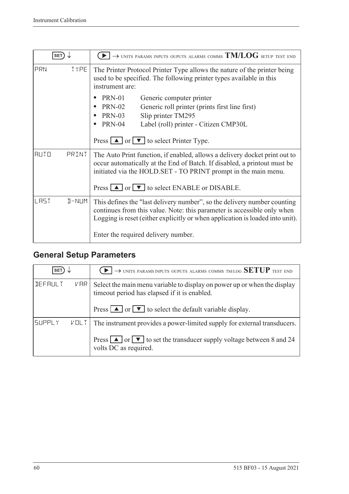| <b>SET</b>  |             | $\rightarrow$ units params inputs ouputs alarms comms $\mathrm{TM}/\mathrm{LOG}$ setup test end                                                                                                                                                                                                         |
|-------------|-------------|---------------------------------------------------------------------------------------------------------------------------------------------------------------------------------------------------------------------------------------------------------------------------------------------------------|
| PRN         | TYPE        | The Printer Protocol Printer Type allows the nature of the printer being<br>used to be specified. The following printer types available in this<br>instrument are:                                                                                                                                      |
|             |             | <b>PRN-01</b><br>Generic computer printer<br><b>PRN-02</b><br>Generic roll printer (prints first line first)<br><b>PRN-03</b><br>Slip printer TM295<br><b>PRN-04</b><br>Label (roll) printer - Citizen CMP30L<br>Press $\boxed{\blacktriangle}$ or $\boxed{\blacktriangledown}$ to select Printer Type. |
|             |             |                                                                                                                                                                                                                                                                                                         |
| <b>RUTO</b> | PRINT       | The Auto Print function, if enabled, allows a delivery docket print out to<br>occur automatically at the End of Batch. If disabled, a printout must be<br>initiated via the HOLD.SET - TO PRINT prompt in the main menu.<br>Press $\Box$ or $\nabla$ to select ENABLE or DISABLE.                       |
|             |             |                                                                                                                                                                                                                                                                                                         |
| LAST        | $I - N L M$ | This defines the "last delivery number", so the delivery number counting<br>continues from this value. Note: this parameter is accessible only when<br>Logging is reset (either explicitly or when application is loaded into unit).                                                                    |
|             |             | Enter the required delivery number.                                                                                                                                                                                                                                                                     |

# **General Setup Parameters**

| $ $ SET $) \downarrow$ |            | $\rightarrow$ units params inputs ouputs alarms comms tm/log SETUP test end                                              |
|------------------------|------------|--------------------------------------------------------------------------------------------------------------------------|
| <b>JEFAULT</b>         | $V$ RR $ $ | Select the main menu variable to display on power up or when the display<br>timeout period has elapsed if it is enabled. |
|                        |            | Press $\boxed{\blacktriangle}$ or $\boxed{\blacktriangledown}$ to select the default variable display.                   |
| <b>SUPPLY</b>          | VCLT       | The instrument provides a power-limited supply for external transducers.                                                 |
|                        |            | Press $\Box$ or $\nabla$ to set the transducer supply voltage between 8 and 24<br>volts DC as required.                  |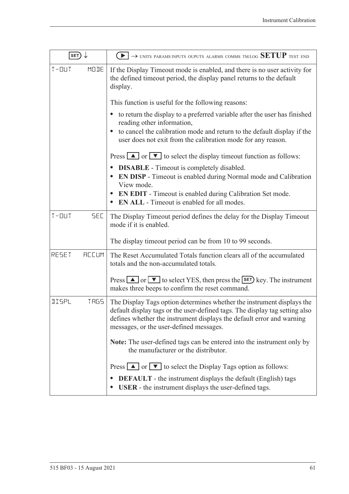| SET)                     | $\rightarrow$ units params inputs ouputs alarms comms tm/log SETUP test end<br>$\blacktriangleright$ 1                                                                                                                                                                    |  |  |
|--------------------------|---------------------------------------------------------------------------------------------------------------------------------------------------------------------------------------------------------------------------------------------------------------------------|--|--|
| MODE<br>$T - 111T$       | If the Display Timeout mode is enabled, and there is no user activity for<br>the defined timeout period, the display panel returns to the default<br>display.                                                                                                             |  |  |
|                          | This function is useful for the following reasons:                                                                                                                                                                                                                        |  |  |
|                          | to return the display to a preferred variable after the user has finished<br>$\bullet$<br>reading other information,<br>to cancel the calibration mode and return to the default display if the                                                                           |  |  |
|                          | user does not exit from the calibration mode for any reason.                                                                                                                                                                                                              |  |  |
|                          | Press $\boxed{\blacktriangle}$ or $\boxed{\blacktriangledown}$ to select the display timeout function as follows:                                                                                                                                                         |  |  |
|                          | <b>DISABLE</b> - Timeout is completely disabled.<br>$\bullet$<br><b>EN DISP</b> - Timeout is enabled during Normal mode and Calibration<br>View mode.                                                                                                                     |  |  |
|                          | <b>EN EDIT</b> - Timeout is enabled during Calibration Set mode.<br>$\bullet$<br><b>EN ALL</b> - Timeout is enabled for all modes.                                                                                                                                        |  |  |
| $T - 111T$<br><b>SEC</b> | The Display Timeout period defines the delay for the Display Timeout<br>mode if it is enabled.                                                                                                                                                                            |  |  |
|                          | The display timeout period can be from 10 to 99 seconds.                                                                                                                                                                                                                  |  |  |
| <b>REEUM</b><br>RESET    | The Reset Accumulated Totals function clears all of the accumulated<br>totals and the non-accumulated totals.                                                                                                                                                             |  |  |
|                          | Press $\Box$ or $\nabla$ to select YES, then press the <b>SET</b> ) key. The instrument<br>makes three beeps to confirm the reset command.                                                                                                                                |  |  |
| <b>IISPL</b><br>TRG5     | The Display Tags option determines whether the instrument displays the<br>default display tags or the user-defined tags. The display tag setting also<br>defines whether the instrument displays the default error and warning<br>messages, or the user-defined messages. |  |  |
|                          | Note: The user-defined tags can be entered into the instrument only by<br>the manufacturer or the distributor.                                                                                                                                                            |  |  |
|                          | Press $\Box$ or $\nabla$ to select the Display Tags option as follows:                                                                                                                                                                                                    |  |  |
|                          | <b>DEFAULT</b> - the instrument displays the default (English) tags<br>$\bullet$<br><b>USER</b> - the instrument displays the user-defined tags.                                                                                                                          |  |  |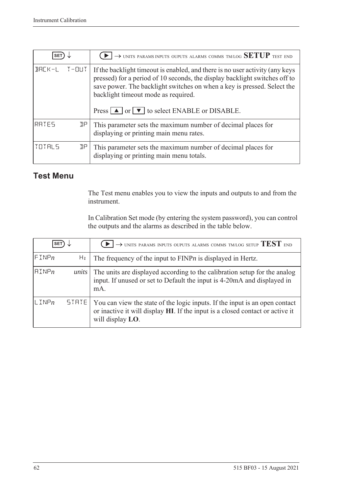| <b>SET</b>    |            | $\rightarrow$ units params inputs ouputs alarms comms tm/log SETUP test end                                                                                                                                                                                                                                                                                                  |
|---------------|------------|------------------------------------------------------------------------------------------------------------------------------------------------------------------------------------------------------------------------------------------------------------------------------------------------------------------------------------------------------------------------------|
| $B H L K - L$ | $T - 011T$ | If the backlight time out is enabled, and there is no user activity (any keys<br>pressed) for a period of 10 seconds, the display backlight switches off to<br>save power. The backlight switches on when a key is pressed. Select the<br>backlight timeout mode as required.<br>Press $\boxed{\blacktriangle}$ or $\boxed{\blacktriangledown}$ to select ENABLE or DISABLE. |
| <b>RATES</b>  | <b>JP</b>  | This parameter sets the maximum number of decimal places for<br>displaying or printing main menu rates.                                                                                                                                                                                                                                                                      |
| TOTALS        | IP         | This parameter sets the maximum number of decimal places for<br>displaying or printing main menu totals.                                                                                                                                                                                                                                                                     |

#### **Test Menu**

The Test menu enables you to view the inputs and outputs to and from the instrument.

In Calibration Set mode (by entering the system password), you can control the outputs and the alarms as described in the table below.

| SET         |                | $\rightarrow$ units params inputs ouputs alarms comms tm/log setup $\mathrm{TEST}$ end                                                                                           |
|-------------|----------------|----------------------------------------------------------------------------------------------------------------------------------------------------------------------------------|
| FINPn       | H <sub>z</sub> | The frequency of the input to $FINPn$ is displayed in Hertz.                                                                                                                     |
| HINPn       | units          | The units are displayed according to the calibration setup for the analog<br>input. If unused or set to Default the input is 4-20mA and displayed in<br>mA.                      |
| $L$ INP $n$ | STRTE          | You can view the state of the logic inputs. If the input is an open contact<br>or inactive it will display HI. If the input is a closed contact or active it<br>will display LO. |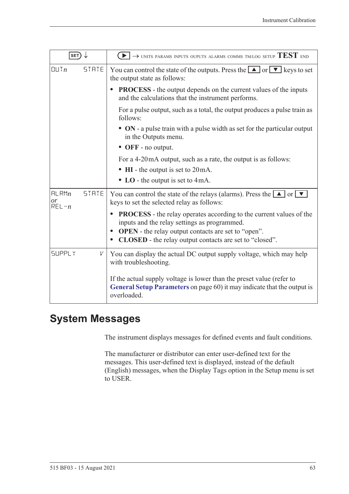| SET)                     |       | $\rightarrow$ units params inputs ouputs alarms comms tm/log setup $\mathrm{TEST}$ end                                                                          |
|--------------------------|-------|-----------------------------------------------------------------------------------------------------------------------------------------------------------------|
| QUTn                     | STRTE | You can control the state of the outputs. Press the $\Box$ or $\nabla$ keys to set<br>the output state as follows:                                              |
|                          |       | <b>PROCESS</b> - the output depends on the current values of the inputs<br>and the calculations that the instrument performs.                                   |
|                          |       | For a pulse output, such as a total, the output produces a pulse train as<br>follows:                                                                           |
|                          |       | • ON - a pulse train with a pulse width as set for the particular output<br>in the Outputs menu.                                                                |
|                          |       | • OFF - no output.                                                                                                                                              |
|                          |       | For a 4-20 mA output, such as a rate, the output is as follows:                                                                                                 |
|                          |       | • HI - the output is set to 20 mA.                                                                                                                              |
|                          |       | • LO - the output is set to 4mA.                                                                                                                                |
| HLRMn<br>0r<br>$REL - n$ | STRTE | You can control the state of the relays (alarms). Press the $\Box$ or $\nabla$<br>keys to set the selected relay as follows:                                    |
|                          |       | <b>PROCESS</b> - the relay operates according to the current values of the<br>inputs and the relay settings as programmed.                                      |
|                          |       | <b>OPEN</b> - the relay output contacts are set to "open".<br>$\bullet$<br>CLOSED - the relay output contacts are set to "closed".<br>$\bullet$                 |
| <b>SUPPLY</b>            | V     | You can display the actual DC output supply voltage, which may help<br>with troubleshooting.                                                                    |
|                          |       | If the actual supply voltage is lower than the preset value (refer to<br>General Setup Parameters on page 60) it may indicate that the output is<br>overloaded. |

# **System Messages**

<span id="page-72-0"></span>The instrument displays messages for defined events and fault conditions.

The manufacturer or distributor can enter user-defined text for the messages. This user-defined text is displayed, instead of the default (English) messages, when the Display Tags option in the Setup menu is set to USER.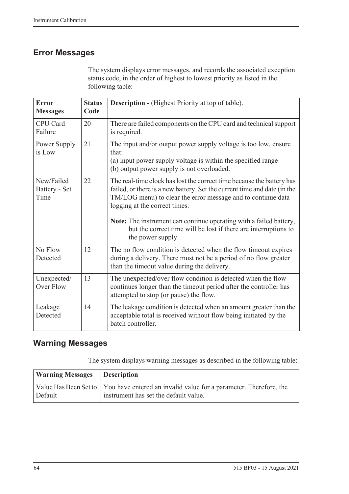# <span id="page-73-1"></span>**Error Messages**

The system displays error messages, and records the associated exception status code, in the order of highest to lowest priority as listed in the following table:

<span id="page-73-0"></span>

| <b>Error</b><br><b>Messages</b>     | <b>Status</b><br>Code | Description - (Highest Priority at top of table).                                                                                                                                                                                                                                                                                                                                                                |
|-------------------------------------|-----------------------|------------------------------------------------------------------------------------------------------------------------------------------------------------------------------------------------------------------------------------------------------------------------------------------------------------------------------------------------------------------------------------------------------------------|
| CPU Card<br>Failure                 | 20                    | There are failed components on the CPU card and technical support<br>is required.                                                                                                                                                                                                                                                                                                                                |
| Power Supply<br>is Low              | 21                    | The input and/or output power supply voltage is too low, ensure<br>that:<br>(a) input power supply voltage is within the specified range<br>(b) output power supply is not overloaded.                                                                                                                                                                                                                           |
| New/Failed<br>Battery - Set<br>Time | 22                    | The real-time clock has lost the correct time because the battery has<br>failed, or there is a new battery. Set the current time and date (in the<br>TM/LOG menu) to clear the error message and to continue data<br>logging at the correct times.<br>Note: The instrument can continue operating with a failed battery,<br>but the correct time will be lost if there are interruptions to<br>the power supply. |
| No Flow<br>Detected                 | 12                    | The no flow condition is detected when the flow timeout expires<br>during a delivery. There must not be a period of no flow greater<br>than the timeout value during the delivery.                                                                                                                                                                                                                               |
| Unexpected/<br><b>Over Flow</b>     | 13                    | The unexpected/over flow condition is detected when the flow<br>continues longer than the timeout period after the controller has<br>attempted to stop (or pause) the flow.                                                                                                                                                                                                                                      |
| Leakage<br>Detected                 | 14                    | The leakage condition is detected when an amount greater than the<br>acceptable total is received without flow being initiated by the<br>batch controller.                                                                                                                                                                                                                                                       |

# <span id="page-73-2"></span>**Warning Messages**

The system displays warning messages as described in the following table:

| <b>Warning Messages</b> | <i>Description</i>                                                                      |
|-------------------------|-----------------------------------------------------------------------------------------|
|                         | Value Has Been Set to You have entered an invalid value for a parameter. Therefore, the |
| Default                 | instrument has set the default value.                                                   |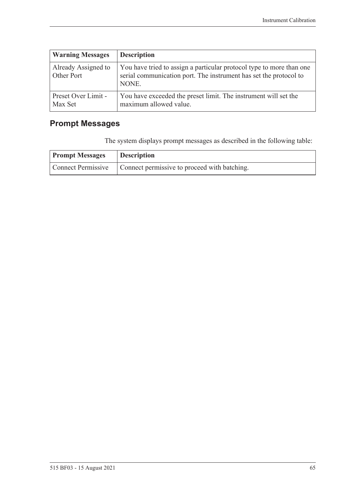| <b>Warning Messages</b>           | <b>Description</b>                                                                                                                                 |
|-----------------------------------|----------------------------------------------------------------------------------------------------------------------------------------------------|
| Already Assigned to<br>Other Port | You have tried to assign a particular protocol type to more than one<br>serial communication port. The instrument has set the protocol to<br>NONE. |
| Preset Over Limit -<br>Max Set    | You have exceeded the preset limit. The instrument will set the<br>maximum allowed value.                                                          |

# <span id="page-74-0"></span>**Prompt Messages**

The system displays prompt messages as described in the following table:

| <b>Prompt Messages</b> | <b>Description</b>                           |
|------------------------|----------------------------------------------|
| Connect Permissive     | Connect permissive to proceed with batching. |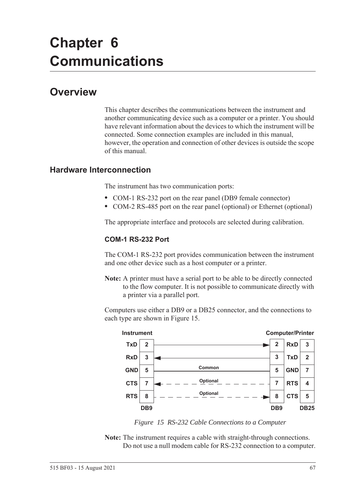# **Chapter 6 Communications**

# **Overview**

<span id="page-76-2"></span>This chapter describes the communications between the instrument and another communicating device such as a computer or a printer. You should have relevant information about the devices to which the instrument will be connected. Some connection examples are included in this manual, however, the operation and connection of other devices is outside the scope of this manual.

# **Hardware Interconnection**

<span id="page-76-3"></span>The instrument has two communication ports:

- **•** COM-1 RS-232 port on the rear panel (DB9 female connector)
- **•** COM-2 RS-485 port on the rear panel (optional) or Ethernet (optional)

The appropriate interface and protocols are selected during calibration.

#### <span id="page-76-1"></span>**COM-1 RS-232 Port**

The COM-1 RS-232 port provides communication between the instrument and one other device such as a host computer or a printer.

**Note:** A printer must have a serial port to be able to be directly connected to the flow computer. It is not possible to communicate directly with a printer via a parallel port.

Computers use either a DB9 or a DB25 connector, and the connections to each type are shown in [Figure 15.](#page-76-0)



*Figure 15 RS-232 Cable Connections to a Computer*

<span id="page-76-0"></span>**Note:** The instrument requires a cable with straight-through connections. Do not use a null modem cable for RS-232 connection to a computer.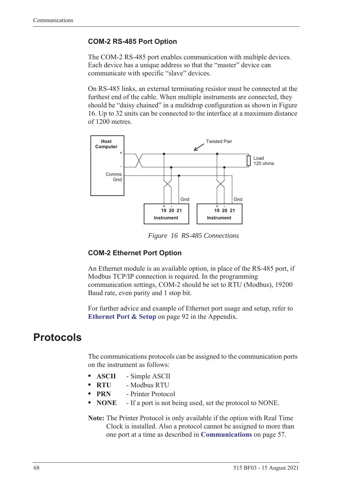#### <span id="page-77-1"></span>**COM-2 RS-485 Port Option**

The COM-2 RS-485 port enables communication with multiple devices. Each device has a unique address so that the "master" device can communicate with specific "slave" devices.

On RS-485 links, an external terminating resistor must be connected at the furthest end of the cable. When multiple instruments are connected, they should be "daisy chained" in a multidrop configuration as shown in Figure [16](#page-77-0). Up to 32 units can be connected to the interface at a maximum distance of 1200 metres.



<span id="page-77-3"></span>*Figure 16 RS-485 Connections*

#### <span id="page-77-0"></span>**COM-2 Ethernet Port Option**

An Ethernet module is an available option, in place of the RS-485 port, if Modbus TCP/IP connection is required. In the programming communication settings, COM-2 should be set to RTU (Modbus), 19200 Baud rate, even parity and 1 stop bit.

<span id="page-77-2"></span>For further advice and example of Ethernet port usage and setup, refer to **[Ethernet Port & Setup](#page-101-0)** on page 92 in the Appendix.

# **Protocols**

The communications protocols can be assigned to the communication ports on the instrument as follows:

- **• ASCII** Simple ASCII
- **• RTU** Modbus RTU
- **• PRN** Printer Protocol
- **NONE** If a port is not being used, set the protocol to NONE.

**Note:** The Printer Protocol is only available if the option with Real Time Clock is installed. Also a protocol cannot be assigned to more than one port at a time as described in **[Communications](#page-66-0)** on page 57.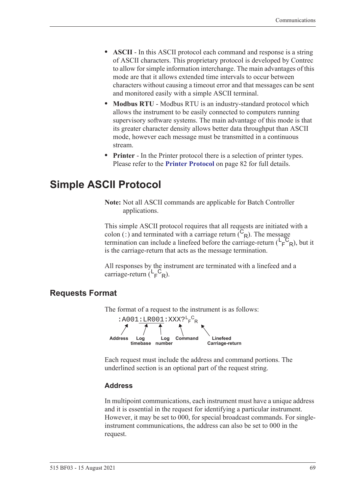- **• ASCII** In this ASCII protocol each command and response is a string of ASCII characters. This proprietary protocol is developed by Contrec to allow for simple information interchange. The main advantages of this mode are that it allows extended time intervals to occur between characters without causing a timeout error and that messages can be sent and monitored easily with a simple ASCII terminal.
- **• Modbus RTU** Modbus RTU is an industry-standard protocol which allows the instrument to be easily connected to computers running supervisory software systems. The main advantage of this mode is that its greater character density allows better data throughput than ASCII mode, however each message must be transmitted in a continuous stream.
- <span id="page-78-1"></span>**• Printer** - In the Printer protocol there is a selection of printer types. Please refer to the **[Printer Protocol](#page-91-0)** on page 82 for full details.

# **Simple ASCII Protocol**

**Note:** Not all ASCII commands are applicable for Batch Controller applications.

This simple ASCII protocol requires that all requests are initiated with a colon (:) and terminated with a carriage return  $\binom{C_R}{R}$ . The message termination can include a linefeed before the carriage-return  $(\mathsf{L}_\mathsf{F}^\mathsf{C}_{\mathsf{R}})$ , but it is the carriage-return that acts as the message termination.

<span id="page-78-2"></span>All responses by the instrument are terminated with a linefeed and a carriage-return  $\begin{pmatrix} L & C \\ F & R \end{pmatrix}$ .

### **Requests Format**

The format of a request to the instrument is as follows:



Each request must include the address and command portions. The underlined section is an optional part of the request string.

#### <span id="page-78-0"></span>**Address**

In multipoint communications, each instrument must have a unique address and it is essential in the request for identifying a particular instrument. However, it may be set to 000, for special broadcast commands. For singleinstrument communications, the address can also be set to 000 in the request.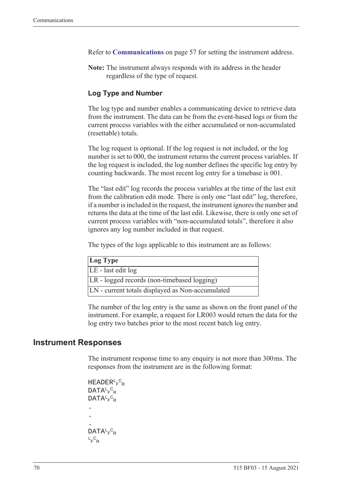Refer to **[Communications](#page-66-0)** on page 57 for setting the instrument address.

**Note:** The instrument always responds with its address in the header regardless of the type of request.

#### **Log Type and Number**

The log type and number enables a communicating device to retrieve data from the instrument. The data can be from the event-based logs or from the current process variables with the either accumulated or non-accumulated (resettable) totals.

The log request is optional. If the log request is not included, or the log number is set to 000, the instrument returns the current process variables. If the log request is included, the log number defines the specific log entry by counting backwards. The most recent log entry for a timebase is 001.

The "last edit" log records the process variables at the time of the last exit from the calibration edit mode. There is only one "last edit" log, therefore, if a number is included in the request, the instrument ignores the number and returns the data at the time of the last edit. Likewise, there is only one set of current process variables with "non-accumulated totals", therefore it also ignores any log number included in that request.

The types of the logs applicable to this instrument are as follows:

| Log Type                                         |
|--------------------------------------------------|
| LE - last edit log                               |
| LR - logged records (non-timebased logging)      |
| LN - current totals displayed as Non-accumulated |

The number of the log entry is the same as shown on the front panel of the instrument. For example, a request for LR003 would return the data for the log entry two batches prior to the most recent batch log entry.

#### **Instrument Responses**

<span id="page-79-0"></span>The instrument response time to any enquiry is not more than 300 ms. The responses from the instrument are in the following format:

```
HEADER<sup>L</sup>F<sup>C</sup>R
DATA<sup>L</sup>F<sup>C</sup>R
DATA<sup>L</sup>F<sup>C</sup>R
.
.
.
DATA<sup>L</sup>F<sup>C</sup>R
L
F
C
R
```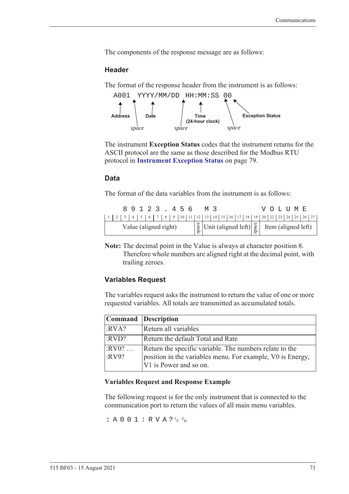The components of the response message are as follows:

#### **Header**

The format of the response header from the instrument is as follows:



<span id="page-80-0"></span>The instrument **Exception Status** codes that the instrument returns for the ASCII protocol are the same as those described for the Modbus RTU protocol in **[Instrument Exception Status](#page-88-0)** on page 79.

#### **Data**

The format of the data variables from the instrument is as follows:

|  |                                                                                                                    |                       |  |  | 89123.456 |  | M २ |                                                                                                                                           |  |  |  |  | V O L II M E |  |  |
|--|--------------------------------------------------------------------------------------------------------------------|-----------------------|--|--|-----------|--|-----|-------------------------------------------------------------------------------------------------------------------------------------------|--|--|--|--|--------------|--|--|
|  | 2   3   4   5   6   7   8   9   10   11   12   13   14   15   16   17   18   19   20   22   23   24   25   26   27 |                       |  |  |           |  |     |                                                                                                                                           |  |  |  |  |              |  |  |
|  |                                                                                                                    | Value (aligned right) |  |  |           |  |     | $\begin{bmatrix} 8 \\ 8 \\ 6 \\ 6 \end{bmatrix}$ Unit (aligned left) $\begin{bmatrix} 8 \\ 8 \\ 6 \\ 6 \end{bmatrix}$ Item (aligned left) |  |  |  |  |              |  |  |

**Note:** The decimal point in the Value is always at character position 8. Therefore whole numbers are aligned right at the decimal point, with trailing zeroes.

#### **Variables Request**

The variables request asks the instrument to return the value of one or more requested variables. All totals are transmitted as accumulated totals.

|                             | Command Description                                                                                                                             |
|-----------------------------|-------------------------------------------------------------------------------------------------------------------------------------------------|
| :RVA?                       | Return all variables                                                                                                                            |
| :RVD?                       | Return the default Total and Rate                                                                                                               |
| $\vert:RV0? \dots$<br>:RV9? | Return the specific variable. The numbers relate to the<br>position in the variables menu. For example, V0 is Energy,<br>V1 is Power and so on. |

#### **Variables Request and Response Example**

The following request is for the only instrument that is connected to the communication port to return the values of all main menu variables.

: A 0 0 1 : R V A ?  $L_F C_R$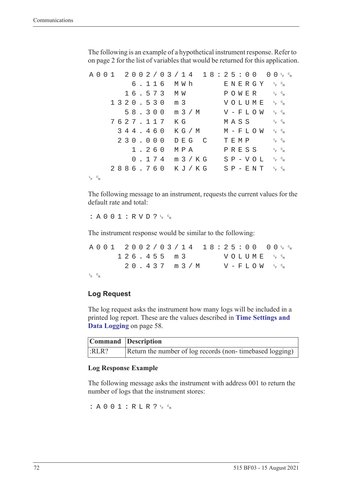The following is an example of a hypothetical instrument response. Refer to [on page 2](#page-11-0) for the list of variables that would be returned for this application.

|                 |  |  |  |  |          |  |              |  |       |  |  |  |       | A 0 0 1 2 0 0 2 / 0 3 / 1 4 1 8 : 2 5 : 0 0 0 0 0 $\frac{1}{2}$ $\frac{6}{10}$ |                                   |                 |  |
|-----------------|--|--|--|--|----------|--|--------------|--|-------|--|--|--|-------|--------------------------------------------------------------------------------|-----------------------------------|-----------------|--|
|                 |  |  |  |  |          |  |              |  |       |  |  |  |       | 6.116 MWh $ENERGY \vdash R$                                                    |                                   |                 |  |
|                 |  |  |  |  |          |  | 16.573 MW    |  |       |  |  |  |       | POWER                                                                          | $L_{F}$ $C_{R}$                   |                 |  |
|                 |  |  |  |  |          |  | 1320.530 m 3 |  |       |  |  |  |       | VOLUME <sup>L<sub>F</sub>C<sub>R</sub></sup>                                   |                                   |                 |  |
|                 |  |  |  |  |          |  |              |  |       |  |  |  |       | 58.300 m 3 / M V - F L O W 'F <sup>C</sup> R                                   |                                   |                 |  |
|                 |  |  |  |  | 7627.117 |  | K G          |  |       |  |  |  | MASS  |                                                                                |                                   | $L_{F}$ $C_{R}$ |  |
|                 |  |  |  |  | 344.460  |  |              |  |       |  |  |  |       | KG/M M-FLOW                                                                    | $L_{F}$ $C_{R}$                   |                 |  |
|                 |  |  |  |  | 230.000  |  |              |  | DEG C |  |  |  | TEMP  |                                                                                |                                   | $L_F$ $C_R$     |  |
|                 |  |  |  |  | 1.260    |  | МРА          |  |       |  |  |  | PRESS |                                                                                | $L$ <sub>F</sub> $C$ <sub>R</sub> |                 |  |
|                 |  |  |  |  |          |  |              |  |       |  |  |  |       | $0.174$ m $3/KG$ SP-VOL                                                        | $L_F$ $C_R$                       |                 |  |
|                 |  |  |  |  |          |  |              |  |       |  |  |  |       | 2886.760 KJ/KG SP-ENT 'F <sup>c</sup> r                                        |                                   |                 |  |
| $L_{F}$ $C_{R}$ |  |  |  |  |          |  |              |  |       |  |  |  |       |                                                                                |                                   |                 |  |

The following message to an instrument, requests the current values for the default rate and total:

: A 0 0 1 : R V D ?  $L_F$   $C_R$ 

The instrument response would be similar to the following:

A001 2002/03/14 18:25:00  $F$   $\circ$ <sub>R</sub> 126.455 m3 VOLUME <sup>L</sup>  $F$   $\circ$ <sub>R</sub> 20.437 m3/M V-FLOW <sup>L</sup> <sup>F</sup> <sup>C</sup> R L <sup>F</sup> <sup>C</sup> R

#### **Log Request**

The log request asks the instrument how many logs will be included in a printed log report. These are the values described in **[Time Settings and](#page-67-0)  [Data Logging](#page-67-0)** on page 58.

|      | Command Description                                      |
|------|----------------------------------------------------------|
| RLR? | Return the number of log records (non-timebased logging) |

#### **Log Response Example**

The following message asks the instrument with address 001 to return the number of logs that the instrument stores:

: A 0 0 1 : R L R ?  $L_F$   $C_R$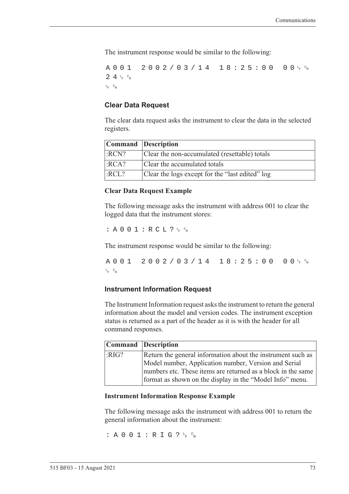The instrument response would be similar to the following:

A001 2002/03/14 18:25:00  $F$   $C_R$  $24r$ <sub>F</sub>  $c$ <sub>R</sub> L <sup>F</sup> <sup>C</sup> R

#### **Clear Data Request**

The clear data request asks the instrument to clear the data in the selected registers.

|       | Command   Description                           |
|-------|-------------------------------------------------|
| :RCN? | Clear the non-accumulated (resettable) totals   |
| :RCA? | Clear the accumulated totals                    |
| :RCL? | Clear the logs except for the "last edited" log |

#### **Clear Data Request Example**

The following message asks the instrument with address 001 to clear the logged data that the instrument stores:

: A 0 0 1 : R C L ?  $L_F$   $c_R$ 

The instrument response would be similar to the following:

A001 2002/03/14 18:25:00  $F$   $C_R$ L <sup>F</sup> <sup>C</sup> R

#### <span id="page-82-0"></span>**Instrument Information Request**

The Instrument Information request asks the instrument to return the general information about the model and version codes. The instrument exception status is returned as a part of the header as it is with the header for all command responses.

| Command Description        |                                                              |
|----------------------------|--------------------------------------------------------------|
| $\mathsf{I}:\mathsf{RIG}?$ | Return the general information about the instrument such as  |
|                            | Model number, Application number, Version and Serial         |
|                            | numbers etc. These items are returned as a block in the same |
|                            | format as shown on the display in the "Model Info" menu.     |

#### **Instrument Information Response Example**

The following message asks the instrument with address 001 to return the general information about the instrument:

 $: A 0 0 1 : R I G ? L F c R$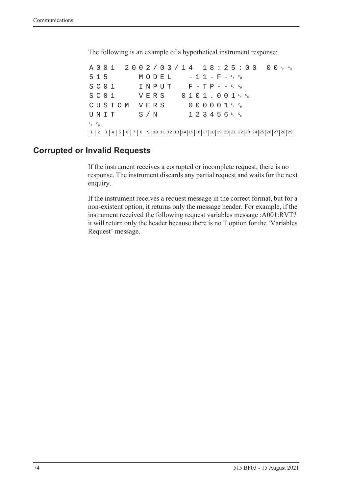The following is an example of a hypothetical instrument response:

A001 2002/03/14 18:25:00  $F$   $\circ$ <sub>R</sub>  $515$   $MODEL$   $-11-F F$   $R$  $S$  C O  $1$  I N P U T F - T P - - <sup>L</sup><sub>F</sub> <sup>C</sup>R  $S$  C O  $1$  V E R S O  $1$  O  $1$  J  $1$  , O  $0$   $1$   $1$   $1$   $6$   $8$ CUSTOM VERS 000001<sup>L</sup>F<sup>C</sup>R  $\texttt{UNIT}$  S/N 123456<sup>L</sup><sub>F</sub>  $\texttt{C}_{\texttt{R}}$ L <sup>F</sup> <sup>C</sup> R 1 2 3 4 5 6 7 8 9 10 11 12 13 14 15 16 17 18 19 20 21 22 23 24 25 26 27 28 29

# **Corrupted or Invalid Requests**

If the instrument receives a corrupted or incomplete request, there is no response. The instrument discards any partial request and waits for the next enquiry.

If the instrument receives a request message in the correct format, but for a non-existent option, it returns only the message header. For example, if the instrument received the following request variables message :A001:RVT? it will return only the header because there is no T option for the 'Variables Request' message.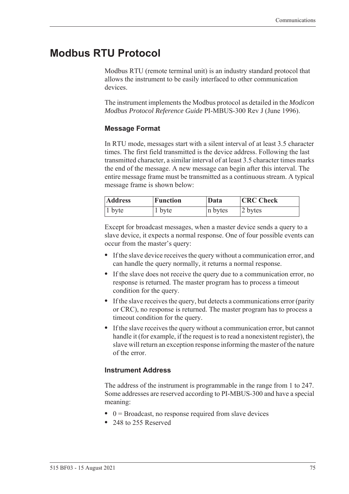# **Modbus RTU Protocol**

<span id="page-84-0"></span>Modbus RTU (remote terminal unit) is an industry standard protocol that allows the instrument to be easily interfaced to other communication devices.

The instrument implements the Modbus protocol as detailed in the *Modicon Modbus Protocol Reference Guide* PI-MBUS-300 Rev J (June 1996).

### **Message Format**

In RTU mode, messages start with a silent interval of at least 3.5 character times. The first field transmitted is the device address. Following the last transmitted character, a similar interval of at least 3.5 character times marks the end of the message. A new message can begin after this interval. The entire message frame must be transmitted as a continuous stream. A typical message frame is shown below:

| <b>Address</b> | <b>Function</b> | Data    | <b>CRC</b> Check |
|----------------|-----------------|---------|------------------|
| $ 1$ byte      | 1 byte          | n bytes | 2 bytes          |

Except for broadcast messages, when a master device sends a query to a slave device, it expects a normal response. One of four possible events can occur from the master's query:

- **•** If the slave device receives the query without a communication error, and can handle the query normally, it returns a normal response.
- **•** If the slave does not receive the query due to a communication error, no response is returned. The master program has to process a timeout condition for the query.
- **•** If the slave receives the query, but detects a communications error (parity or CRC), no response is returned. The master program has to process a timeout condition for the query.
- **•** If the slave receives the query without a communication error, but cannot handle it (for example, if the request is to read a nonexistent register), the slave will return an exception response informing the master of the nature of the error.

### **Instrument Address**

The address of the instrument is programmable in the range from 1 to 247. Some addresses are reserved according to PI-MBUS-300 and have a special meaning:

- 0 = Broadcast, no response required from slave devices
- **•** 248 to 255 Reserved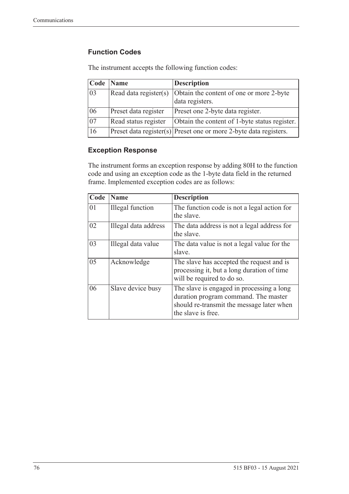# **Function Codes**

| Code            | <b>Name</b>           | <b>Description</b>                                                    |
|-----------------|-----------------------|-----------------------------------------------------------------------|
| 03              | Read data register(s) | Obtain the content of one or more 2-byte<br>data registers.           |
| 06              | Preset data register  | Preset one 2-byte data register.                                      |
| $\overline{07}$ | Read status register  | Obtain the content of 1-byte status register.                         |
| 16              |                       | $ $ Preset data register(s) Preset one or more 2-byte data registers. |

The instrument accepts the following function codes:

#### **Exception Response**

The instrument forms an exception response by adding 80H to the function code and using an exception code as the 1-byte data field in the returned frame. Implemented exception codes are as follows:

| Code | <b>Name</b>             | <b>Description</b>                                                                                                                                   |
|------|-------------------------|------------------------------------------------------------------------------------------------------------------------------------------------------|
| 01   | <b>Illegal</b> function | The function code is not a legal action for<br>the slave.                                                                                            |
| 02   | Illegal data address    | The data address is not a legal address for<br>the slave.                                                                                            |
| 03   | Illegal data value      | The data value is not a legal value for the<br>slave.                                                                                                |
| 05   | Acknowledge             | The slave has accepted the request and is<br>processing it, but a long duration of time<br>will be required to do so.                                |
| 06   | Slave device busy       | The slave is engaged in processing a long<br>duration program command. The master<br>should re-transmit the message later when<br>the slave is free. |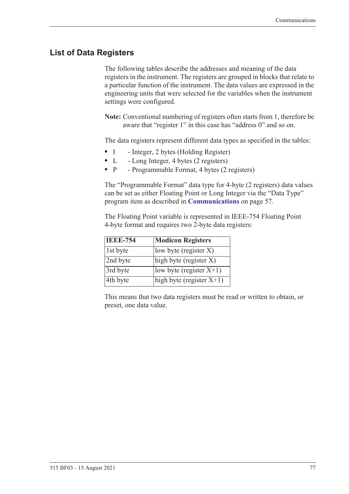# **List of Data Registers**

The following tables describe the addresses and meaning of the data registers in the instrument. The registers are grouped in blocks that relate to a particular function of the instrument. The data values are expressed in the engineering units that were selected for the variables when the instrument settings were configured.

**Note:** Conventional numbering of registers often starts from 1, therefore be aware that "register 1" in this case has "address 0" and so on.

The data registers represent different data types as specified in the tables:

- I Integer, 2 bytes (Holding Register)
- L Long Integer, 4 bytes (2 registers)
- P Programmable Format, 4 bytes (2 registers)

The "Programmable Format" data type for 4-byte (2 registers) data values can be set as either Floating Point or Long Integer via the "Data Type" program item as described in **[Communications](#page-66-0)** on page 57.

The Floating Point variable is represented in IEEE-754 Floating Point 4-byte format and requires two 2-byte data registers:

| <b>IEEE-754</b> | <b>Modicon Registers</b>    |
|-----------------|-----------------------------|
| 1st byte        | low byte (register $X$ )    |
| 2nd byte        | high byte (register X)      |
| 3rd byte        | $ low byte (register X+1) $ |
| 4th byte        | high byte (register $X+1$ ) |

This means that two data registers must be read or written to obtain, or preset, one data value.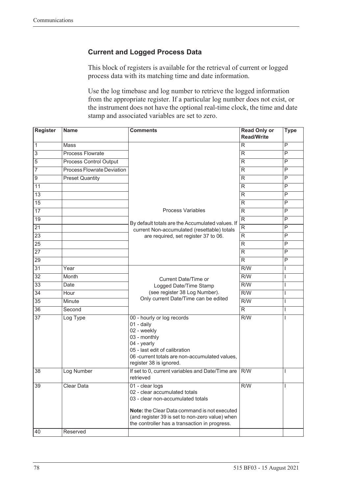# **Current and Logged Process Data**

This block of registers is available for the retrieval of current or logged process data with its matching time and date information.

Use the log timebase and log number to retrieve the logged information from the appropriate register. If a particular log number does not exist, or the instrument does not have the optional real-time clock, the time and date stamp and associated variables are set to zero.

| <b>Register</b> | <b>Name</b>                | <b>Comments</b>                                                                                                                                                                                                                           | <b>Read Only or</b><br><b>Read/Write</b> | <b>Type</b>    |
|-----------------|----------------------------|-------------------------------------------------------------------------------------------------------------------------------------------------------------------------------------------------------------------------------------------|------------------------------------------|----------------|
| $\overline{1}$  | <b>Mass</b>                |                                                                                                                                                                                                                                           | R                                        | P              |
| $\overline{3}$  | Process Flowrate           |                                                                                                                                                                                                                                           | $\mathsf{R}$                             | P              |
| 5               | Process Control Output     |                                                                                                                                                                                                                                           | R                                        | P              |
| $\overline{7}$  | Process Flowrate Deviation |                                                                                                                                                                                                                                           | $\mathsf{R}$                             | P              |
| $9$             | <b>Preset Quantity</b>     |                                                                                                                                                                                                                                           | R                                        | P              |
| 11              |                            |                                                                                                                                                                                                                                           | R                                        | P              |
| 13              |                            |                                                                                                                                                                                                                                           | $\mathsf{R}$                             | P              |
| 15              |                            |                                                                                                                                                                                                                                           | R                                        | P              |
| 17              |                            | <b>Process Variables</b>                                                                                                                                                                                                                  | R                                        | P              |
| 19              |                            | By default totals are the Accumulated values. If                                                                                                                                                                                          | ${\sf R}$                                | $\mathsf{P}$   |
| $\overline{21}$ |                            | current Non-accumulated (resettable) totals                                                                                                                                                                                               | $\overline{\mathsf{R}}$                  | P              |
| 23              |                            | are required, set register 37 to 06.                                                                                                                                                                                                      | R                                        | P              |
| 25              |                            |                                                                                                                                                                                                                                           | $\mathsf{R}$                             | $\overline{P}$ |
| $\overline{27}$ |                            |                                                                                                                                                                                                                                           | $\mathsf{R}$                             | P              |
| 29              |                            |                                                                                                                                                                                                                                           | R                                        | P              |
| 31              | Year                       |                                                                                                                                                                                                                                           | R/W                                      | T              |
| $\overline{32}$ | <b>Month</b>               | Current Date/Time or<br>Logged Date/Time Stamp                                                                                                                                                                                            | R/W                                      | ı              |
| 33              | Date                       |                                                                                                                                                                                                                                           | R/W                                      | ı              |
| 34              | Hour                       | (see register 38 Log Number).                                                                                                                                                                                                             | R/W                                      | I              |
| $\overline{35}$ | Minute                     | Only current Date/Time can be edited                                                                                                                                                                                                      | R/W                                      | I              |
| 36              | Second                     |                                                                                                                                                                                                                                           | R                                        | I              |
| 37              | Log Type                   | 00 - hourly or log records<br>$01 - \text{daily}$<br>02 - weekly<br>03 - monthly<br>04 - yearly<br>05 - last edit of calibration<br>06 - current totals are non-accumulated values,<br>register 38 is ignored.                            | R/W                                      | I              |
| 38              | Log Number                 | If set to 0, current variables and Date/Time are<br>retrieved                                                                                                                                                                             | R/W                                      | $\overline{1}$ |
| 39              | Clear Data                 | 01 - clear logs<br>02 - clear accumulated totals<br>03 - clear non-accumulated totals<br>Note: the Clear Data command is not executed<br>(and register 39 is set to non-zero value) when<br>the controller has a transaction in progress. | R/W                                      | I              |
| 40              | Reserved                   |                                                                                                                                                                                                                                           |                                          |                |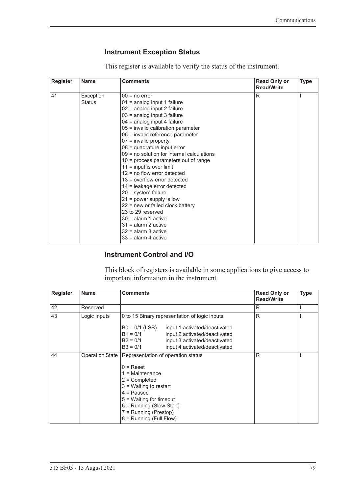# <span id="page-88-1"></span><span id="page-88-0"></span>**Instrument Exception Status**

This register is available to verify the status of the instrument.

| <b>Register</b> | <b>Name</b>   | <b>Comments</b>                              | <b>Read Only or</b><br><b>Read/Write</b> | <b>Type</b> |
|-----------------|---------------|----------------------------------------------|------------------------------------------|-------------|
| 41              | Exception     | $00 = no error$                              | R                                        |             |
|                 | <b>Status</b> | $01$ = analog input 1 failure                |                                          |             |
|                 |               | 02 = analog input 2 failure                  |                                          |             |
|                 |               | 03 = analog input 3 failure                  |                                          |             |
|                 |               | 04 = analog input 4 failure                  |                                          |             |
|                 |               | 05 = invalid calibration parameter           |                                          |             |
|                 |               | 06 = invalid reference parameter             |                                          |             |
|                 |               | $07$ = invalid property                      |                                          |             |
|                 |               | $08$ = quadrature input error                |                                          |             |
|                 |               | $09$ = no solution for internal calculations |                                          |             |
|                 |               | $10$ = process parameters out of range       |                                          |             |
|                 |               | $11 =$ input is over limit                   |                                          |             |
|                 |               | $12$ = no flow error detected                |                                          |             |
|                 |               | $13$ = overflow error detected               |                                          |             |
|                 |               | $14$ = leakage error detected                |                                          |             |
|                 |               | $20 =$ system failure                        |                                          |             |
|                 |               | $21$ = power supply is low                   |                                          |             |
|                 |               | $22$ = new or failed clock battery           |                                          |             |
|                 |               | 23 to 29 reserved                            |                                          |             |
|                 |               | $30 =$ alarm 1 active                        |                                          |             |
|                 |               | $31$ = alarm 2 active                        |                                          |             |
|                 |               | $32$ = alarm 3 active                        |                                          |             |
|                 |               | $33$ = alarm 4 active                        |                                          |             |

### **Instrument Control and I/O**

This block of registers is available in some applications to give access to important information in the instrument.

| <b>Register</b> | <b>Name</b>  | <b>Comments</b>                                      | <b>Read Only or</b><br><b>Read/Write</b> | Type |
|-----------------|--------------|------------------------------------------------------|------------------------------------------|------|
| 42              | Reserved     |                                                      | R                                        |      |
| 43              | Logic Inputs | 0 to 15 Binary representation of logic inputs        | R                                        |      |
|                 |              | $B0 = 0/1$ (LSB)<br>input 1 activated/deactivated    |                                          |      |
|                 |              | $B1 = 0/1$<br>input 2 activated/deactivated          |                                          |      |
|                 |              | $B2 = 0/1$<br>input 3 activated/deactivated          |                                          |      |
|                 |              | $B3 = 0/1$<br>input 4 activated/deactivated          |                                          |      |
| 44              |              | Operation State   Representation of operation status | R                                        |      |
|                 |              | $0 =$ Reset                                          |                                          |      |
|                 |              | 1 = Maintenance                                      |                                          |      |
|                 |              | $2 =$ Completed                                      |                                          |      |
|                 |              | $3$ = Waiting to restart                             |                                          |      |
|                 |              | $4 =$ Paused                                         |                                          |      |
|                 |              | $5 =$ Waiting for timeout                            |                                          |      |
|                 |              | $6$ = Running (Slow Start)                           |                                          |      |
|                 |              | 7 = Running (Prestop)                                |                                          |      |
|                 |              | $8$ = Running (Full Flow)                            |                                          |      |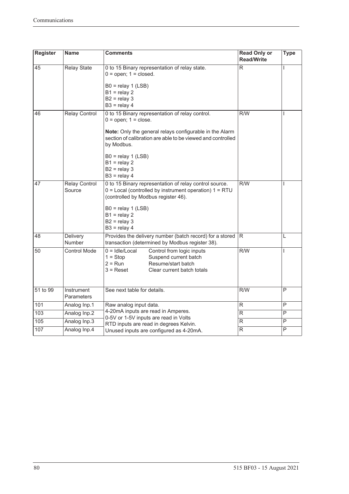| <b>Register</b> | <b>Name</b>                     | <b>Comments</b>                                                                                                                                                                                                                                                                                   | <b>Read Only or</b><br><b>Read/Write</b> | <b>Type</b> |
|-----------------|---------------------------------|---------------------------------------------------------------------------------------------------------------------------------------------------------------------------------------------------------------------------------------------------------------------------------------------------|------------------------------------------|-------------|
| 45              | <b>Relay State</b>              | 0 to 15 Binary representation of relay state.<br>$0 =$ open; $1 =$ closed.<br>$B0 =$ relay 1 (LSB)<br>$B1 =$ relay 2<br>$B2 =$ relay 3<br>$B3 =$ relay 4                                                                                                                                          | R                                        |             |
| 46              | <b>Relay Control</b>            | 0 to 15 Binary representation of relay control.<br>$0 =$ open; $1 =$ close.<br>Note: Only the general relays configurable in the Alarm<br>section of calibration are able to be viewed and controlled<br>by Modbus.<br>$B0 =$ relay 1 (LSB)<br>$B1 =$ relay 2<br>$B2 =$ relay 3<br>$B3 =$ relay 4 | R/W                                      |             |
| 47              | <b>Relay Control</b><br>Source  | 0 to 15 Binary representation of relay control source.<br>$0 =$ Local (controlled by instrument operation) $1 = RTU$<br>(controlled by Modbus register 46).<br>$B0 =$ relay 1 (LSB)<br>$B1$ = relay 2<br>$B2 =$ relay 3<br>$B3 =$ relay 4                                                         | R/W                                      | ı           |
| 48              | Delivery<br><b>Number</b>       | Provides the delivery number (batch record) for a stored<br>transaction (determined by Modbus register 38).                                                                                                                                                                                       | IR.                                      | L           |
| 50              | <b>Control Mode</b>             | $0 =$ Idle/Local<br>Control from logic inputs<br>$1 = Stop$<br>Suspend current batch<br>Resume/start batch<br>$2 = Run$<br>$3 =$ Reset<br>Clear current batch totals                                                                                                                              | R/W                                      | I           |
| 51 to 99        | Instrument<br><b>Parameters</b> | See next table for details.                                                                                                                                                                                                                                                                       | R/W                                      | P           |
| 101             | Analog Inp.1                    | Raw analog input data.                                                                                                                                                                                                                                                                            | $\overline{R}$                           | P           |
| 103             | Analog Inp.2                    | 4-20mA inputs are read in Amperes.                                                                                                                                                                                                                                                                | R                                        | P           |
| 105             | Analog Inp.3                    | 0-5V or 1-5V inputs are read in Volts<br>RTD inputs are read in degrees Kelvin.                                                                                                                                                                                                                   | R                                        | P           |
| 107             | Analog Inp.4                    | Unused inputs are configured as 4-20mA.                                                                                                                                                                                                                                                           | $\overline{\mathsf{R}}$                  | P           |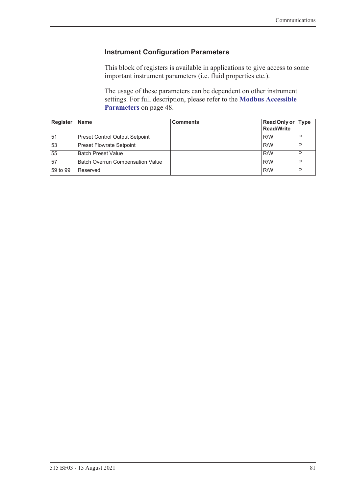## **Instrument Configuration Parameters**

This block of registers is available in applications to give access to some important instrument parameters (i.e. fluid properties etc.).

The usage of these parameters can be dependent on other instrument settings. For full description, please refer to the **[Modbus Accessible](#page-57-0)  [Parameters](#page-57-0)** on page 48.

| <b>Register</b> | <b>Name</b>                             | <b>Comments</b> | Read Only or Type<br><b>Read/Write</b> |   |
|-----------------|-----------------------------------------|-----------------|----------------------------------------|---|
| 51              | <b>Preset Control Output Setpoint</b>   |                 | R/W                                    | D |
| 53              | <b>Preset Flowrate Setpoint</b>         |                 | R/W                                    | D |
| 55              | <b>Batch Preset Value</b>               |                 | R/W                                    | D |
| 57              | <b>Batch Overrun Compensation Value</b> |                 | R/W                                    | D |
| 59 to 99        | Reserved                                |                 | R/W                                    | D |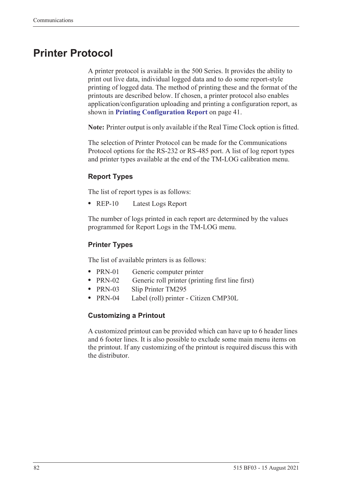# <span id="page-91-0"></span>**Printer Protocol**

<span id="page-91-2"></span>A printer protocol is available in the 500 Series. It provides the ability to print out live data, individual logged data and to do some report-style printing of logged data. The method of printing these and the format of the printouts are described below. If chosen, a printer protocol also enables application/configuration uploading and printing a configuration report, as shown in **[Printing Configuration Report](#page-50-0)** on page 41.

**Note:** Printer output is only available if the Real Time Clock option is fitted.

The selection of Printer Protocol can be made for the Communications Protocol options for the RS-232 or RS-485 port. A list of log report types and printer types available at the end of the TM-LOG calibration menu.

### <span id="page-91-3"></span>**Report Types**

The list of report types is as follows:

**•** REP-10 Latest Logs Report

The number of logs printed in each report are determined by the values programmed for Report Logs in the TM-LOG menu.

### <span id="page-91-4"></span>**Printer Types**

The list of available printers is as follows:

- PRN-01 Generic computer printer
- PRN-02 Generic roll printer (printing first line first)
- PRN-03 Slip Printer TM295
- **•** PRN-04 Label (roll) printer Citizen CMP30L

### <span id="page-91-1"></span>**Customizing a Printout**

A customized printout can be provided which can have up to 6 header lines and 6 footer lines. It is also possible to exclude some main menu items on the printout. If any customizing of the printout is required discuss this with the distributor.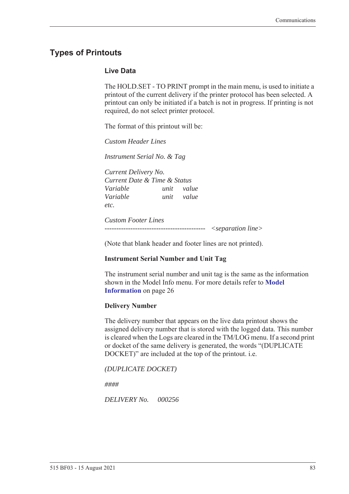# <span id="page-92-1"></span>**Types of Printouts**

#### <span id="page-92-0"></span>**Live Data**

The HOLD.SET - TO PRINT prompt in the main menu, is used to initiate a printout of the current delivery if the printer protocol has been selected. A printout can only be initiated if a batch is not in progress. If printing is not required, do not select printer protocol.

The format of this printout will be:

*Custom Header Lines*

*Instrument Serial No. & Tag*

*Current Delivery No. Current Date & Time & Status Variable unit value Variable unit value etc.*

*Custom Footer Lines ------------------------------------------- <separation line>*

(Note that blank header and footer lines are not printed).

#### **Instrument Serial Number and Unit Tag**

The instrument serial number and unit tag is the same as the information shown in the Model Info menu. For more details refer to **[Model](#page-35-0)  [Information](#page-35-0)** on page 26

#### **Delivery Number**

The delivery number that appears on the live data printout shows the assigned delivery number that is stored with the logged data. This number is cleared when the Logs are cleared in the TM/LOG menu. If a second print or docket of the same delivery is generated, the words "(DUPLICATE DOCKET)" are included at the top of the printout. i.e.

*(DUPLICATE DOCKET)*

*####*

*DELIVERY No. 000256*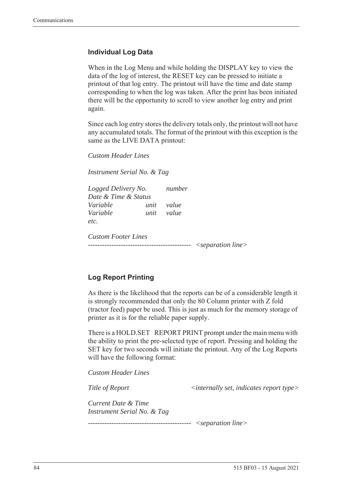#### <span id="page-93-0"></span>**Individual Log Data**

When in the Log Menu and while holding the DISPLAY key to view the data of the log of interest, the RESET key can be pressed to initiate a printout of that log entry. The printout will have the time and date stamp corresponding to when the log was taken. After the print has been initiated there will be the opportunity to scroll to view another log entry and print again.

Since each log entry stores the delivery totals only, the printout will not have any accumulated totals. The format of the printout with this exception is the same as the LIVE DATA printout:

*Custom Header Lines*

*Instrument Serial No. & Tag*

| Logged Delivery No.  |            | number |
|----------------------|------------|--------|
| Date & Time & Status |            |        |
| Variable             | unit value |        |
| Variable             | unit value |        |
| etc.                 |            |        |

*Custom Footer Lines* 

*-------------------------------------------- <separation line>*

# <span id="page-93-1"></span>**Log Report Printing**

As there is the likelihood that the reports can be of a considerable length it is strongly recommended that only the 80 Column printer with Z fold (tractor feed) paper be used. This is just as much for the memory storage of printer as it is for the reliable paper supply.

There is a HOLD.SET REPORT PRINT prompt under the main menu with the ability to print the pre-selected type of report. Pressing and holding the SET key for two seconds will initiate the printout. Any of the Log Reports will have the following format:

*Custom Header Lines*

*Title of Report*  $\langle$  *internally set, indicates report type>* 

*Current Date & Time Instrument Serial No. & Tag*

*-------------------------------------------- <separation line>*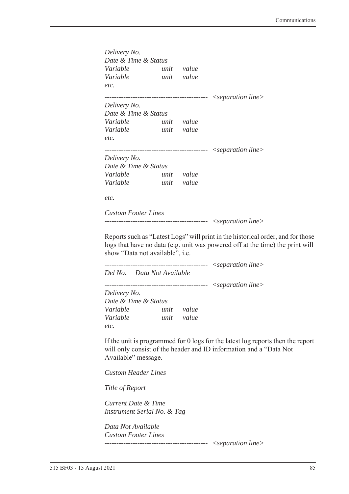| Delivery No.                                |      |            |                                                                                                                                                                  |
|---------------------------------------------|------|------------|------------------------------------------------------------------------------------------------------------------------------------------------------------------|
| Date & Time & Status<br>Variable unit value |      |            |                                                                                                                                                                  |
| Variable                                    |      | unit value |                                                                                                                                                                  |
| etc.                                        |      |            |                                                                                                                                                                  |
|                                             |      |            |                                                                                                                                                                  |
| Delivery No.                                |      |            |                                                                                                                                                                  |
| Date & Time & Status                        |      |            |                                                                                                                                                                  |
| Variable                                    |      | unit value |                                                                                                                                                                  |
| Variable                                    |      | unit value |                                                                                                                                                                  |
| etc.                                        |      |            |                                                                                                                                                                  |
|                                             |      |            |                                                                                                                                                                  |
| Delivery No.                                |      |            |                                                                                                                                                                  |
| Date & Time & Status                        |      |            |                                                                                                                                                                  |
| Variable unit value                         |      |            |                                                                                                                                                                  |
| Variable                                    |      | unit value |                                                                                                                                                                  |
| etc.                                        |      |            |                                                                                                                                                                  |
| <b>Custom Footer Lines</b>                  |      |            |                                                                                                                                                                  |
|                                             |      |            |                                                                                                                                                                  |
| show "Data not available", i.e.             |      |            | Reports such as "Latest Logs" will print in the historical order, and for those<br>logs that have no data (e.g. unit was powered off at the time) the print will |
|                                             |      |            |                                                                                                                                                                  |
| Del No. Data Not Available                  |      |            |                                                                                                                                                                  |
|                                             |      |            |                                                                                                                                                                  |
| Delivery No.                                |      |            |                                                                                                                                                                  |
| Date & Time & Status                        |      |            |                                                                                                                                                                  |
| Variable unit value                         |      |            |                                                                                                                                                                  |
| Variable<br>etc.                            | unit | value      |                                                                                                                                                                  |
| Available" message.                         |      |            | If the unit is programmed for 0 logs for the latest log reports then the report<br>will only consist of the header and ID information and a "Data Not            |

*Custom Header Lines*

*Title of Report*

*Current Date & Time Instrument Serial No. & Tag*

*Data Not Available Custom Footer Lines -------------------------------------------- <separation line>*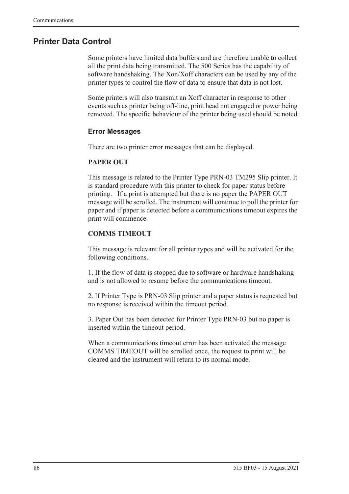# <span id="page-95-0"></span>**Printer Data Control**

Some printers have limited data buffers and are therefore unable to collect all the print data being transmitted. The 500 Series has the capability of software handshaking. The Xon/Xoff characters can be used by any of the printer types to control the flow of data to ensure that data is not lost.

Some printers will also transmit an Xoff character in response to other events such as printer being off-line, print head not engaged or power being removed. The specific behaviour of the printer being used should be noted.

### <span id="page-95-1"></span>**Error Messages**

There are two printer error messages that can be displayed.

### **PAPER OUT**

This message is related to the Printer Type PRN-03 TM295 Slip printer. It is standard procedure with this printer to check for paper status before printing. If a print is attempted but there is no paper the PAPER OUT message will be scrolled. The instrument will continue to poll the printer for paper and if paper is detected before a communications timeout expires the print will commence.

### **COMMS TIMEOUT**

This message is relevant for all printer types and will be activated for the following conditions.

1. If the flow of data is stopped due to software or hardware handshaking and is not allowed to resume before the communications timeout.

2. If Printer Type is PRN-03 Slip printer and a paper status is requested but no response is received within the timeout period.

3. Paper Out has been detected for Printer Type PRN-03 but no paper is inserted within the timeout period.

When a communications timeout error has been activated the message COMMS TIMEOUT will be scrolled once, the request to print will be cleared and the instrument will return to its normal mode.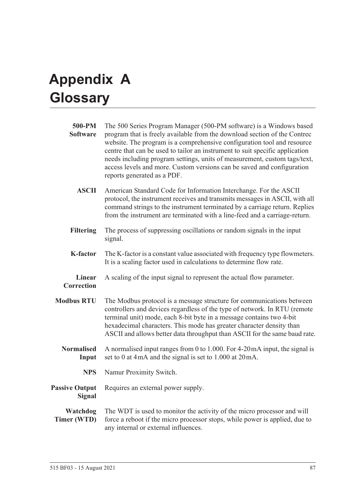# <span id="page-96-1"></span>**Appendix A Glossary**

<span id="page-96-0"></span>

| 500-PM<br><b>Software</b>              | The 500 Series Program Manager (500-PM software) is a Windows based<br>program that is freely available from the download section of the Contrec<br>website. The program is a comprehensive configuration tool and resource<br>centre that can be used to tailor an instrument to suit specific application<br>needs including program settings, units of measurement, custom tags/text,<br>access levels and more. Custom versions can be saved and configuration<br>reports generated as a PDF. |
|----------------------------------------|---------------------------------------------------------------------------------------------------------------------------------------------------------------------------------------------------------------------------------------------------------------------------------------------------------------------------------------------------------------------------------------------------------------------------------------------------------------------------------------------------|
| <b>ASCII</b>                           | American Standard Code for Information Interchange. For the ASCII<br>protocol, the instrument receives and transmits messages in ASCII, with all<br>command strings to the instrument terminated by a carriage return. Replies<br>from the instrument are terminated with a line-feed and a carriage-return.                                                                                                                                                                                      |
| <b>Filtering</b>                       | The process of suppressing oscillations or random signals in the input<br>signal.                                                                                                                                                                                                                                                                                                                                                                                                                 |
| <b>K-factor</b>                        | The K-factor is a constant value associated with frequency type flowmeters.<br>It is a scaling factor used in calculations to determine flow rate.                                                                                                                                                                                                                                                                                                                                                |
| <b>Linear</b><br>Correction            | A scaling of the input signal to represent the actual flow parameter.                                                                                                                                                                                                                                                                                                                                                                                                                             |
| <b>Modbus RTU</b>                      | The Modbus protocol is a message structure for communications between<br>controllers and devices regardless of the type of network. In RTU (remote<br>terminal unit) mode, each 8-bit byte in a message contains two 4-bit<br>hexadecimal characters. This mode has greater character density than<br>ASCII and allows better data throughput than ASCII for the same baud rate.                                                                                                                  |
| <b>Normalised</b><br>Input             | A normalised input ranges from 0 to 1.000. For 4-20 mA input, the signal is<br>set to 0 at 4mA and the signal is set to 1.000 at 20mA.                                                                                                                                                                                                                                                                                                                                                            |
| <b>NPS</b>                             | Namur Proximity Switch.                                                                                                                                                                                                                                                                                                                                                                                                                                                                           |
| <b>Passive Output</b><br><b>Signal</b> | Requires an external power supply.                                                                                                                                                                                                                                                                                                                                                                                                                                                                |
| Watchdog<br>Timer (WTD)                | The WDT is used to monitor the activity of the micro processor and will<br>force a reboot if the micro processor stops, while power is applied, due to<br>any internal or external influences.                                                                                                                                                                                                                                                                                                    |
|                                        |                                                                                                                                                                                                                                                                                                                                                                                                                                                                                                   |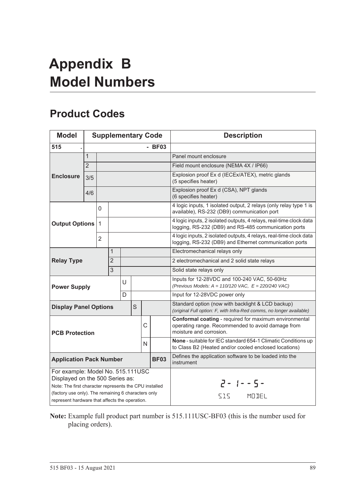# <span id="page-98-1"></span>**Appendix B Model Numbers**

# <span id="page-98-0"></span>**Product Codes**

| <b>Model</b>                                                                                                                                                                                                                            | <b>Supplementary Code</b> |                |                |   |  |   |                                                                                                                           | <b>Description</b>                                                                                                                     |
|-----------------------------------------------------------------------------------------------------------------------------------------------------------------------------------------------------------------------------------------|---------------------------|----------------|----------------|---|--|---|---------------------------------------------------------------------------------------------------------------------------|----------------------------------------------------------------------------------------------------------------------------------------|
| 515                                                                                                                                                                                                                                     |                           |                |                |   |  |   | - BF03                                                                                                                    |                                                                                                                                        |
|                                                                                                                                                                                                                                         | $\mathbf{1}$              |                |                |   |  |   |                                                                                                                           | Panel mount enclosure                                                                                                                  |
|                                                                                                                                                                                                                                         | $\overline{2}$            |                |                |   |  |   |                                                                                                                           | Field mount enclosure (NEMA 4X / IP66)                                                                                                 |
| <b>Enclosure</b>                                                                                                                                                                                                                        | 3/5                       |                |                |   |  |   |                                                                                                                           | Explosion proof Ex d (IECEx/ATEX), metric glands<br>(5 specifies heater)                                                               |
|                                                                                                                                                                                                                                         | 4/6                       |                |                |   |  |   |                                                                                                                           | Explosion proof Ex d (CSA), NPT glands<br>(6 specifies heater)                                                                         |
|                                                                                                                                                                                                                                         |                           | 0              |                |   |  |   |                                                                                                                           | 4 logic inputs, 1 isolated output, 2 relays (only relay type 1 is<br>available), RS-232 (DB9) communication port                       |
| <b>Output Options</b>                                                                                                                                                                                                                   |                           | $\mathbf{1}$   |                |   |  |   |                                                                                                                           | 4 logic inputs, 2 isolated outputs, 4 relays, real-time clock data<br>logging, RS-232 (DB9) and RS-485 communication ports             |
|                                                                                                                                                                                                                                         |                           | $\overline{2}$ |                |   |  |   |                                                                                                                           | 4 logic inputs, 2 isolated outputs, 4 relays, real-time clock data<br>logging, RS-232 (DB9) and Ethernet communication ports           |
|                                                                                                                                                                                                                                         |                           |                | 1              |   |  |   |                                                                                                                           | Electromechanical relays only                                                                                                          |
| <b>Relay Type</b>                                                                                                                                                                                                                       | $\overline{2}$            |                |                |   |  |   |                                                                                                                           | 2 electromechanical and 2 solid state relays                                                                                           |
|                                                                                                                                                                                                                                         |                           |                | $\overline{3}$ |   |  |   |                                                                                                                           | Solid state relays only                                                                                                                |
| <b>Power Supply</b>                                                                                                                                                                                                                     |                           |                |                | U |  |   |                                                                                                                           | Inputs for 12-28VDC and 100-240 VAC, 50-60Hz<br>(Previous Models: $A = 110/120$ VAC, $E = 220/240$ VAC)                                |
|                                                                                                                                                                                                                                         |                           |                |                | D |  |   |                                                                                                                           | Input for 12-28VDC power only                                                                                                          |
| S<br><b>Display Panel Options</b>                                                                                                                                                                                                       |                           |                |                |   |  |   | Standard option (now with backlight & LCD backup)<br>(original Full option: F, with Infra-Red comms, no longer available) |                                                                                                                                        |
| <b>PCB Protection</b>                                                                                                                                                                                                                   |                           |                |                |   |  | C |                                                                                                                           | Conformal coating - required for maximum environmental<br>operating range. Recommended to avoid damage from<br>moisture and corrosion. |
|                                                                                                                                                                                                                                         |                           |                |                |   |  | N |                                                                                                                           | None - suitable for IEC standard 654-1 Climatic Conditions up<br>to Class B2 (Heated and/or cooled enclosed locations)                 |
| <b>BF03</b><br><b>Application Pack Number</b>                                                                                                                                                                                           |                           |                |                |   |  |   |                                                                                                                           | Defines the application software to be loaded into the<br>instrument                                                                   |
| For example: Model No. 515.111USC<br>Displayed on the 500 Series as:<br>Note: The first character represents the CPU installed<br>(factory use only). The remaining 6 characters only<br>represent hardware that affects the operation. |                           |                |                |   |  |   | $2 - 1 - - 5 -$<br>515<br>MODEL                                                                                           |                                                                                                                                        |

**Note:** Example full product part number is 515.111USC-BF03 (this is the number used for placing orders).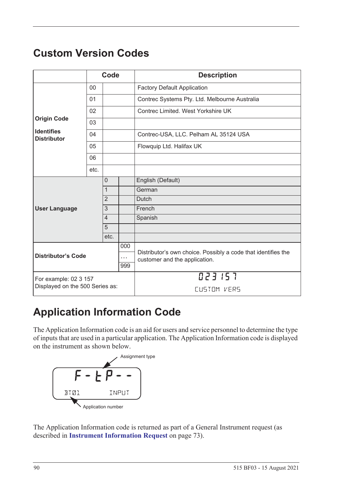# <span id="page-99-1"></span>**Custom Version Codes**

|                                              | Code                  |                |  | <b>Description</b>                                                                             |  |  |
|----------------------------------------------|-----------------------|----------------|--|------------------------------------------------------------------------------------------------|--|--|
|                                              | 00                    |                |  | <b>Factory Default Application</b>                                                             |  |  |
|                                              | 01                    |                |  | Contrec Systems Pty. Ltd. Melbourne Australia                                                  |  |  |
|                                              | 02                    |                |  | Contrec Limited. West Yorkshire UK                                                             |  |  |
| <b>Origin Code</b>                           | 03                    |                |  |                                                                                                |  |  |
| <b>Identifies</b><br><b>Distributor</b>      | 04                    |                |  | Contrec-USA, LLC. Pelham AL 35124 USA                                                          |  |  |
|                                              | 05                    |                |  | Flowquip Ltd. Halifax UK                                                                       |  |  |
|                                              | 06                    |                |  |                                                                                                |  |  |
|                                              | etc.                  |                |  |                                                                                                |  |  |
|                                              |                       | 0              |  | English (Default)                                                                              |  |  |
|                                              |                       | $\mathbf{1}$   |  | German                                                                                         |  |  |
|                                              |                       | $\overline{2}$ |  | Dutch                                                                                          |  |  |
| <b>User Language</b>                         |                       | 3              |  | French                                                                                         |  |  |
|                                              |                       | $\overline{4}$ |  | Spanish                                                                                        |  |  |
|                                              |                       | $\overline{5}$ |  |                                                                                                |  |  |
|                                              |                       | etc.           |  |                                                                                                |  |  |
|                                              | 000                   |                |  |                                                                                                |  |  |
| <b>Distributor's Code</b><br>$\ldots$<br>999 |                       |                |  | Distributor's own choice. Possibly a code that identifies the<br>customer and the application. |  |  |
|                                              |                       |                |  |                                                                                                |  |  |
|                                              | For example: 02 3 157 |                |  | 023157                                                                                         |  |  |
| Displayed on the 500 Series as:              |                       |                |  | <b>CUSTOM VERS</b>                                                                             |  |  |

# **Application Information Code**

The Application Information code is an aid for users and service personnel to determine the type of inputs that are used in a particular application. The Application Information code is displayed on the instrument as shown below.

<span id="page-99-0"></span>

The Application Information code is returned as part of a General Instrument request (as described in **[Instrument Information Request](#page-82-0)** on page 73).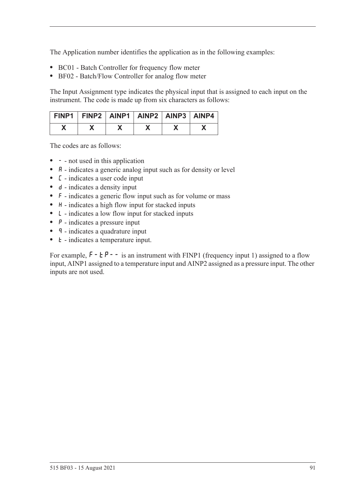The Application number identifies the application as in the following examples:

- **•** BC01 Batch Controller for frequency flow meter
- **•** BF02 Batch/Flow Controller for analog flow meter

The Input Assignment type indicates the physical input that is assigned to each input on the instrument. The code is made up from six characters as follows:

| FINP1   FINP2   AINP1   AINP2   AINP3   AINP4 |  |  |  |
|-----------------------------------------------|--|--|--|
|                                               |  |  |  |

The codes are as follows:

- - not used in this application
- **A** indicates a generic analog input such as for density or level
- **•** C indicates a user code input
- d indicates a density input
- **•** F indicates a generic flow input such as for volume or mass
- H indicates a high flow input for stacked inputs
- **•** L indicates a low flow input for stacked inputs
- **•** P indicates a pressure input
- **q** indicates a quadrature input
- *k* indicates a temperature input.

For example,  $F - tP - -$  is an instrument with FINP1 (frequency input 1) assigned to a flow input, AINP1 assigned to a temperature input and AINP2 assigned as a pressure input. The other inputs are not used.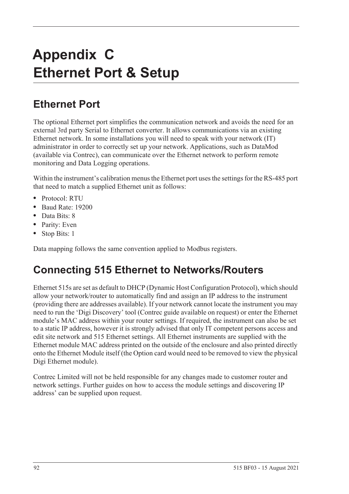# <span id="page-101-0"></span>**Appendix C Ethernet Port & Setup**

# **Ethernet Port**

The optional Ethernet port simplifies the communication network and avoids the need for an external 3rd party Serial to Ethernet converter. It allows communications via an existing Ethernet network. In some installations you will need to speak with your network (IT) administrator in order to correctly set up your network. Applications, such as DataMod (available via Contrec), can communicate over the Ethernet network to perform remote monitoring and Data Logging operations.

Within the instrument's calibration menus the Ethernet port uses the settings for the RS-485 port that need to match a supplied Ethernet unit as follows:

- **•** Protocol: RTU
- **•** Baud Rate: 19200
- **•** Data Bits: 8
- **•** Parity: Even
- **•** Stop Bits: 1

Data mapping follows the same convention applied to Modbus registers.

# **Connecting 515 Ethernet to Networks/Routers**

Ethernet 515s are set as default to DHCP (Dynamic Host Configuration Protocol), which should allow your network/router to automatically find and assign an IP address to the instrument (providing there are addresses available). If your network cannot locate the instrument you may need to run the 'Digi Discovery' tool (Contrec guide available on request) or enter the Ethernet module's MAC address within your router settings. If required, the instrument can also be set to a static IP address, however it is strongly advised that only IT competent persons access and edit site network and 515 Ethernet settings. All Ethernet instruments are supplied with the Ethernet module MAC address printed on the outside of the enclosure and also printed directly onto the Ethernet Module itself (the Option card would need to be removed to view the physical Digi Ethernet module).

Contrec Limited will not be held responsible for any changes made to customer router and network settings. Further guides on how to access the module settings and discovering IP address' can be supplied upon request.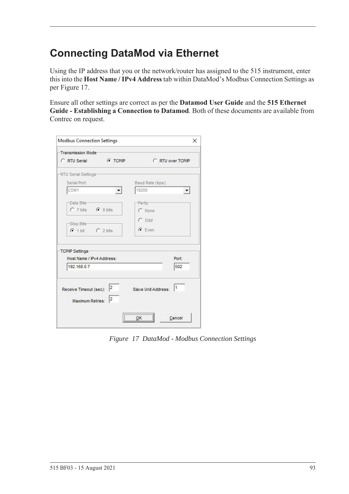# **Connecting DataMod via Ethernet**

Using the IP address that you or the network/router has assigned to the 515 instrument, enter this into the **Host Name / IPv4 Address** tab within DataMod's Modbus Connection Settings as per [Figure 17.](#page-102-0)

Ensure all other settings are correct as per the **Datamod User Guide** and the **515 Ethernet Guide - Establishing a Connection to Datamod**. Both of these documents are available from Contrec on request.

| Transmission Mode-                                   |                 |                     |                      |
|------------------------------------------------------|-----------------|---------------------|----------------------|
| C RTU Serial                                         | <b>C</b> TCP/IP | C RTU over TCP/IP   |                      |
| -RTU Serial Settings-                                |                 |                     |                      |
| Serial Port:                                         |                 | Baud Rate (bps):    |                      |
| COM1                                                 |                 | 19200               | $\blacktriangledown$ |
| -Data Bits-                                          |                 | -Parity-            |                      |
| C 7 bits C 8 bits                                    |                 | C None              |                      |
|                                                      |                 | $C$ Odd             |                      |
| -Stop Bits-                                          |                 | $G$ Even            |                      |
| $C$ 1 bit $C$ 2 bits                                 |                 |                     |                      |
| TCP/IP Settings                                      |                 |                     |                      |
| Host Name / IPv4 Address:                            |                 |                     | Port:                |
| 192.168.0.7                                          |                 |                     | 502                  |
| Receive Timeout (sec): $\vert^2$<br>Maximum Retries: | 2               | Slave Unit Address: | 11                   |
|                                                      |                 | ,                   | Cancel               |

<span id="page-102-0"></span>*Figure 17 DataMod - Modbus Connection Settings*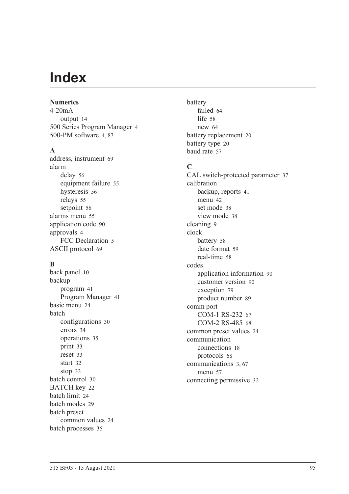# **Index**

#### **Numerics** 4-20mA output [14](#page-23-0) 500 Series Program Manage[r 4](#page-13-0) 500-PM software [4,](#page-13-0) [87](#page-96-0)

### **A**

address, instrumen[t 69](#page-78-0) alarm dela[y 56](#page-65-0) equipment failur[e 55](#page-64-0) hysteresi[s 56](#page-65-1) relays [55](#page-64-1) setpoin[t 56](#page-65-2) alarms menu [55](#page-64-2) application cod[e 90](#page-99-0) approvals [4](#page-13-1) FCC Declaration [5](#page-14-0) ASCII protoco[l 69](#page-78-1)

# **B**

back panel [10](#page-19-0) backup program [41](#page-50-1) Program Manage[r 41](#page-50-2) basic men[u 24](#page-33-0) batch configuration[s 30](#page-39-0) error[s 34](#page-43-0) operation[s 35](#page-44-0) print [33](#page-42-0) reset [33](#page-42-1) start [32](#page-41-0) sto[p 33](#page-42-2) batch contro[l 30](#page-39-1) BATCH ke[y 22](#page-31-0) batch limit [24](#page-33-1) batch mode[s 29](#page-38-0) batch preset common values [24](#page-33-2) batch processe[s 35](#page-44-0)

battery faile[d 64](#page-73-0) life [58](#page-67-1) new [64](#page-73-0) battery replacement [20](#page-29-0) battery type [20](#page-29-1) baud rat[e 57](#page-66-1) **C** CAL switch-protected parameter [37](#page-46-0) calibration backup, reports [41](#page-50-1) menu [42](#page-51-0) set mode [38](#page-47-0) view mode [38](#page-47-1) cleaning [9](#page-18-0) clock batter[y 58](#page-67-1) date format [59](#page-68-0) real-tim[e 58](#page-67-2) codes application information [90](#page-99-0) customer versio[n 90](#page-99-1) exception [79](#page-88-1) product numbe[r 89](#page-98-0) comm port COM-1 RS-232 [67](#page-76-1) COM-2 RS-485 [68](#page-77-1) common preset value[s 24](#page-33-2) communication connection[s 18](#page-27-0) protocols [68](#page-77-2) communication[s 3,](#page-12-0) [67](#page-76-2) menu [57](#page-66-2) connecting permissive [32](#page-41-1)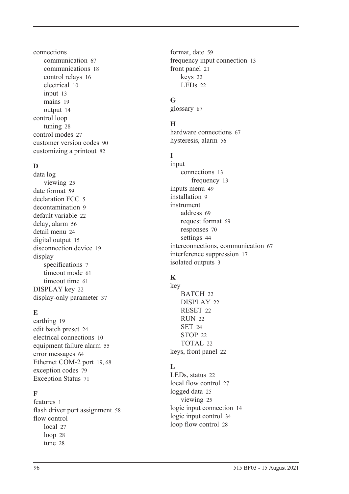connections communicatio[n 67](#page-76-3) communication[s 18](#page-27-0) control relay[s 16](#page-25-0) electrical [10](#page-19-1) inpu[t 13](#page-22-0) main[s 19](#page-28-0) outpu[t 14](#page-23-1) control loop tunin[g 28](#page-37-0) control mode[s 27](#page-36-0) customer version code[s 90](#page-99-1) customizing a printout [82](#page-91-1)

# **D**

data log viewin[g 25](#page-34-0) date format [59](#page-68-0) declaration FCC [5](#page-14-0) decontamination [9](#page-18-0) default variable [22](#page-31-1) delay, alar[m 56](#page-65-0) detail men[u 24](#page-33-0) digital outpu[t 15](#page-24-0) disconnection device [19](#page-28-1) display specifications [7](#page-16-0) timeout mod[e 61](#page-70-0) timeout time [61](#page-70-1) DISPLAY key [22](#page-31-2) display-only parameter [37](#page-46-1)

# **E**

earthin[g 19](#page-28-2) edit batch prese[t 24](#page-33-3) electrical connections [10](#page-19-1) equipment failure alarm [55](#page-64-0) error message[s 64](#page-73-1) Ethernet COM-2 por[t 19,](#page-28-3) [68](#page-77-3) exception codes [79](#page-88-1) Exception Status [71](#page-80-0)

# **F**

features [1](#page-10-0) flash driver port assignmen[t 58](#page-67-3) flow control loca[l 27](#page-36-1) loo[p 28](#page-37-1) tun[e 28](#page-37-2)

format, date [59](#page-68-0) frequency input connection [13](#page-22-1) front panel [21](#page-30-0) keys [22](#page-31-3) LEDs [22](#page-31-4)

# **G**

glossary [87](#page-96-1)

#### **H**

hardware connections [67](#page-76-3) hysteresis, alar[m 56](#page-65-1)

# **I**

input connections [13](#page-22-0) frequency [13](#page-22-1) inputs menu [49](#page-58-0) installation [9](#page-18-1) instrument address [69](#page-78-0) request forma[t 69](#page-78-2) response[s 70](#page-79-0) setting[s 44](#page-53-0) interconnections, communication [67](#page-76-3) interference suppression [17](#page-26-0) isolated output[s 3](#page-12-1)

# **K**

key BATC[H 22](#page-31-0) DISPLA[Y 22](#page-31-2) RESE[T 22](#page-31-5) RUN [22](#page-31-6) SET [24](#page-33-4) STOP [22](#page-31-7) TOTAL [22](#page-31-8) keys, front panel [22](#page-31-3)

### $\mathbf{L}$

LEDs, status [22](#page-31-4) local flow control [27](#page-36-1) logged dat[a 25](#page-34-0) viewin[g 25](#page-34-1) logic input connection [14](#page-23-2) logic input contro[l 34](#page-43-1) loop flow control [28](#page-37-1)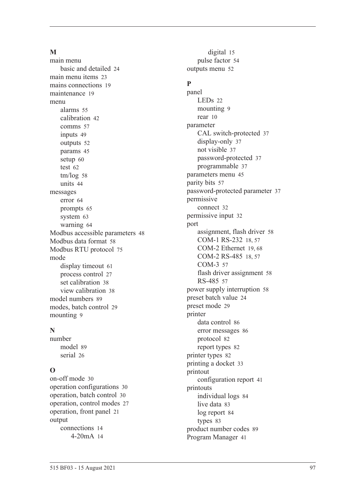main menu basic and detaile[d 24](#page-33-0) main menu items [23](#page-32-0) mains connection[s 19](#page-28-0) maintenance [19](#page-28-4) menu alarm[s 55](#page-64-2) calibratio[n 42](#page-51-0) comms [57](#page-66-2) input[s 49](#page-58-0) output[s 52](#page-61-0) params [45](#page-54-0) setu[p 60](#page-69-1) test [62](#page-71-0) tm/lo[g 58](#page-67-4) unit[s 44](#page-53-1) messages erro[r 64](#page-73-1) prompt[s 65](#page-74-0) syste[m 63](#page-72-0) warnin[g 64](#page-73-2) Modbus accessible parameters [48](#page-57-0) Modbus data forma[t 58](#page-67-5) Modbus RTU protoco[l 75](#page-84-0) mode display timeou[t 61](#page-70-0) process contro[l 27](#page-36-0) set calibration [38](#page-47-0) view calibration [38](#page-47-1) model number[s 89](#page-98-1) modes, batch contro[l 29](#page-38-0) mountin[g 9](#page-18-2)

# **N**

number mode[l 89](#page-98-1) seria[l 26](#page-35-1)

# **O**

on-off mode [30](#page-39-2) operation configurations [30](#page-39-0) operation, batch contro[l 30](#page-39-1) operation, control modes [27](#page-36-0) operation, front panel [21](#page-30-0) output connection[s 14](#page-23-1) 4-20m[A 14](#page-23-0)

**M**<br> **Example 2021**<br> **Example 2021**<br> **Example 2021**<br> **Example 2021**<br> **Example 2021**<br> **Example 2021**<br> **Example 2021**<br> **Example 2021**<br> **Example 2021**<br> **Example 2021**<br> **Example 2021**<br> **Example 2021**<br> **Example 2021**<br> **Example** digital [15](#page-24-0) pulse facto[r 54](#page-63-0) outputs menu [52](#page-61-0) **P** panel LEDs [22](#page-31-4) mounting [9](#page-18-2) rear [10](#page-19-0) parameter CAL switch-protected [37](#page-46-0) display-only [37](#page-46-1) not visibl[e 37](#page-46-2) password-protected [37](#page-46-3) programmable [37](#page-46-4) parameters men[u 45](#page-54-0) parity bit[s 57](#page-66-3) password-protected parameter [37](#page-46-3) permissive connec[t 32](#page-41-1) permissive input [32](#page-41-2) port assignment, flash driver [58](#page-67-3) COM-1 RS-232 [18,](#page-27-1) [57](#page-66-4) COM-2 Ethernet [19,](#page-28-3) [68](#page-77-3) COM-2 RS-485 [18,](#page-27-2) [57](#page-66-5) COM-[3 57](#page-66-6) flash driver assignment [58](#page-67-3) RS-485 [57](#page-66-7) power supply interruption [58](#page-67-1) preset batch value [24](#page-33-3) preset mod[e 29](#page-38-1) printer data control [86](#page-95-0) error messages [86](#page-95-1) protocol [82](#page-91-2) report types [82](#page-91-3) printer type[s 82](#page-91-4) printing a docke[t 33](#page-42-0) printout configuration repor[t 41](#page-50-0) printouts individual logs [84](#page-93-0) live data [83](#page-92-0) log report [84](#page-93-1) type[s 83](#page-92-1) product number codes [89](#page-98-0) Program Manager [41](#page-50-2)